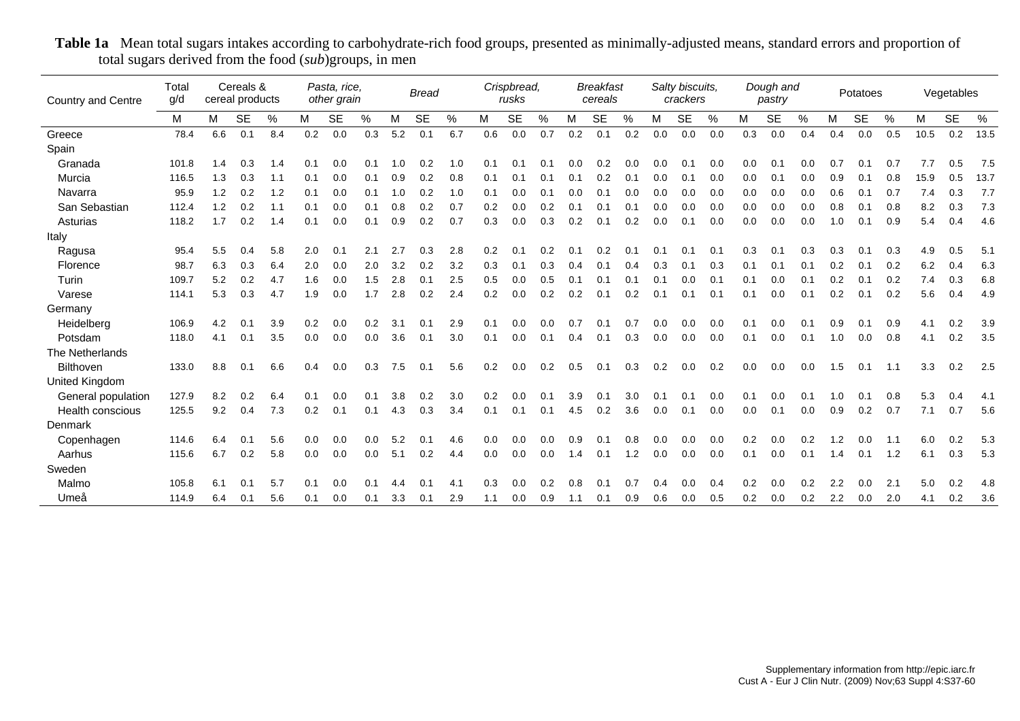| <b>Country and Centre</b> | Total<br>g/d |     | Cereals &<br>cereal products |     |     | Pasta, rice,<br>other grain |     |     | <b>Bread</b> |     |     | Crispbread,<br>rusks |     |     | <b>Breakfast</b><br>cereals |     |     | Salty biscuits,<br>crackers |      |     | Dough and<br>pastry |      |     | Potatoes  |               |      | Vegetables |      |
|---------------------------|--------------|-----|------------------------------|-----|-----|-----------------------------|-----|-----|--------------|-----|-----|----------------------|-----|-----|-----------------------------|-----|-----|-----------------------------|------|-----|---------------------|------|-----|-----------|---------------|------|------------|------|
|                           | M            | M   | <b>SE</b>                    | %   | м   | <b>SE</b>                   | %   | М   | <b>SE</b>    | %   | M   | <b>SE</b>            | %   | M   | <b>SE</b>                   | %   | M   | <b>SE</b>                   | $\%$ | М   | <b>SE</b>           | $\%$ | M   | <b>SE</b> | $\frac{0}{0}$ | M    | <b>SE</b>  | $\%$ |
| Greece                    | 78.4         | 6.6 | 0.1                          | 8.4 | 0.2 | 0.0                         | 0.3 | 5.2 | 0.1          | 6.7 | 0.6 | 0.0                  | 0.7 | 0.2 | 0.1                         | 0.2 | 0.0 | 0.0                         | 0.0  | 0.3 | 0.0                 | 0.4  | 0.4 | 0.0       | 0.5           | 10.5 | 0.2        | 13.5 |
| Spain                     |              |     |                              |     |     |                             |     |     |              |     |     |                      |     |     |                             |     |     |                             |      |     |                     |      |     |           |               |      |            |      |
| Granada                   | 101.8        | 1.4 | 0.3                          | 1.4 | 0.1 | 0.0                         | 0.1 | 1.0 | 0.2          | 1.0 | 0.1 | 0.1                  | 0.1 | 0.0 | 0.2                         | 0.0 | 0.0 | 0.1                         | 0.0  | 0.0 | 0.1                 | 0.0  | 0.7 | 0.1       | 0.7           | 7.7  | 0.5        | 7.5  |
| Murcia                    | 116.5        | 1.3 | 0.3                          | 1.1 | 0.1 | 0.0                         | 0.1 | 0.9 | 0.2          | 0.8 | 0.1 | 0.1                  | 0.1 | 0.1 | 0.2                         | 0.1 | 0.0 | 0.1                         | 0.0  | 0.0 | 0.1                 | 0.0  | 0.9 | 0.1       | 0.8           | 15.9 | 0.5        | 13.7 |
| Navarra                   | 95.9         | 1.2 | 0.2                          | 1.2 | 0.1 | 0.0                         | 0.1 | 1.0 | 0.2          | 1.0 | 0.1 | 0.0                  | 0.1 | 0.0 | 0.1                         | 0.0 | 0.0 | 0.0                         | 0.0  | 0.0 | 0.0                 | 0.0  | 0.6 | 0.1       | 0.7           | 7.4  | 0.3        | 7.7  |
| San Sebastian             | 112.4        | 1.2 | 0.2                          | 1.1 | 0.1 | 0.0                         | 0.1 | 0.8 | 0.2          | 0.7 | 0.2 | 0.0                  | 0.2 | 0.1 | 0.1                         | 0.1 | 0.0 | 0.0                         | 0.0  | 0.0 | 0.0                 | 0.0  | 0.8 | 0.1       | 0.8           | 8.2  | 0.3        | 7.3  |
| Asturias                  | 118.2        | 1.7 | 0.2                          | 1.4 | 0.1 | 0.0                         | 0.1 | 0.9 | 0.2          | 0.7 | 0.3 | 0.0                  | 0.3 | 0.2 | 0.1                         | 0.2 | 0.0 | 0.1                         | 0.0  | 0.0 | 0.0                 | 0.0  | 1.0 | 0.1       | 0.9           | 5.4  | 0.4        | 4.6  |
| Italy                     |              |     |                              |     |     |                             |     |     |              |     |     |                      |     |     |                             |     |     |                             |      |     |                     |      |     |           |               |      |            |      |
| Ragusa                    | 95.4         | 5.5 | 0.4                          | 5.8 | 2.0 | 0.1                         | 2.1 |     | 0.3          | 2.8 | 0.2 | 0.1                  | 0.2 | 0.1 | 0.2                         | 0.1 | 0.1 | 0.1                         | 0.1  | 0.3 | 0.1                 | 0.3  | 0.3 | 0.1       | 0.3           | 4.9  | 0.5        | 5.1  |
| Florence                  | 98.7         | 6.3 | 0.3                          | 6.4 | 2.0 | 0.0                         | 2.0 | 3.2 | 0.2          | 3.2 | 0.3 | 0.1                  | 0.3 | 0.4 | 0.1                         | 0.4 | 0.3 | 0.1                         | 0.3  | 0.1 | 0.1                 | 0.1  | 0.2 | 0.1       | 0.2           | 6.2  | 0.4        | 6.3  |
| Turin                     | 109.7        | 5.2 | 0.2                          | 4.7 | 1.6 | 0.0                         | 1.5 | 2.8 | 0.1          | 2.5 | 0.5 | 0.0                  | 0.5 | 0.1 | 0.1                         | 0.1 | 0.1 | 0.0                         | 0.1  | 0.1 | 0.0                 | 0.1  | 0.2 | 0.1       | 0.2           | 7.4  | 0.3        | 6.8  |
| Varese                    | 114.1        | 5.3 | 0.3                          | 4.7 | 1.9 | 0.0                         | 1.7 | 2.8 | 0.2          | 2.4 | 0.2 | 0.0                  | 0.2 | 0.2 | 0.1                         | 0.2 | 0.1 | 0.1                         | 0.1  | 0.1 | 0.0                 | 0.1  | 0.2 | 0.1       | 0.2           | 5.6  | 0.4        | 4.9  |
| Germany                   |              |     |                              |     |     |                             |     |     |              |     |     |                      |     |     |                             |     |     |                             |      |     |                     |      |     |           |               |      |            |      |
| Heidelberg                | 106.9        | 4.2 | 0.1                          | 3.9 | 0.2 | 0.0                         | 0.2 | 3.1 | 0.1          | 2.9 | 0.1 | 0.0                  | 0.0 | 0.7 | 0.1                         | 0.7 | 0.0 | 0.0                         | 0.0  | 0.1 | 0.0                 | 0.1  | 0.9 | 0.1       | 0.9           | 4.1  | 0.2        | 3.9  |
| Potsdam                   | 118.0        | 4.1 | 0.1                          | 3.5 | 0.0 | 0.0                         | 0.0 | 3.6 | 0.1          | 3.0 | 0.1 | 0.0                  | 0.1 | 0.4 | 0.1                         | 0.3 | 0.0 | 0.0                         | 0.0  | 0.1 | 0.0                 | 0.1  | 1.0 | 0.0       | 0.8           | 4.1  | 0.2        | 3.5  |
| The Netherlands           |              |     |                              |     |     |                             |     |     |              |     |     |                      |     |     |                             |     |     |                             |      |     |                     |      |     |           |               |      |            |      |
| <b>Bilthoven</b>          | 133.0        | 8.8 | 0.1                          | 6.6 | 0.4 | 0.0                         | 0.3 | 7.5 | 0.1          | 5.6 | 0.2 | 0.0                  | 0.2 | 0.5 | 0.1                         | 0.3 | 0.2 | 0.0                         | 0.2  | 0.0 | 0.0                 | 0.0  | 1.5 | 0.1       | 1.1           | 3.3  | 0.2        | 2.5  |
| United Kingdom            |              |     |                              |     |     |                             |     |     |              |     |     |                      |     |     |                             |     |     |                             |      |     |                     |      |     |           |               |      |            |      |
| General population        | 127.9        | 8.2 | 0.2                          | 6.4 | 0.1 | 0.0                         | 0.1 | 3.8 | 0.2          | 3.0 | 0.2 | 0.0                  | 0.1 | 3.9 | 0.1                         | 3.0 | 0.1 | 0.1                         | 0.0  | 0.1 | 0.0                 | 0.1  | 1.0 | 0.1       | 0.8           | 5.3  | 0.4        | 4.1  |
| Health conscious          | 125.5        | 9.2 | 0.4                          | 7.3 | 0.2 | 0.1                         | 0.1 | 4.3 | 0.3          | 3.4 | 0.1 | 0.1                  | 0.1 | 4.5 | 0.2                         | 3.6 | 0.0 | 0.1                         | 0.0  | 0.0 | 0.1                 | 0.0  | 0.9 | 0.2       | 0.7           | 7.1  | 0.7        | 5.6  |
| Denmark                   |              |     |                              |     |     |                             |     |     |              |     |     |                      |     |     |                             |     |     |                             |      |     |                     |      |     |           |               |      |            |      |
| Copenhagen                | 114.6        | 6.4 | 0.1                          | 5.6 | 0.0 | 0.0                         | 0.0 | 5.2 | 0.1          | 4.6 | 0.0 | 0.0                  | 0.0 | 0.9 |                             | 0.8 | 0.0 | 0.0                         | 0.0  | 0.2 | 0.0                 | 0.2  | 1.2 | 0.0       | 1.1           | 6.0  | 0.2        | 5.3  |
| Aarhus                    | 115.6        | 6.7 | 0.2                          | 5.8 | 0.0 | 0.0                         | 0.0 | 5.1 | 0.2          | 4.4 | 0.0 | 0.0                  | 0.0 | 1.4 | 0.1                         | 1.2 | 0.0 | 0.0                         | 0.0  | 0.1 | 0.0                 | 0.1  | 1.4 | 0.1       | 1.2           | 6.1  | 0.3        | 5.3  |
| Sweden                    |              |     |                              |     |     |                             |     |     |              |     |     |                      |     |     |                             |     |     |                             |      |     |                     |      |     |           |               |      |            |      |
| Malmo                     | 105.8        | 6.1 | 0.1                          | 5.7 | 0.1 | 0.0                         | 0.1 | 4.4 | 0.1          | 4.1 | 0.3 | 0.0                  | 0.2 | 0.8 | 0.1                         | 0.7 | 0.4 | 0.0                         | 0.4  | 0.2 | 0.0                 | 0.2  | 2.2 | 0.0       | 2.1           | 5.0  | 0.2        | 4.8  |
| Umeå                      | 114.9        | 6.4 | 0.1                          | 5.6 | 0.1 | 0.0                         | 0.1 | 3.3 | 0.1          | 2.9 | 1.1 | 0.0                  | 0.9 | 1.1 | 0.1                         | 0.9 | 0.6 | 0.0                         | 0.5  | 0.2 | 0.0                 | 0.2  | 2.2 | 0.0       | 2.0           | 4.1  | 0.2        | 3.6  |

**Table 1a** Mean total sugars intakes according to carbohydrate-rich food groups, presented as minimally-adjusted means, standard errors and proportion of total sugars derived from the food (*sub*)groups, in men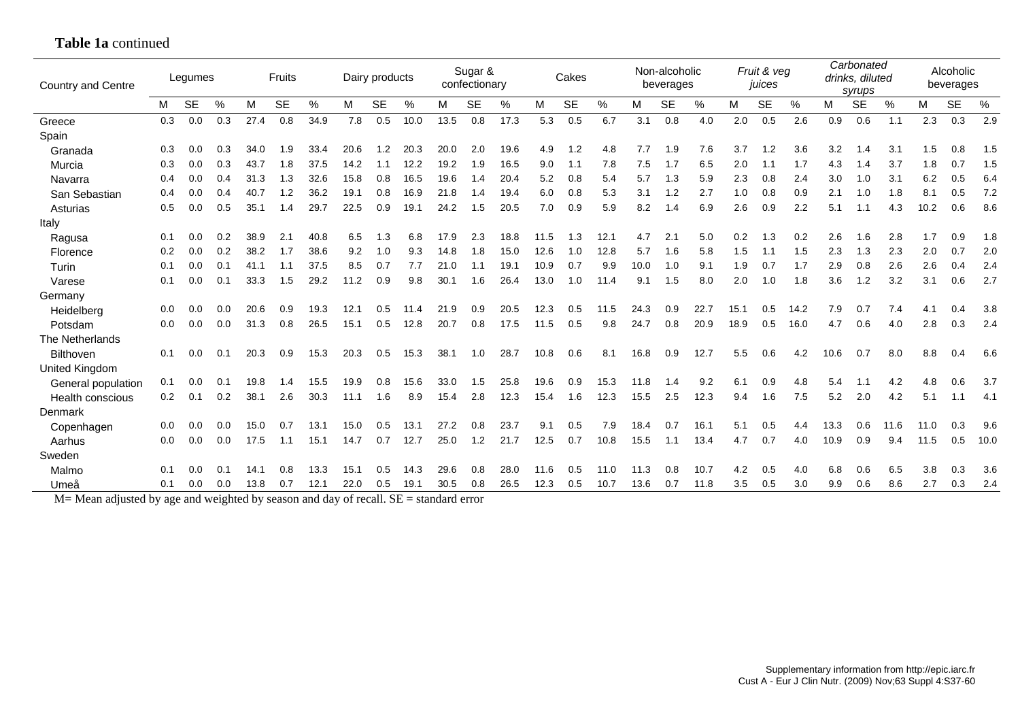| <b>Country and Centre</b> |     | Legumes   |     |      | Fruits    |      |      | Dairy products |      |          | Sugar &<br>confectionary |      |      | Cakes     |      |      | Non-alcoholic<br>beverages |      |      | Fruit & veg<br>juices |               |      | Carbonated<br>drinks, diluted<br>syrups |      |      | Alcoholic<br>beverages |      |
|---------------------------|-----|-----------|-----|------|-----------|------|------|----------------|------|----------|--------------------------|------|------|-----------|------|------|----------------------------|------|------|-----------------------|---------------|------|-----------------------------------------|------|------|------------------------|------|
|                           | м   | <b>SE</b> | %   | М    | <b>SE</b> | %    | м    | <b>SE</b>      | $\%$ | М        | <b>SE</b>                | %    | M    | <b>SE</b> | %    | М    | <b>SE</b>                  | $\%$ | M    | <b>SE</b>             | $\frac{0}{0}$ | M    | <b>SE</b>                               | %    | м    | <b>SE</b>              | %    |
| Greece                    | 0.3 | 0.0       | 0.3 | 27.4 | 0.8       | 34.9 | 7.8  | 0.5            | 10.0 | 13.5     | 0.8                      | 17.3 | 5.3  | 0.5       | 6.7  | 3.1  | 0.8                        | 4.0  | 2.0  | 0.5                   | 2.6           | 0.9  | 0.6                                     | 1.1  | 2.3  | 0.3                    | 2.9  |
| Spain                     |     |           |     |      |           |      |      |                |      |          |                          |      |      |           |      |      |                            |      |      |                       |               |      |                                         |      |      |                        |      |
| Granada                   | 0.3 | 0.0       | 0.3 | 34.0 | ∣.9       | 33.4 | 20.6 | .2             | 20.3 | 20.0     | 2.0                      | 19.6 | 4.9  | 1.2       | 4.8  | 7.7  | 1.9                        | 7.6  | 3.7  | 1.2                   | 3.6           | 3.2  | 1.4                                     | 3.1  | 1.5  | 0.8                    | 1.5  |
| Murcia                    | 0.3 | 0.0       | 0.3 | 43.7 | 1.8       | 37.5 | 14.2 | 1.1            | 12.2 | 19.2     | 1.9                      | 16.5 | 9.0  | 1.1       | 7.8  | 7.5  | 1.7                        | 6.5  | 2.0  | 1.1                   | 1.7           | 4.3  | 1.4                                     | 3.7  | 1.8  | 0.7                    | 1.5  |
| Navarra                   | 0.4 | 0.0       | 0.4 | 31.3 | 1.3       | 32.6 | 15.8 | 0.8            | 16.5 | 19.6     | 1.4                      | 20.4 | 5.2  | 0.8       | 5.4  | 5.7  | 1.3                        | 5.9  | 2.3  | 0.8                   | 2.4           | 3.0  | 1.0                                     | 3.1  | 6.2  | 0.5                    | 6.4  |
| San Sebastian             | 0.4 | 0.0       | 0.4 | 40.7 | .2        | 36.2 | 19.1 | 0.8            | 16.9 | 21.8     | 1.4                      | 19.4 | 6.0  | 0.8       | 5.3  | 3.1  | 1.2                        | 2.7  | 1.0  | 0.8                   | 0.9           | 2.1  | 1.0                                     | 1.8  | 8.1  | 0.5                    | 7.2  |
| Asturias                  | 0.5 | 0.0       | 0.5 | 35.1 | 1.4       | 29.7 | 22.5 | 0.9            | 19.1 | 24.2     | 1.5                      | 20.5 | 7.0  | 0.9       | 5.9  | 8.2  | 1.4                        | 6.9  | 2.6  | 0.9                   | 2.2           | 5.1  | 1.1                                     | 4.3  | 10.2 | 0.6                    | 8.6  |
| Italy                     |     |           |     |      |           |      |      |                |      |          |                          |      |      |           |      |      |                            |      |      |                       |               |      |                                         |      |      |                        |      |
| Ragusa                    | 0.1 | 0.0       | 0.2 | 38.9 | 2.1       | 40.8 | 6.5  | ե3             | 6.8  | 17.9     | 2.3                      | 18.8 | 11.5 | 1.3       | 12.1 | 4.7  | 2.1                        | 5.0  | 0.2  | 1.3                   | 0.2           | 2.6  | 1.6                                     | 2.8  | 1.7  | 0.9                    | 1.8  |
| Florence                  | 0.2 | 0.0       | 0.2 | 38.2 | 1.7       | 38.6 | 9.2  | 1.0            | 9.3  | 14.8     | 1.8                      | 15.0 | 12.6 | 1.0       | 12.8 | 5.7  | 1.6                        | 5.8  | 1.5  | 1.1                   | 1.5           | 2.3  | 1.3                                     | 2.3  | 2.0  | 0.7                    | 2.0  |
| Turin                     | 0.1 | 0.0       | 0.1 | 41.1 | 1.1       | 37.5 | 8.5  | 0.7            | 7.7  | 21.0     | 1.1                      | 19.1 | 10.9 | 0.7       | 9.9  | 10.0 | 1.0                        | 9.1  | 1.9  | 0.7                   | 1.7           | 2.9  | 0.8                                     | 2.6  | 2.6  | 0.4                    | 2.4  |
| Varese                    | 0.1 | 0.0       | 0.1 | 33.3 | 1.5       | 29.2 | 11.2 | 0.9            | 9.8  | 30.1     | 1.6                      | 26.4 | 13.0 | 1.0       | 11.4 | 9.1  | 1.5                        | 8.0  | 2.0  | 1.0                   | 1.8           | 3.6  | 1.2                                     | 3.2  | 3.1  | 0.6                    | 2.7  |
| Germany                   |     |           |     |      |           |      |      |                |      |          |                          |      |      |           |      |      |                            |      |      |                       |               |      |                                         |      |      |                        |      |
| Heidelberg                | 0.0 | 0.0       | 0.0 | 20.6 | 0.9       | 19.3 | 12.1 | 0.5            | 11.4 | 21<br>.9 | 0.9                      | 20.5 | 12.3 | 0.5       | 11.5 | 24.3 | 0.9                        | 22.7 | 15.1 | 0.5                   | 14.2          | 7.9  | 0.7                                     | 7.4  | 4.1  | 0.4                    | 3.8  |
| Potsdam                   | 0.0 | 0.0       | 0.0 | 31.3 | 0.8       | 26.5 | 15.1 | 0.5            | 12.8 | 20.7     | 0.8                      | 17.5 | 11.5 | 0.5       | 9.8  | 24.7 | 0.8                        | 20.9 | 18.9 | 0.5                   | 16.0          | 4.7  | 0.6                                     | 4.0  | 2.8  | 0.3                    | 2.4  |
| The Netherlands           |     |           |     |      |           |      |      |                |      |          |                          |      |      |           |      |      |                            |      |      |                       |               |      |                                         |      |      |                        |      |
| <b>Bilthoven</b>          | 0.1 | 0.0       | 0.1 | 20.3 | 0.9       | 15.3 | 20.3 | 0.5            | 15.3 | 38.1     | 1.0                      | 28.7 | 10.8 | 0.6       | 8.1  | 16.8 | 0.9                        | 12.7 | 5.5  | 0.6                   | 4.2           | 10.6 | 0.7                                     | 8.0  | 8.8  | 0.4                    | 6.6  |
| United Kingdom            |     |           |     |      |           |      |      |                |      |          |                          |      |      |           |      |      |                            |      |      |                       |               |      |                                         |      |      |                        |      |
| General population        | 0.1 | 0.0       | 0.1 | 19.8 | 1.4       | 15.5 | 19.9 | 0.8            | 15.6 | 33.0     | 1.5                      | 25.8 | 19.6 | 0.9       | 15.3 | 11.8 | 1.4                        | 9.2  | 6.1  | 0.9                   | 4.8           | 5.4  |                                         | 4.2  | 4.8  | 0.6                    | 3.7  |
| Health conscious          | 0.2 | 0.1       | 0.2 | 38.1 | 2.6       | 30.3 | 11.1 | 1.6            | 8.9  | 15.4     | 2.8                      | 12.3 | 15.4 | 1.6       | 12.3 | 15.5 | 2.5                        | 12.3 | 9.4  | 1.6                   | 7.5           | 5.2  | 2.0                                     | 4.2  | 5.1  | 1.1                    | 4.1  |
| Denmark                   |     |           |     |      |           |      |      |                |      |          |                          |      |      |           |      |      |                            |      |      |                       |               |      |                                         |      |      |                        |      |
| Copenhagen                | 0.0 | 0.0       | 0.0 | 15.0 | 0.7       | 13.1 | 15.0 | 0.5            | 13.1 | 27.2     | 0.8                      | 23.7 | 9.1  | 0.5       | 7.9  | 18.4 | 0.7                        | 16.1 | 5.1  | 0.5                   | 4.4           | 13.3 | 0.6                                     | 11.6 | 11.0 | 0.3                    | 9.6  |
| Aarhus                    | 0.0 | 0.0       | 0.0 | 17.5 | 1.1       | 15.1 | 14.7 | 0.7            | 12.7 | 25.0     | 1.2                      | 21.7 | 12.5 | 0.7       | 10.8 | 15.5 | 1.1                        | 13.4 | 4.7  | 0.7                   | 4.0           | 10.9 | 0.9                                     | 9.4  | 11.5 | 0.5                    | 10.0 |
| Sweden                    |     |           |     |      |           |      |      |                |      |          |                          |      |      |           |      |      |                            |      |      |                       |               |      |                                         |      |      |                        |      |
| Malmo                     | 0.1 | 0.0       | 0.1 | 14.1 | 0.8       | 13.3 | 15.1 | 0.5            | 14.3 |          | 0.8                      | 28.0 | 11.6 | 0.5       | 11.0 | 11.3 | 0.8                        | 10.7 | 4.2  | 0.5                   | 4.0           | 6.8  | 0.6                                     | 6.5  | 3.8  | 0.3                    | 3.6  |
| Umeå                      | 0.1 | 0.0       | 0.0 | 13.8 | 0.7       | 12.1 | 22.0 | 0.5            | 19.1 | 30.5     | 0.8                      | 26.5 | 12.3 | 0.5       | 10.7 | 13.6 | 0.7                        | 11.8 | 3.5  | 0.5                   | 3.0           | 9.9  | 0.6                                     | 8.6  | 2.7  | 0.3                    | 2.4  |

**Table 1a** continued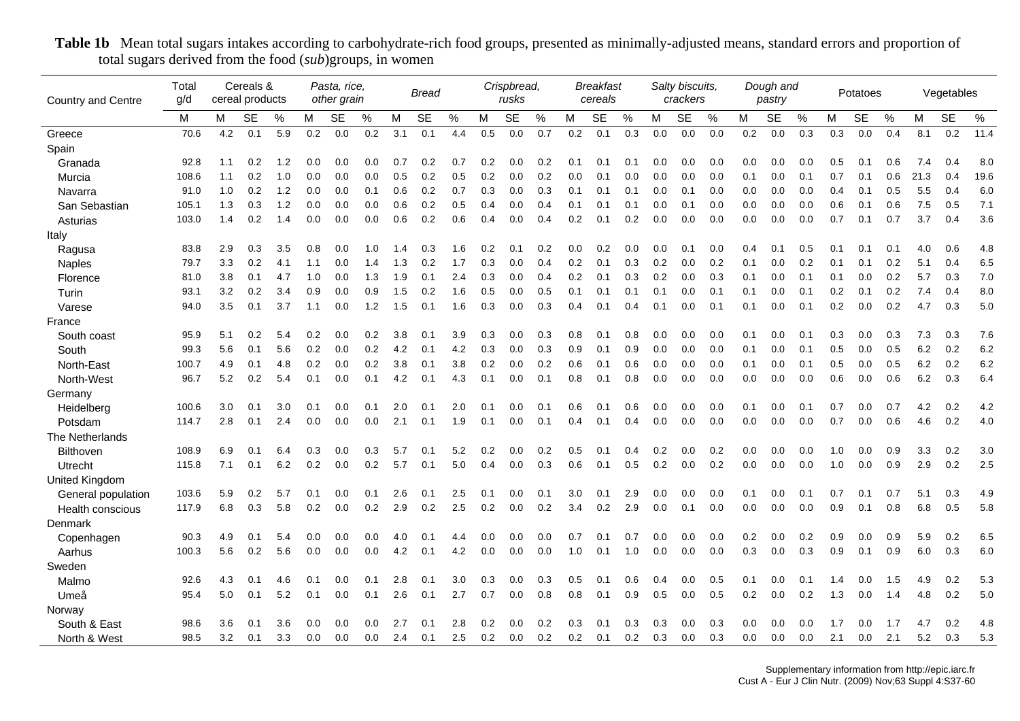| <b>Country and Centre</b> | Total<br>g/d |               | Cereals &<br>cereal products |      |     | Pasta, rice,<br>other grain |     |     | <b>Bread</b> |      |     | Crispbread,<br>rusks |      |     | <b>Breakfast</b><br>cereals |     |     | Salty biscuits,<br>crackers |     |     | Dough and<br>pastry |     |     | Potatoes  |      |      | Vegetables |      |
|---------------------------|--------------|---------------|------------------------------|------|-----|-----------------------------|-----|-----|--------------|------|-----|----------------------|------|-----|-----------------------------|-----|-----|-----------------------------|-----|-----|---------------------|-----|-----|-----------|------|------|------------|------|
|                           | м            | м             | SE                           | $\%$ | М   | SE                          | %   | м   | <b>SE</b>    | $\%$ | М   | <b>SE</b>            | $\%$ | M   | <b>SE</b>                   | %   | м   | <b>SE</b>                   | %   | M   | <b>SE</b>           | %   | М   | <b>SE</b> | $\%$ | M    | <b>SE</b>  | $\%$ |
| Greece                    | 70.6         | 4.2           | 0.1                          | 5.9  | 0.2 | 0.0                         | 0.2 | 3.1 | 0.1          | 4.4  | 0.5 | 0.0                  | 0.7  | 0.2 | 0.1                         | 0.3 | 0.0 | 0.0                         | 0.0 | 0.2 | 0.0                 | 0.3 | 0.3 | 0.0       | 0.4  | 8.1  | 0.2        | 11.4 |
| Spain                     |              |               |                              |      |     |                             |     |     |              |      |     |                      |      |     |                             |     |     |                             |     |     |                     |     |     |           |      |      |            |      |
| Granada                   | 92.8         | 1.1           | 0.2                          | 1.2  | 0.0 | 0.0                         | 0.0 | 0.7 | 0.2          | 0.7  | 0.2 | 0.0                  | 0.2  | 0.1 | 0.1                         | 0.1 | 0.0 | 0.0                         | 0.0 | 0.0 | 0.0                 | 0.0 | 0.5 | 0.1       | 0.6  | 7.4  | 0.4        | 8.0  |
| Murcia                    | 108.6        | 1.1           | 0.2                          | 1.0  | 0.0 | 0.0                         | 0.0 | 0.5 | 0.2          | 0.5  | 0.2 | 0.0                  | 0.2  | 0.0 | 0.1                         | 0.0 | 0.0 | 0.0                         | 0.0 | 0.1 | 0.0                 | 0.1 | 0.7 | 0.1       | 0.6  | 21.3 | 0.4        | 19.6 |
| Navarra                   | 91.0         | 1.0           | 0.2                          | 1.2  | 0.0 | 0.0                         | 0.1 | 0.6 | 0.2          | 0.7  | 0.3 | 0.0                  | 0.3  | 0.1 | 0.1                         | 0.1 | 0.0 | 0.1                         | 0.0 | 0.0 | 0.0                 | 0.0 | 0.4 | 0.1       | 0.5  | 5.5  | 0.4        | 6.0  |
| San Sebastian             | 105.1        | 1.3           | 0.3                          | 1.2  | 0.0 | 0.0                         | 0.0 | 0.6 | 0.2          | 0.5  | 0.4 | 0.0                  | 0.4  | 0.1 | 0.1                         | 0.1 | 0.0 | 0.1                         | 0.0 | 0.0 | 0.0                 | 0.0 | 0.6 | 0.1       | 0.6  | 7.5  | 0.5        | 7.1  |
| Asturias                  | 103.0        | 1.4           | 0.2                          | 1.4  | 0.0 | 0.0                         | 0.0 | 0.6 | 0.2          | 0.6  | 0.4 | 0.0                  | 0.4  | 0.2 | 0.1                         | 0.2 | 0.0 | 0.0                         | 0.0 | 0.0 | 0.0                 | 0.0 | 0.7 | 0.1       | 0.7  | 3.7  | 0.4        | 3.6  |
| Italy                     |              |               |                              |      |     |                             |     |     |              |      |     |                      |      |     |                             |     |     |                             |     |     |                     |     |     |           |      |      |            |      |
| Ragusa                    | 83.8         | 2.9           | 0.3                          | 3.5  | 0.8 | 0.0                         | 1.0 | 1.4 | 0.3          | 1.6  | 0.2 | 0.1                  | 0.2  | 0.0 | 0.2                         | 0.0 | 0.0 | 0.1                         | 0.0 | 0.4 | 0.1                 | 0.5 | 0.1 | 0.1       | 0.1  | 4.0  | 0.6        | 4.8  |
| <b>Naples</b>             | 79.7         | 3.3           | 0.2                          | 4.1  | 1.1 | 0.0                         | 1.4 | 1.3 | 0.2          | 1.7  | 0.3 | 0.0                  | 0.4  | 0.2 | 0.1                         | 0.3 | 0.2 | 0.0                         | 0.2 | 0.1 | 0.0                 | 0.2 | 0.1 | 0.1       | 0.2  | 5.1  | 0.4        | 6.5  |
| Florence                  | 81.0         | 3.8           | 0.1                          | 4.7  | 1.0 | 0.0                         | 1.3 | 1.9 | 0.1          | 2.4  | 0.3 | 0.0                  | 0.4  | 0.2 | 0.1                         | 0.3 | 0.2 | 0.0                         | 0.3 | 0.1 | 0.0                 | 0.1 | 0.1 | 0.0       | 0.2  | 5.7  | 0.3        | 7.0  |
| Turin                     | 93.1         | $3.2^{\circ}$ | 0.2                          | 3.4  | 0.9 | 0.0                         | 0.9 | 1.5 | 0.2          | 1.6  | 0.5 | 0.0                  | 0.5  | 0.1 | 0.1                         | 0.1 | 0.1 | 0.0                         | 0.1 | 0.1 | 0.0                 | 0.1 | 0.2 | 0.1       | 0.2  | 7.4  | 0.4        | 8.0  |
| Varese                    | 94.0         | 3.5           | 0.1                          | 3.7  | 1.1 | 0.0                         | 1.2 | 1.5 | 0.1          | 1.6  | 0.3 | 0.0                  | 0.3  | 0.4 | 0.1                         | 0.4 | 0.1 | 0.0                         | 0.1 | 0.1 | 0.0                 | 0.1 | 0.2 | 0.0       | 0.2  | 4.7  | 0.3        | 5.0  |
| France                    |              |               |                              |      |     |                             |     |     |              |      |     |                      |      |     |                             |     |     |                             |     |     |                     |     |     |           |      |      |            |      |
| South coast               | 95.9         | 5.1           | 0.2                          | 5.4  | 0.2 | 0.0                         | 0.2 | 3.8 | 0.1          | 3.9  | 0.3 | 0.0                  | 0.3  | 0.8 | 0.1                         | 0.8 | 0.0 | 0.0                         | 0.0 | 0.1 | 0.0                 | 0.1 | 0.3 | 0.0       | 0.3  | 7.3  | 0.3        | 7.6  |
| South                     | 99.3         | 5.6           | 0.1                          | 5.6  | 0.2 | 0.0                         | 0.2 | 4.2 | 0.1          | 4.2  | 0.3 | 0.0                  | 0.3  | 0.9 | 0.1                         | 0.9 | 0.0 | 0.0                         | 0.0 | 0.1 | 0.0                 | 0.1 | 0.5 | 0.0       | 0.5  | 6.2  | 0.2        | 6.2  |
| North-East                | 100.7        | 4.9           | 0.1                          | 4.8  | 0.2 | 0.0                         | 0.2 | 3.8 | 0.1          | 3.8  | 0.2 | 0.0                  | 0.2  | 0.6 | 0.1                         | 0.6 | 0.0 | 0.0                         | 0.0 | 0.1 | 0.0                 | 0.1 | 0.5 | 0.0       | 0.5  | 6.2  | 0.2        | 6.2  |
| North-West                | 96.7         | 5.2           | 0.2                          | 5.4  | 0.1 | 0.0                         | 0.1 | 4.2 | 0.1          | 4.3  | 0.1 | 0.0                  | 0.1  | 0.8 | 0.1                         | 0.8 | 0.0 | 0.0                         | 0.0 | 0.0 | 0.0                 | 0.0 | 0.6 | 0.0       | 0.6  | 6.2  | 0.3        | 6.4  |
| Germany                   |              |               |                              |      |     |                             |     |     |              |      |     |                      |      |     |                             |     |     |                             |     |     |                     |     |     |           |      |      |            |      |
| Heidelberg                | 100.6        | 3.0           | 0.1                          | 3.0  | 0.1 | 0.0                         | 0.1 | 2.0 | 0.1          | 2.0  | 0.1 | 0.0                  | 0.1  | 0.6 | 0.1                         | 0.6 | 0.0 | 0.0                         | 0.0 | 0.1 | 0.0                 | 0.1 | 0.7 | 0.0       | 0.7  | 4.2  | 0.2        | 4.2  |
| Potsdam                   | 114.7        | 2.8           | 0.1                          | 2.4  | 0.0 | 0.0                         | 0.0 | 2.1 | 0.1          | 1.9  | 0.1 | 0.0                  | 0.1  | 0.4 | 0.1                         | 0.4 | 0.0 | 0.0                         | 0.0 | 0.0 | 0.0                 | 0.0 | 0.7 | 0.0       | 0.6  | 4.6  | 0.2        | 4.0  |
| The Netherlands           |              |               |                              |      |     |                             |     |     |              |      |     |                      |      |     |                             |     |     |                             |     |     |                     |     |     |           |      |      |            |      |
| <b>Bilthoven</b>          | 108.9        | 6.9           | 0.1                          | 6.4  | 0.3 | 0.0                         | 0.3 | 5.7 | 0.1          | 5.2  | 0.2 | 0.0                  | 0.2  | 0.5 | 0.1                         | 0.4 | 0.2 | 0.0                         | 0.2 | 0.0 | 0.0                 | 0.0 | 1.0 | 0.0       | 0.9  | 3.3  | 0.2        | 3.0  |
| Utrecht                   | 115.8        | 7.1           | 0.1                          | 6.2  | 0.2 | 0.0                         | 0.2 | 5.7 | 0.1          | 5.0  | 0.4 | 0.0                  | 0.3  | 0.6 | 0.1                         | 0.5 | 0.2 | 0.0                         | 0.2 | 0.0 | 0.0                 | 0.0 | 1.0 | 0.0       | 0.9  | 2.9  | 0.2        | 2.5  |
| <b>United Kingdom</b>     |              |               |                              |      |     |                             |     |     |              |      |     |                      |      |     |                             |     |     |                             |     |     |                     |     |     |           |      |      |            |      |
| General population        | 103.6        | 5.9           | 0.2                          | 5.7  | 0.1 | 0.0                         | 0.1 | 2.6 | 0.1          | 2.5  | 0.1 | 0.0                  | 0.1  | 3.0 | 0.1                         | 2.9 | 0.0 | 0.0                         | 0.0 | 0.1 | 0.0                 | 0.1 | 0.7 | 0.1       | 0.7  | 5.1  | 0.3        | 4.9  |
| Health conscious          | 117.9        | 6.8           | 0.3                          | 5.8  | 0.2 | 0.0                         | 0.2 | 2.9 | 0.2          | 2.5  | 0.2 | 0.0                  | 0.2  | 3.4 | 0.2                         | 2.9 | 0.0 | 0.1                         | 0.0 | 0.0 | 0.0                 | 0.0 | 0.9 | 0.1       | 0.8  | 6.8  | 0.5        | 5.8  |
| Denmark                   |              |               |                              |      |     |                             |     |     |              |      |     |                      |      |     |                             |     |     |                             |     |     |                     |     |     |           |      |      |            |      |
| Copenhagen                | 90.3         | 4.9           | 0.1                          | 5.4  | 0.0 | 0.0                         | 0.0 | 4.0 | 0.1          | 4.4  | 0.0 | 0.0                  | 0.0  | 0.7 | 0.1                         | 0.7 | 0.0 | 0.0                         | 0.0 | 0.2 | 0.0                 | 0.2 | 0.9 | 0.0       | 0.9  | 5.9  | 0.2        | 6.5  |
| Aarhus                    | 100.3        | 5.6           | 0.2                          | 5.6  | 0.0 | 0.0                         | 0.0 | 4.2 | 0.1          | 4.2  | 0.0 | 0.0                  | 0.0  | 1.0 | 0.1                         | 1.0 | 0.0 | 0.0                         | 0.0 | 0.3 | 0.0                 | 0.3 | 0.9 | 0.1       | 0.9  | 6.0  | 0.3        | 6.0  |
| Sweden                    |              |               |                              |      |     |                             |     |     |              |      |     |                      |      |     |                             |     |     |                             |     |     |                     |     |     |           |      |      |            |      |
| Malmo                     | 92.6         | 4.3           | 0.1                          | 4.6  | 0.1 | 0.0                         | 0.1 | 2.8 | 0.1          | 3.0  | 0.3 | 0.0                  | 0.3  | 0.5 | 0.1                         | 0.6 | 0.4 | 0.0                         | 0.5 | 0.1 | 0.0                 | 0.1 | 1.4 | 0.0       | 1.5  | 4.9  | 0.2        | 5.3  |
| Umeå                      | 95.4         | 5.0           | 0.1                          | 5.2  | 0.1 | 0.0                         | 0.1 | 2.6 | 0.1          | 2.7  | 0.7 | 0.0                  | 0.8  | 0.8 | 0.1                         | 0.9 | 0.5 | 0.0                         | 0.5 | 0.2 | 0.0                 | 0.2 | 1.3 | 0.0       | 1.4  | 4.8  | 0.2        | 5.0  |
| Norway                    |              |               |                              |      |     |                             |     |     |              |      |     |                      |      |     |                             |     |     |                             |     |     |                     |     |     |           |      |      |            |      |
| South & East              | 98.6         | 3.6           | 0.1                          | 3.6  | 0.0 | 0.0                         | 0.0 | 2.7 | 0.1          | 2.8  | 0.2 | 0.0                  | 0.2  | 0.3 | 0.1                         | 0.3 | 0.3 | 0.0                         | 0.3 | 0.0 | 0.0                 | 0.0 | 1.7 | 0.0       | 1.7  | 4.7  | 0.2        | 4.8  |
| North & West              | 98.5         | 3.2           | 0.1                          | 3.3  | 0.0 | 0.0                         | 0.0 | 2.4 | 0.1          | 2.5  | 0.2 | 0.0                  | 0.2  | 0.2 | 0.1                         | 0.2 | 0.3 | 0.0                         | 0.3 | 0.0 | 0.0                 | 0.0 | 2.1 | 0.0       | 2.1  | 5.2  | 0.3        | 5.3  |

Table 1b Mean total sugars intakes according to carbohydrate-rich food groups, presented as minimally-adjusted means, standard errors and proportion of total sugars derived from the food (*sub*)groups, in women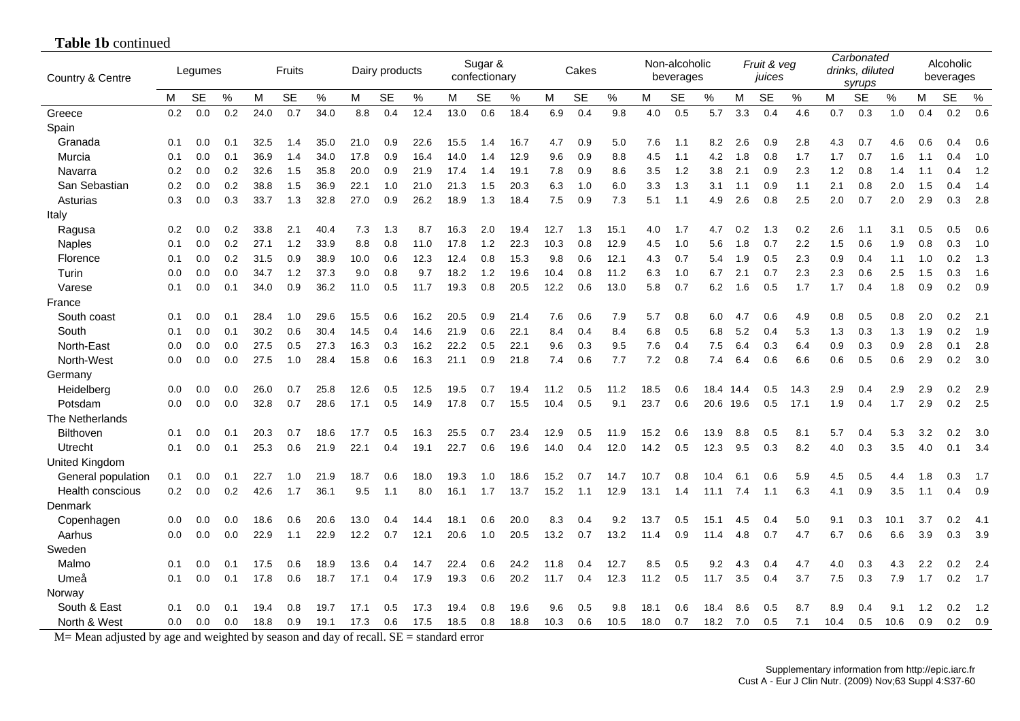| Country & Centre        |     | Legumes   |     |      | Fruits    |      |      | Dairy products |      |      | Sugar &<br>confectionary |      |      | Cakes     |      |      | Non-alcoholic<br>beverages |      |      | Fruit & veg<br>juices |      |      | Carbonated<br>drinks, diluted<br>syrups |      |     | Alcoholic<br>beverages |      |
|-------------------------|-----|-----------|-----|------|-----------|------|------|----------------|------|------|--------------------------|------|------|-----------|------|------|----------------------------|------|------|-----------------------|------|------|-----------------------------------------|------|-----|------------------------|------|
|                         | м   | <b>SE</b> | %   | M    | <b>SE</b> | $\%$ | M    | <b>SE</b>      | %    | м    | <b>SE</b>                | %    | М    | <b>SE</b> | %    | M    | <b>SE</b>                  | %    | M    | <b>SE</b>             | %    | M    | <b>SE</b>                               | $\%$ | М   | <b>SE</b>              | $\%$ |
| Greece                  | 0.2 | 0.0       | 0.2 | 24.0 | 0.7       | 34.0 | 8.8  | 0.4            | 12.4 | 13.0 | 0.6                      | 18.4 | 6.9  | 0.4       | 9.8  | 4.0  | 0.5                        | 5.7  | 3.3  | 0.4                   | 4.6  | 0.7  | 0.3                                     | 1.0  | 0.4 | 0.2                    | 0.6  |
| Spain                   |     |           |     |      |           |      |      |                |      |      |                          |      |      |           |      |      |                            |      |      |                       |      |      |                                         |      |     |                        |      |
| Granada                 | 0.1 | 0.0       | 0.1 | 32.5 | 1.4       | 35.0 | 21.0 | 0.9            | 22.6 | 15.5 | 1.4                      | 16.7 | 4.7  | 0.9       | 5.0  | 7.6  | 1.1                        | 8.2  | 2.6  | 0.9                   | 2.8  | 4.3  | 0.7                                     | 4.6  | 0.6 | 0.4                    | 0.6  |
| Murcia                  | 0.1 | 0.0       | 0.1 | 36.9 | 1.4       | 34.0 | 17.8 | 0.9            | 16.4 | 14.0 | 1.4                      | 12.9 | 9.6  | 0.9       | 8.8  | 4.5  | 1.1                        | 4.2  | 1.8  | 0.8                   | 1.7  | 1.7  | 0.7                                     | 1.6  | 1.1 | 0.4                    | 1.0  |
| Navarra                 | 0.2 | 0.0       | 0.2 | 32.6 | 1.5       | 35.8 | 20.0 | 0.9            | 21.9 | 17.4 | 1.4                      | 19.1 | 7.8  | 0.9       | 8.6  | 3.5  | 1.2                        | 3.8  | 2.1  | 0.9                   | 2.3  | 1.2  | 0.8                                     | 1.4  | 1.1 | 0.4                    | 1.2  |
| San Sebastian           | 0.2 | 0.0       | 0.2 | 38.8 | 1.5       | 36.9 | 22.1 | 1.0            | 21.0 | 21.3 | 1.5                      | 20.3 | 6.3  | 1.0       | 6.0  | 3.3  | 1.3                        | 3.1  | 1.1  | 0.9                   | 1.1  | 2.1  | 0.8                                     | 2.0  | 1.5 | 0.4                    | 1.4  |
| Asturias                | 0.3 | 0.0       | 0.3 | 33.7 | 1.3       | 32.8 | 27.0 | 0.9            | 26.2 | 18.9 | 1.3                      | 18.4 | 7.5  | 0.9       | 7.3  | 5.1  | 1.1                        | 4.9  | 2.6  | 0.8                   | 2.5  | 2.0  | 0.7                                     | 2.0  | 2.9 | 0.3                    | 2.8  |
| Italy                   |     |           |     |      |           |      |      |                |      |      |                          |      |      |           |      |      |                            |      |      |                       |      |      |                                         |      |     |                        |      |
| Ragusa                  | 0.2 | 0.0       | 0.2 | 33.8 | 2.1       | 40.4 | 7.3  | 1.3            | 8.7  | 16.3 | 2.0                      | 19.4 | 12.7 | 1.3       | 15.1 | 4.0  | 1.7                        | 4.7  | 0.2  | 1.3                   | 0.2  | 2.6  | 1.1                                     | 3.1  | 0.5 | 0.5                    | 0.6  |
| <b>Naples</b>           | 0.1 | 0.0       | 0.2 | 27.1 | 1.2       | 33.9 | 8.8  | 0.8            | 11.0 | 17.8 | 1.2                      | 22.3 | 10.3 | 0.8       | 12.9 | 4.5  | 1.0                        | 5.6  | 1.8  | 0.7                   | 2.2  | 1.5  | 0.6                                     | 1.9  | 0.8 | 0.3                    | 1.0  |
| Florence                | 0.1 | 0.0       | 0.2 | 31.5 | 0.9       | 38.9 | 10.0 | 0.6            | 12.3 | 12.4 | 0.8                      | 15.3 | 9.8  | 0.6       | 12.1 | 4.3  | 0.7                        | 5.4  | 1.9  | 0.5                   | 2.3  | 0.9  | 0.4                                     | 1.1  | 1.0 | 0.2                    | 1.3  |
| Turin                   | 0.0 | 0.0       | 0.0 | 34.7 | 1.2       | 37.3 | 9.0  | 0.8            | 9.7  | 18.2 | 1.2                      | 19.6 | 10.4 | 0.8       | 11.2 | 6.3  | 1.0                        | 6.7  | 2.1  | 0.7                   | 2.3  | 2.3  | 0.6                                     | 2.5  | 1.5 | 0.3                    | 1.6  |
| Varese                  | 0.1 | 0.0       | 0.1 | 34.0 | 0.9       | 36.2 | 11.0 | 0.5            | 11.7 | 19.3 | 0.8                      | 20.5 | 12.2 | 0.6       | 13.0 | 5.8  | 0.7                        | 6.2  | 1.6  | 0.5                   | 1.7  | 1.7  | 0.4                                     | 1.8  | 0.9 | 0.2                    | 0.9  |
| France                  |     |           |     |      |           |      |      |                |      |      |                          |      |      |           |      |      |                            |      |      |                       |      |      |                                         |      |     |                        |      |
| South coast             | 0.1 | 0.0       | 0.1 | 28.4 | 1.0       | 29.6 | 15.5 | 0.6            | 16.2 | 20.5 | 0.9                      | 21.4 | 7.6  | 0.6       | 7.9  | 5.7  | 0.8                        | 6.0  | 4.7  | 0.6                   | 4.9  | 0.8  | 0.5                                     | 0.8  | 2.0 | 0.2                    | 2.1  |
| South                   | 0.1 | 0.0       | 0.1 | 30.2 | 0.6       | 30.4 | 14.5 | 0.4            | 14.6 | 21.9 | 0.6                      | 22.1 | 8.4  | 0.4       | 8.4  | 6.8  | 0.5                        | 6.8  | 5.2  | 0.4                   | 5.3  | 1.3  | 0.3                                     | 1.3  | 1.9 | 0.2                    | 1.9  |
| North-East              | 0.0 | 0.0       | 0.0 | 27.5 | 0.5       | 27.3 | 16.3 | 0.3            | 16.2 | 22.2 | 0.5                      | 22.1 | 9.6  | 0.3       | 9.5  | 7.6  | 0.4                        | 7.5  | 6.4  | 0.3                   | 6.4  | 0.9  | 0.3                                     | 0.9  | 2.8 | 0.1                    | 2.8  |
| North-West              | 0.0 | 0.0       | 0.0 | 27.5 | 1.0       | 28.4 | 15.8 | 0.6            | 16.3 | 21.1 | 0.9                      | 21.8 | 7.4  | 0.6       | 7.7  | 7.2  | 0.8                        | 7.4  | 6.4  | 0.6                   | 6.6  | 0.6  | 0.5                                     | 0.6  | 2.9 | 0.2                    | 3.0  |
| Germany                 |     |           |     |      |           |      |      |                |      |      |                          |      |      |           |      |      |                            |      |      |                       |      |      |                                         |      |     |                        |      |
| Heidelberg              | 0.0 | 0.0       | 0.0 | 26.0 | 0.7       | 25.8 | 12.6 | 0.5            | 12.5 | 19.5 | 0.7                      | 19.4 | 11.2 | 0.5       | 11.2 | 18.5 | 0.6                        | 18.4 | 14.4 | 0.5                   | 14.3 | 2.9  | 0.4                                     | 2.9  | 2.9 | 0.2                    | 2.9  |
| Potsdam                 | 0.0 | 0.0       | 0.0 | 32.8 | 0.7       | 28.6 | 17.1 | 0.5            | 14.9 | 17.8 | 0.7                      | 15.5 | 10.4 | 0.5       | 9.1  | 23.7 | 0.6                        | 20.6 | 19.6 | 0.5                   | 17.1 | 1.9  | 0.4                                     | 1.7  | 2.9 | 0.2                    | 2.5  |
| The Netherlands         |     |           |     |      |           |      |      |                |      |      |                          |      |      |           |      |      |                            |      |      |                       |      |      |                                         |      |     |                        |      |
| <b>Bilthoven</b>        | 0.1 | 0.0       | 0.1 | 20.3 | 0.7       | 18.6 | 17.7 | 0.5            | 16.3 | 25.5 | 0.7                      | 23.4 | 12.9 | 0.5       | 11.9 | 15.2 | 0.6                        | 13.9 | 8.8  | 0.5                   | 8.1  | 5.7  | 0.4                                     | 5.3  | 3.2 | 0.2                    | 3.0  |
| Utrecht                 | 0.1 | 0.0       | 0.1 | 25.3 | 0.6       | 21.9 | 22.1 | 0.4            | 19.1 | 22.7 | 0.6                      | 19.6 | 14.0 | 0.4       | 12.0 | 14.2 | 0.5                        | 12.3 | 9.5  | 0.3                   | 8.2  | 4.0  | 0.3                                     | 3.5  | 4.0 | 0.1                    | 3.4  |
| <b>United Kingdom</b>   |     |           |     |      |           |      |      |                |      |      |                          |      |      |           |      |      |                            |      |      |                       |      |      |                                         |      |     |                        |      |
| General population      | 0.1 | 0.0       | 0.1 | 22.7 | 1.0       | 21.9 | 18.7 | 0.6            | 18.0 | 19.3 | 1.0                      | 18.6 | 15.2 | 0.7       | 14.7 | 10.7 | 0.8                        | 10.4 | 6.1  | 0.6                   | 5.9  | 4.5  | 0.5                                     | 4.4  | 1.8 | 0.3                    | 1.7  |
| <b>Health conscious</b> | 0.2 | 0.0       | 0.2 | 42.6 | 1.7       | 36.1 | 9.5  | 1.1            | 8.0  | 16.1 | 1.7                      | 13.7 | 15.2 | 1.1       | 12.9 | 13.1 | 1.4                        | 11.1 | 7.4  | 1.1                   | 6.3  | 4.1  | 0.9                                     | 3.5  | 1.1 | 0.4                    | 0.9  |
| Denmark                 |     |           |     |      |           |      |      |                |      |      |                          |      |      |           |      |      |                            |      |      |                       |      |      |                                         |      |     |                        |      |
| Copenhagen              | 0.0 | 0.0       | 0.0 | 18.6 | 0.6       | 20.6 | 13.0 | 0.4            | 14.4 | 18.1 | 0.6                      | 20.0 | 8.3  | 0.4       | 9.2  | 13.7 | 0.5                        | 15.1 | 4.5  | 0.4                   | 5.0  | 9.1  | 0.3                                     | 10.1 | 3.7 | 0.2                    | 4.1  |
| Aarhus                  | 0.0 | 0.0       | 0.0 | 22.9 | 1.1       | 22.9 | 12.2 | 0.7            | 12.1 | 20.6 | 1.0                      | 20.5 | 13.2 | 0.7       | 13.2 | 11.4 | 0.9                        | 11.4 | 4.8  | 0.7                   | 4.7  | 6.7  | 0.6                                     | 6.6  | 3.9 | 0.3                    | 3.9  |
| Sweden                  |     |           |     |      |           |      |      |                |      |      |                          |      |      |           |      |      |                            |      |      |                       |      |      |                                         |      |     |                        |      |
| Malmo                   | 0.1 | 0.0       | 0.1 | 17.5 | 0.6       | 18.9 | 13.6 | 0.4            | 14.7 | 22.4 | 0.6                      | 24.2 | 11.8 | 0.4       | 12.7 | 8.5  | 0.5                        | 9.2  | 4.3  | 0.4                   | 4.7  | 4.0  | 0.3                                     | 4.3  | 2.2 | 0.2                    | 2.4  |
| Umeå                    | 0.1 | 0.0       | 0.1 | 17.8 | 0.6       | 18.7 | 17.1 | 0.4            | 17.9 | 19.3 | 0.6                      | 20.2 | 11.7 | 0.4       | 12.3 | 11.2 | 0.5                        | 11.7 | 3.5  | 0.4                   | 3.7  | 7.5  | 0.3                                     | 7.9  | 1.7 | 0.2                    | 1.7  |
| Norway                  |     |           |     |      |           |      |      |                |      |      |                          |      |      |           |      |      |                            |      |      |                       |      |      |                                         |      |     |                        |      |
| South & East            | 0.1 | 0.0       | 0.1 | 19.4 | 0.8       | 19.7 | 17.1 | 0.5            | 17.3 | 19.4 | 0.8                      | 19.6 | 9.6  | 0.5       | 9.8  | 18.1 | 0.6                        | 18.4 | 8.6  | 0.5                   | 8.7  | 8.9  | 0.4                                     | 9.1  | 1.2 | 0.2                    | 1.2  |
| North & West            | 0.0 | 0.0       | 0.0 | 18.8 | 0.9       | 19.1 | 17.3 | 0.6            | 17.5 | 18.5 | 0.8                      | 18.8 | 10.3 | 0.6       | 10.5 | 18.0 | 0.7                        | 18.2 | 7.0  | 0.5                   | 7.1  | 10.4 | 0.5                                     | 10.6 | 0.9 | 0.2                    | 0.9  |

## **Table 1b** continued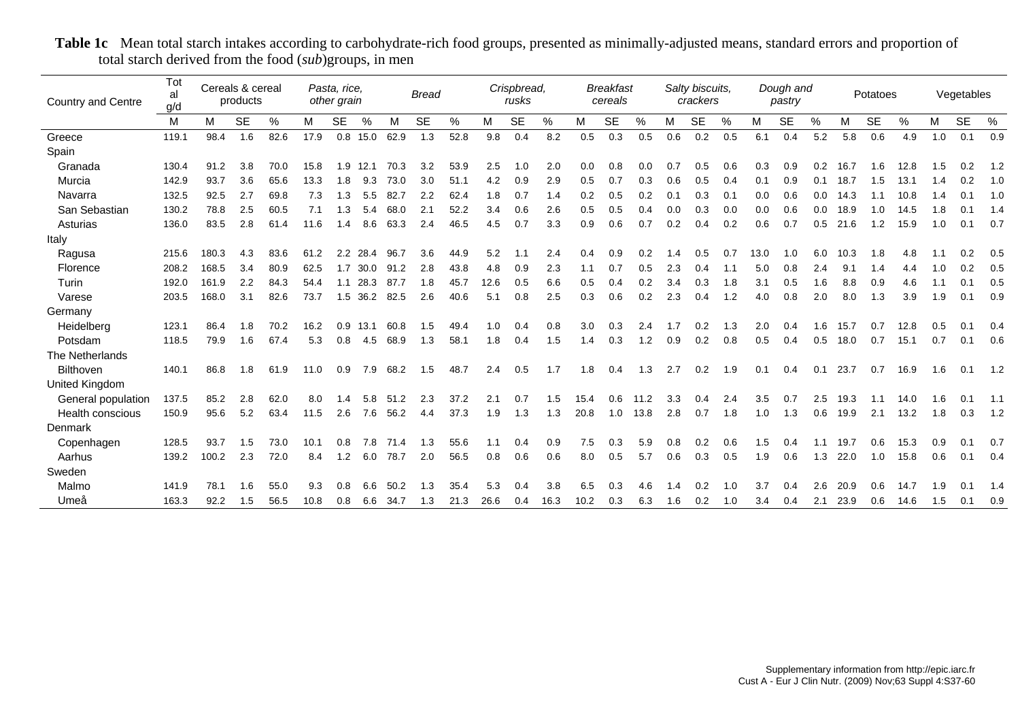| <b>Country and Centre</b> | Tot<br>al<br>g/d |       | Cereals & cereal<br>products |      |      | Pasta, rice,<br>other grain<br><b>SE</b><br>% |      |      | <b>Bread</b> |      |      | Crispbread,<br>rusks |      |      | <b>Breakfast</b><br>cereals |      |     | Salty biscuits,<br>crackers |     |      | Dough and<br>pastry |     |      | Potatoes  |      |     | Vegetables |      |
|---------------------------|------------------|-------|------------------------------|------|------|-----------------------------------------------|------|------|--------------|------|------|----------------------|------|------|-----------------------------|------|-----|-----------------------------|-----|------|---------------------|-----|------|-----------|------|-----|------------|------|
|                           | M                | M     | <b>SE</b>                    | %    | м    |                                               |      | М    | <b>SE</b>    | %    | M    | <b>SE</b>            | %    | М    | <b>SE</b>                   | %    | M   | <b>SE</b>                   | %   | М    | <b>SE</b>           | %   | М    | <b>SE</b> | %    | М   | <b>SE</b>  | $\%$ |
| Greece                    | 119.1            | 98.4  | 1.6                          | 82.6 | 17.9 | 0.8                                           | 15.0 | 62.9 | 1.3          | 52.8 | 9.8  | 0.4                  | 8.2  | 0.5  | 0.3                         | 0.5  | 0.6 | 0.2                         | 0.5 | 6.1  | 0.4                 | 5.2 | 5.8  | 0.6       | 4.9  | 1.0 | 0.1        | 0.9  |
| Spain                     |                  |       |                              |      |      |                                               |      |      |              |      |      |                      |      |      |                             |      |     |                             |     |      |                     |     |      |           |      |     |            |      |
| Granada                   | 130.4            | 91.2  | 3.8                          | 70.0 | 15.8 | 1.9                                           | 12.1 | 70.3 | 3.2          | 53.9 | 2.5  | 1.0                  | 2.0  | 0.0  | 0.8                         | 0.0  | 0.7 | 0.5                         | 0.6 | 0.3  | 0.9                 | 0.2 | 16.7 | 1.6       | 12.8 | 1.5 | 0.2        | 1.2  |
| Murcia                    | 142.9            | 93.7  | 3.6                          | 65.6 | 13.3 | 1.8                                           | 9.3  | 73.0 | 3.0          | 51.1 | 4.2  | 0.9                  | 2.9  | 0.5  | 0.7                         | 0.3  | 0.6 | 0.5                         | 0.4 | 0.1  | 0.9                 | 0.1 | 18.7 | 1.5       | 13.1 | 1.4 | 0.2        | 1.0  |
| Navarra                   | 132.5            | 92.5  | 2.7                          | 69.8 | 7.3  | 1.3                                           | 5.5  | 82.7 | 2.2          | 62.4 | 1.8  | 0.7                  | 1.4  | 0.2  | 0.5                         | 0.2  | 0.1 | 0.3                         | 0.1 | 0.0  | 0.6                 | 0.0 | 14.3 | 1.1       | 10.8 | 1.4 | 0.1        | 1.0  |
| San Sebastian             | 130.2            | 78.8  | 2.5                          | 60.5 | 7.1  | 1.3                                           | 5.4  | 68.0 | 2.1          | 52.2 | 3.4  | 0.6                  | 2.6  | 0.5  | 0.5                         | 0.4  | 0.0 | 0.3                         | 0.0 | 0.0  | 0.6                 | 0.0 | 18.9 | 1.0       | 14.5 | 1.8 | 0.1        | 1.4  |
| Asturias                  | 136.0            | 83.5  | 2.8                          | 61.4 | 11.6 | 1.4                                           | 8.6  | 63.3 | 2.4          | 46.5 | 4.5  | 0.7                  | 3.3  | 0.9  | 0.6                         | 0.7  | 0.2 | 0.4                         | 0.2 | 0.6  | 0.7                 | 0.5 | 21.6 | 1.2       | 15.9 | 1.0 | 0.1        | 0.7  |
| Italy                     |                  |       |                              |      |      |                                               |      |      |              |      |      |                      |      |      |                             |      |     |                             |     |      |                     |     |      |           |      |     |            |      |
| Ragusa                    | 215.6            | 180.3 | 4.3                          | 83.6 | 61.2 | 2.2                                           | 28.4 | 96.7 | 3.6          | 44.9 | 5.2  | 1.1                  | 2.4  | 0.4  | 0.9                         | 0.2  | 1.4 | 0.5                         | 0.7 | 13.0 | 1.0                 | 6.0 | 10.3 | 1.8       | 4.8  |     | 0.2        | 0.5  |
| Florence                  | 208.2            | 168.5 | 3.4                          | 80.9 | 62.5 | 1.7                                           | 30.0 | 91.2 | 2.8          | 43.8 | 4.8  | 0.9                  | 2.3  | 1.1  | 0.7                         | 0.5  | 2.3 | 0.4                         |     | 5.0  | 0.8                 | 2.4 | 9.1  | 1.4       | 4.4  | 1.0 | 0.2        | 0.5  |
| Turin                     | 192.0            | 161.9 | 2.2                          | 84.3 | 54.4 | 1.1                                           | 28.3 | 87.7 | 1.8          | 45.7 | 12.6 | 0.5                  | 6.6  | 0.5  | 0.4                         | 0.2  | 3.4 | 0.3                         | 1.8 | 3.1  | 0.5                 | 1.6 | 8.8  | 0.9       | 4.6  | 1.1 | 0.1        | 0.5  |
| Varese                    | 203.5            | 168.0 | 3.1                          | 82.6 | 73.7 | 1.5                                           | 36.2 | 82.5 | 2.6          | 40.6 | 5.1  | 0.8                  | 2.5  | 0.3  | 0.6                         | 0.2  | 2.3 | 0.4                         | 1.2 | 4.0  | 0.8                 | 2.0 | 8.0  | 1.3       | 3.9  | 1.9 | 0.1        | 0.9  |
| Germany                   |                  |       |                              |      |      |                                               |      |      |              |      |      |                      |      |      |                             |      |     |                             |     |      |                     |     |      |           |      |     |            |      |
| Heidelberg                | 123.1            | 86.4  | 1.8                          | 70.2 | 16.2 | 0.9                                           | 13.1 | 60.8 | 1.5          | 49.4 | 1.0  | 0.4                  | 0.8  | 3.0  | 0.3                         | 2.4  |     | 0.2                         | 1.3 | 2.0  | 0.4                 | 1.6 | 15.7 | 0.7       | 12.8 | 0.5 | 0.1        | 0.4  |
| Potsdam                   | 118.5            | 79.9  | 1.6                          | 67.4 | 5.3  | 0.8                                           | 4.5  | 68.9 | 1.3          | 58.1 | 1.8  | 0.4                  | 1.5  | 1.4  | 0.3                         | 1.2  | 0.9 | 0.2                         | 0.8 | 0.5  | 0.4                 | 0.5 | 18.0 | 0.7       | 15.1 | 0.7 | 0.1        | 0.6  |
| The Netherlands           |                  |       |                              |      |      |                                               |      |      |              |      |      |                      |      |      |                             |      |     |                             |     |      |                     |     |      |           |      |     |            |      |
| Bilthoven                 | 140.1            | 86.8  | 1.8                          | 61.9 | 11.0 | 0.9                                           | 7.9  | 68.2 | 1.5          | 48.7 | 2.4  | 0.5                  | 1.7  | 1.8  | 0.4                         | 1.3  | 2.7 | 0.2                         | 1.9 | 0.1  | 0.4                 | 0.1 | 23.7 | 0.7       | 16.9 | 1.6 | 0.1        | 1.2  |
| United Kingdom            |                  |       |                              |      |      |                                               |      |      |              |      |      |                      |      |      |                             |      |     |                             |     |      |                     |     |      |           |      |     |            |      |
| General population        | 137.5            | 85.2  | 2.8                          | 62.0 | 8.0  | 1.4                                           | 5.8  | 51.2 | 2.3          | 37.2 |      | 0.7                  | 1.5  | 15.4 | 0.6                         | 11.2 | 3.3 | 0.4                         | 2.4 | 3.5  | 0.7                 | 2.5 | 19.3 | 1.1       | 14.0 | 1.6 | 0.1        | 1.1  |
| Health conscious          | 150.9            | 95.6  | 5.2                          | 63.4 | 11.5 | 2.6                                           | 7.6  | 56.2 | 4.4          | 37.3 | 1.9  | 1.3                  | 1.3  | 20.8 | 1.0                         | 13.8 | 2.8 | 0.7                         | 1.8 | 1.0  | 1.3                 | 0.6 | 19.9 | 2.1       | 13.2 | 1.8 | 0.3        | 1.2  |
| Denmark                   |                  |       |                              |      |      |                                               |      |      |              |      |      |                      |      |      |                             |      |     |                             |     |      |                     |     |      |           |      |     |            |      |
| Copenhagen                | 128.5            | 93.7  | 1.5                          | 73.0 | 10.1 | 0.8                                           | 7.8  | 71.4 | 1.3          | 55.6 | 1.1  | 0.4                  | 0.9  | 7.5  | 0.3                         | 5.9  | 0.8 | 0.2                         | 0.6 | 1.5  | 0.4                 | 1.1 | 19.7 | 0.6       | 15.3 | 0.9 | 0.1        | 0.7  |
| Aarhus                    | 139.2            | 100.2 | 2.3                          | 72.0 | 8.4  | 1.2                                           | 6.0  | 78.7 | 2.0          | 56.5 | 0.8  | 0.6                  | 0.6  | 8.0  | 0.5                         | 5.7  | 0.6 | 0.3                         | 0.5 | 1.9  | 0.6                 | 1.3 | 22.0 | 1.0       | 15.8 | 0.6 | 0.1        | 0.4  |
| Sweden                    |                  |       |                              |      |      |                                               |      |      |              |      |      |                      |      |      |                             |      |     |                             |     |      |                     |     |      |           |      |     |            |      |
| Malmo                     | 141.9            | 78.1  | 1.6                          | 55.0 | 9.3  | 0.8                                           | 6.6  | 50.2 | 1.3          | 35.4 | 5.3  | 0.4                  | 3.8  | 6.5  | 0.3                         | 4.6  | 1.4 | 0.2                         | 1.0 | 3.7  | 0.4                 | 2.6 | 20.9 | 0.6       | 14.7 | 1.9 | 0.1        | 1.4  |
| Umeå                      | 163.3            | 92.2  | 1.5                          | 56.5 | 10.8 | 0.8                                           | 6.6  | 34.7 | 1.3          | 21.3 | 26.6 | 0.4                  | 16.3 | 10.2 | 0.3                         | 6.3  | 1.6 | 0.2                         | 1.0 | 3.4  | 0.4                 | 2.1 | 23.9 | 0.6       | 14.6 | 1.5 | 0.1        | 0.9  |

**Table 1c** Mean total starch intakes according to carbohydrate-rich food groups, presented as minimally-adjusted means, standard errors and proportion of total starch derived from the food (*sub*)groups, in men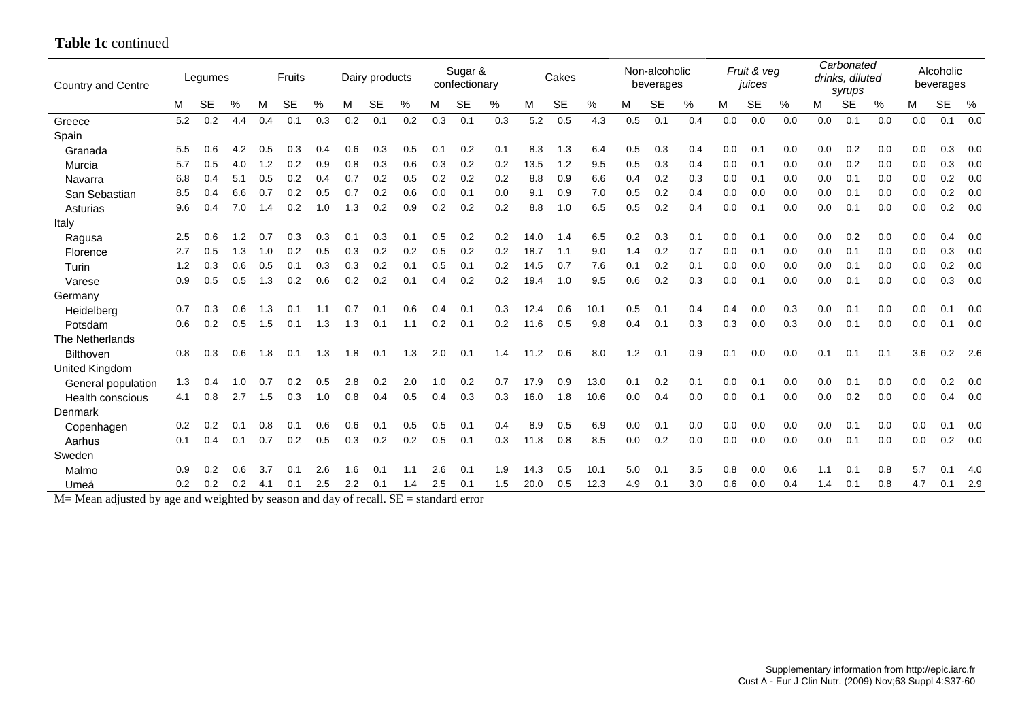## **Table 1c** continued

| Country and Centre    |     | Legumes   |     |     | Fruits    |      |     | Dairy products |      |     | Sugar &<br>confectionary |     |      | Cakes     |      |     | Non-alcoholic<br>beverages |      |     | Fruit & veg<br>juices |     |     | Carbonated<br>drinks, diluted<br>syrups |     |     | Alcoholic<br>beverages |       |
|-----------------------|-----|-----------|-----|-----|-----------|------|-----|----------------|------|-----|--------------------------|-----|------|-----------|------|-----|----------------------------|------|-----|-----------------------|-----|-----|-----------------------------------------|-----|-----|------------------------|-------|
|                       | M   | <b>SE</b> | %   | M   | <b>SE</b> | $\%$ | М   | <b>SE</b>      | $\%$ | м   | <b>SE</b>                | %   | M    | <b>SE</b> | %    | М   | <b>SE</b>                  | $\%$ | м   | <b>SE</b>             | %   | M   | <b>SE</b>                               | %   | м   | <b>SE</b>              | %     |
| Greece                | 5.2 | 0.2       | 4.4 | 0.4 | 0.1       | 0.3  | 0.2 | 0.1            | 0.2  | 0.3 | 0.1                      | 0.3 | 5.2  | 0.5       | 4.3  | 0.5 | 0.1                        | 0.4  | 0.0 | 0.0                   | 0.0 | 0.0 | 0.1                                     | 0.0 | 0.0 | 0.1                    | 0.0   |
| Spain                 |     |           |     |     |           |      |     |                |      |     |                          |     |      |           |      |     |                            |      |     |                       |     |     |                                         |     |     |                        |       |
| Granada               | 5.5 | 0.6       | 4.2 | 0.5 | 0.3       | 0.4  | 0.6 | 0.3            | 0.5  | 0.1 | 0.2                      | 0.1 | 8.3  | 1.3       | 6.4  | 0.5 | 0.3                        | 0.4  | 0.0 | 0.1                   | 0.0 | 0.0 | 0.2                                     | 0.0 | 0.0 | 0.3                    | 0.0   |
| Murcia                | 5.7 | 0.5       | 4.0 | 1.2 | 0.2       | 0.9  | 0.8 | 0.3            | 0.6  | 0.3 | 0.2                      | 0.2 | 13.5 | 1.2       | 9.5  | 0.5 | 0.3                        | 0.4  | 0.0 | 0.1                   | 0.0 | 0.0 | 0.2                                     | 0.0 | 0.0 | 0.3                    | 0.0   |
| Navarra               | 6.8 | 0.4       | 5.1 | 0.5 | 0.2       | 0.4  | 0.7 | 0.2            | 0.5  | 0.2 | 0.2                      | 0.2 | 8.8  | 0.9       | 6.6  | 0.4 | 0.2                        | 0.3  | 0.0 | 0.1                   | 0.0 | 0.0 | 0.1                                     | 0.0 | 0.0 | 0.2                    | 0.0   |
| San Sebastian         | 8.5 | 0.4       | 6.6 | 0.7 | 0.2       | 0.5  | 0.7 | 0.2            | 0.6  | 0.0 | 0.1                      | 0.0 | 9.1  | 0.9       | 7.0  | 0.5 | 0.2                        | 0.4  | 0.0 | 0.0                   | 0.0 | 0.0 | 0.1                                     | 0.0 | 0.0 | 0.2                    | 0.0   |
| Asturias              | 9.6 | 0.4       | 7.0 | 1.4 | 0.2       | 1.0  | 1.3 | 0.2            | 0.9  | 0.2 | 0.2                      | 0.2 | 8.8  | 1.0       | 6.5  | 0.5 | 0.2                        | 0.4  | 0.0 | 0.1                   | 0.0 | 0.0 | 0.1                                     | 0.0 | 0.0 | 0.2                    | 0.0   |
| Italy                 |     |           |     |     |           |      |     |                |      |     |                          |     |      |           |      |     |                            |      |     |                       |     |     |                                         |     |     |                        |       |
| Ragusa                | 2.5 | 0.6       | 1.2 | 0.7 | 0.3       | 0.3  | 0.1 | 0.3            | 0.1  | 0.5 | 0.2                      | 0.2 | 14.0 | 1.4       | 6.5  | 0.2 | 0.3                        | 0.1  | 0.0 | 0.1                   | 0.0 | 0.0 | 0.2                                     | 0.0 | 0.0 | 0.4                    | 0.0   |
| Florence              | 2.7 | 0.5       | 1.3 | 1.0 | 0.2       | 0.5  | 0.3 | 0.2            | 0.2  | 0.5 | 0.2                      | 0.2 | 18.7 | 1.1       | 9.0  | 1.4 | 0.2                        | 0.7  | 0.0 | 0.1                   | 0.0 | 0.0 | 0.1                                     | 0.0 | 0.0 | 0.3                    | 0.0   |
| Turin                 | 1.2 | 0.3       | 0.6 | 0.5 | 0.1       | 0.3  | 0.3 | 0.2            | 0.1  | 0.5 | 0.1                      | 0.2 | 14.5 | 0.7       | 7.6  | 0.1 | 0.2                        | 0.1  | 0.0 | 0.0                   | 0.0 | 0.0 | 0.1                                     | 0.0 | 0.0 | 0.2                    | 0.0   |
| Varese                | 0.9 | 0.5       | 0.5 | 1.3 | 0.2       | 0.6  | 0.2 | 0.2            | 0.1  | 0.4 | 0.2                      | 0.2 | 19.4 | 1.0       | 9.5  | 0.6 | 0.2                        | 0.3  | 0.0 | 0.1                   | 0.0 | 0.0 | 0.1                                     | 0.0 | 0.0 | 0.3                    | 0.0   |
| Germany               |     |           |     |     |           |      |     |                |      |     |                          |     |      |           |      |     |                            |      |     |                       |     |     |                                         |     |     |                        |       |
| Heidelberg            | 0.7 | 0.3       | 0.6 | 1.3 | 0.1       | 1.1  | 0.7 | 0.1            | 0.6  | 0.4 | 0.1                      | 0.3 | 12.4 | 0.6       | 10.1 | 0.5 | 0.1                        | 0.4  | 0.4 | 0.0                   | 0.3 | 0.0 | 0.1                                     | 0.0 | 0.0 | 0.1                    | 0.0   |
| Potsdam               | 0.6 | 0.2       | 0.5 | 1.5 | 0.1       | 1.3  | 1.3 | 0.1            | 1.1  | 0.2 | 0.1                      | 0.2 | 11.6 | 0.5       | 9.8  | 0.4 | 0.1                        | 0.3  | 0.3 | 0.0                   | 0.3 | 0.0 | 0.1                                     | 0.0 | 0.0 | 0.1                    | 0.0   |
| The Netherlands       |     |           |     |     |           |      |     |                |      |     |                          |     |      |           |      |     |                            |      |     |                       |     |     |                                         |     |     |                        |       |
| <b>Bilthoven</b>      | 0.8 | 0.3       | 0.6 | 1.8 | 0.1       | 1.3  | 1.8 | 0.1            | 1.3  | 2.0 | 0.1                      | 1.4 | 11.2 | 0.6       | 8.0  | 1.2 | 0.1                        | 0.9  | 0.1 | 0.0                   | 0.0 | 0.1 | 0.1                                     | 0.1 | 3.6 | 0.2                    | - 2.6 |
| <b>United Kingdom</b> |     |           |     |     |           |      |     |                |      |     |                          |     |      |           |      |     |                            |      |     |                       |     |     |                                         |     |     |                        |       |
| General population    | 1.3 | 0.4       | 1.0 | 0.7 | 0.2       | 0.5  | 2.8 | 0.2            | 2.0  | 1.0 | 0.2                      | 0.7 | 17.9 | 0.9       | 13.0 | 0.1 | 0.2                        | 0.1  | 0.0 | 0.1                   | 0.0 | 0.0 | 0.1                                     | 0.0 | 0.0 | 0.2                    | 0.0   |
| Health conscious      | 4.1 | 0.8       | 2.7 | 1.5 | 0.3       | 1.0  | 0.8 | 0.4            | 0.5  | 0.4 | 0.3                      | 0.3 | 16.0 | 1.8       | 10.6 | 0.0 | 0.4                        | 0.0  | 0.0 | 0.1                   | 0.0 | 0.0 | 0.2                                     | 0.0 | 0.0 | 0.4                    | 0.0   |
| Denmark               |     |           |     |     |           |      |     |                |      |     |                          |     |      |           |      |     |                            |      |     |                       |     |     |                                         |     |     |                        |       |
| Copenhagen            | 0.2 | 0.2       | 0.1 | 0.8 | 0.1       | 0.6  | 0.6 | 0.1            | 0.5  | 0.5 | 0.1                      | 0.4 | 8.9  | 0.5       | 6.9  | 0.0 | 0.1                        | 0.0  | 0.0 | 0.0                   | 0.0 | 0.0 | 0.1                                     | 0.0 | 0.0 | 0.1                    | 0.0   |
| Aarhus                | 0.1 | 0.4       | 0.1 | 0.7 | 0.2       | 0.5  | 0.3 | 0.2            | 0.2  | 0.5 | 0.1                      | 0.3 | 11.8 | 0.8       | 8.5  | 0.0 | 0.2                        | 0.0  | 0.0 | 0.0                   | 0.0 | 0.0 | 0.1                                     | 0.0 | 0.0 | 0.2                    | 0.0   |
| Sweden                |     |           |     |     |           |      |     |                |      |     |                          |     |      |           |      |     |                            |      |     |                       |     |     |                                         |     |     |                        |       |
| Malmo                 | 0.9 | 0.2       | 0.6 | 3.7 | 0.1       | 2.6  | 1.6 | 0.1            | 1.1  | 2.6 | 0.1                      | 1.9 | 14.3 | 0.5       | 10.1 | 5.0 | 0.1                        | 3.5  | 0.8 | 0.0                   | 0.6 | 1.1 | 0.1                                     | 0.8 | 5.7 | 0.1                    | 4.0   |
| Umeå                  | 0.2 | 0.2       | 0.2 | 4.1 | 0.1       | 2.5  | 2.2 | 0.1            | 1.4  | 2.5 | 0.1                      | 1.5 | 20.0 | 0.5       | 12.3 | 4.9 | 0.1                        | 3.0  | 0.6 | 0.0                   | 0.4 | 1.4 | 0.1                                     | 0.8 | 4.7 | 0.1                    | 2.9   |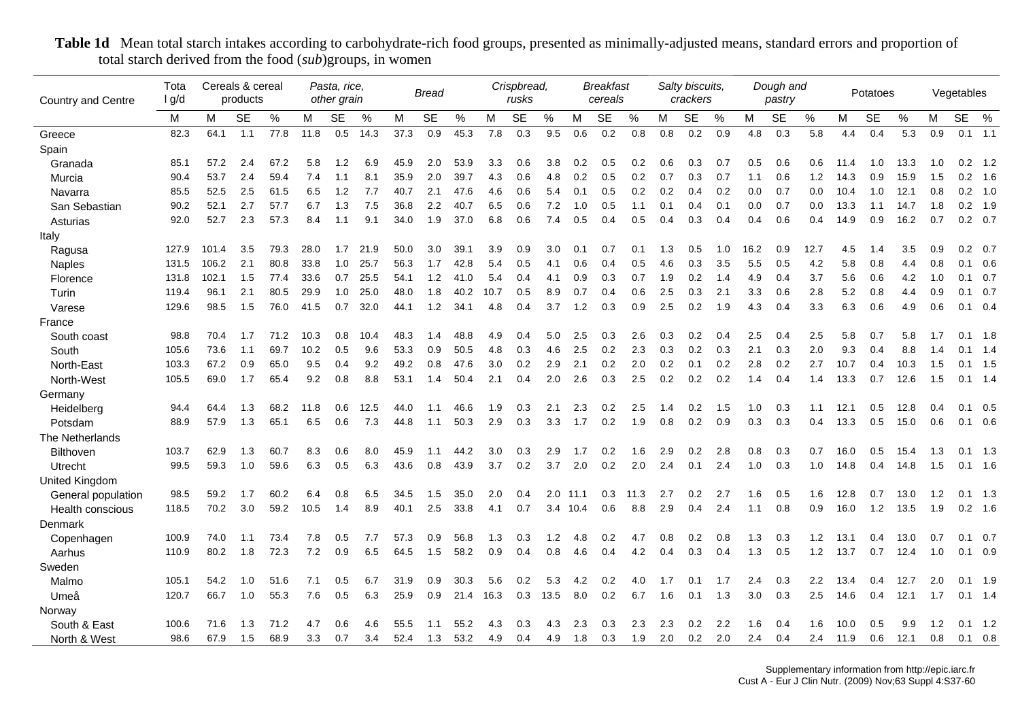| Country and Centre    | Tota<br>I g/d |       | Cereals & cereal<br>products |      |      | Pasta, rice,<br>other grain |      |      | Bread     |      |      | Crispbread,<br>rusks |      |      | Breakfast<br>cereals |      |     | Salty biscuits,<br>crackers |     |      | Dough and<br>pastry |      |      | Potatoes  |      |     | Vegetables   |                 |
|-----------------------|---------------|-------|------------------------------|------|------|-----------------------------|------|------|-----------|------|------|----------------------|------|------|----------------------|------|-----|-----------------------------|-----|------|---------------------|------|------|-----------|------|-----|--------------|-----------------|
|                       | м             | М     | <b>SE</b>                    | %    | М    | <b>SE</b>                   | %    | м    | <b>SE</b> | %    | M    | <b>SE</b>            | %    | M    | <b>SE</b>            | %    | м   | <b>SE</b>                   | %   | м    | <b>SE</b>           | $\%$ | M    | <b>SE</b> | $\%$ | M   | <b>SE</b>    | %               |
| Greece                | 82.3          | 64.1  | 1.1                          | 77.8 | 11.8 | 0.5                         | 14.3 | 37.3 | 0.9       | 45.3 | 7.8  | 0.3                  | 9.5  | 0.6  | 0.2                  | 0.8  | 0.8 | 0.2                         | 0.9 | 4.8  | 0.3                 | 5.8  | 4.4  | 0.4       | 5.3  | 0.9 |              | $0.1$ 1.1       |
| Spain                 |               |       |                              |      |      |                             |      |      |           |      |      |                      |      |      |                      |      |     |                             |     |      |                     |      |      |           |      |     |              |                 |
| Granada               | 85.1          | 57.2  | 2.4                          | 67.2 | 5.8  | 1.2                         | 6.9  | 45.9 | 2.0       | 53.9 | 3.3  | 0.6                  | 3.8  | 0.2  | 0.5                  | 0.2  | 0.6 | 0.3                         | 0.7 | 0.5  | 0.6                 | 0.6  | 11.4 | 1.0       | 13.3 | 1.0 | 0.2          | 1.2             |
| Murcia                | 90.4          | 53.7  | 2.4                          | 59.4 | 7.4  | 1.1                         | 8.1  | 35.9 | 2.0       | 39.7 | 4.3  | 0.6                  | 4.8  | 0.2  | 0.5                  | 0.2  | 0.7 | 0.3                         | 0.7 | 1.1  | 0.6                 | 1.2  | 14.3 | 0.9       | 15.9 | 1.5 | 0.2          | 1.6             |
| Navarra               | 85.5          | 52.5  | 2.5                          | 61.5 | 6.5  | 1.2                         | 7.7  | 40.7 | 2.1       | 47.6 | 4.6  | 0.6                  | 5.4  | 0.1  | 0.5                  | 0.2  | 0.2 | 0.4                         | 0.2 | 0.0  | 0.7                 | 0.0  | 10.4 | 1.0       | 12.1 | 0.8 | 0.2          | 1.0             |
| San Sebastian         | 90.2          | 52.1  | 2.7                          | 57.7 | 6.7  | 1.3                         | 7.5  | 36.8 | 2.2       | 40.7 | 6.5  | 0.6                  | 7.2  | 1.0  | 0.5                  | 1.1  | 0.1 | 0.4                         | 0.1 | 0.0  | 0.7                 | 0.0  | 13.3 | 1.1       | 14.7 | 1.8 | 0.2          | 1.9             |
| Asturias              | 92.0          | 52.7  | 2.3                          | 57.3 | 8.4  | 1.1                         | 9.1  | 34.0 | 1.9       | 37.0 | 6.8  | 0.6                  | 7.4  | 0.5  | 0.4                  | 0.5  | 0.4 | 0.3                         | 0.4 | 0.4  | 0.6                 | 0.4  | 14.9 | 0.9       | 16.2 | 0.7 |              | $0.2 \quad 0.7$ |
| Italy                 |               |       |                              |      |      |                             |      |      |           |      |      |                      |      |      |                      |      |     |                             |     |      |                     |      |      |           |      |     |              |                 |
| Ragusa                | 127.9         | 101.4 | 3.5                          | 79.3 | 28.0 | 1.7                         | 21.9 | 50.0 | 3.0       | 39.1 | 3.9  | 0.9                  | 3.0  | 0.1  | 0.7                  | 0.1  | 1.3 | 0.5                         | 1.0 | 16.2 | 0.9                 | 12.7 | 4.5  | 1.4       | 3.5  | 0.9 | 0.2          | 0.7             |
| Naples                | 131.5         | 106.2 | 2.1                          | 80.8 | 33.8 | 1.0                         | 25.7 | 56.3 | 1.7       | 42.8 | 5.4  | 0.5                  | 4.1  | 0.6  | 0.4                  | 0.5  | 4.6 | 0.3                         | 3.5 | 5.5  | 0.5                 | 4.2  | 5.8  | 0.8       | 4.4  | 0.8 | 0.1          | 0.6             |
| Florence              | 131.8         | 102.1 | 1.5                          | 77.4 | 33.6 | 0.7                         | 25.5 | 54.1 | 1.2       | 41.0 | 5.4  | 0.4                  | 4.1  | 0.9  | 0.3                  | 0.7  | 1.9 | 0.2                         | 1.4 | 4.9  | 0.4                 | 3.7  | 5.6  | 0.6       | 4.2  | 1.0 |              | $0.1 \quad 0.7$ |
| Turin                 | 119.4         | 96.1  | 2.1                          | 80.5 | 29.9 | 1.0                         | 25.0 | 48.0 | 1.8       | 40.2 | 10.7 | 0.5                  | 8.9  | 0.7  | 0.4                  | 0.6  | 2.5 | 0.3                         | 2.1 | 3.3  | 0.6                 | 2.8  | 5.2  | 0.8       | 4.4  | 0.9 |              | $0.1 \quad 0.7$ |
| Varese                | 129.6         | 98.5  | 1.5                          | 76.0 | 41.5 | 0.7                         | 32.0 | 44.1 | 1.2       | 34.1 | 4.8  | 0.4                  | 3.7  | 1.2  | 0.3                  | 0.9  | 2.5 | 0.2                         | 1.9 | 4.3  | 0.4                 | 3.3  | 6.3  | 0.6       | 4.9  | 0.6 |              | $0.1 \quad 0.4$ |
| France                |               |       |                              |      |      |                             |      |      |           |      |      |                      |      |      |                      |      |     |                             |     |      |                     |      |      |           |      |     |              |                 |
| South coast           | 98.8          | 70.4  | 1.7                          | 71.2 | 10.3 | 0.8                         | 10.4 | 48.3 | 1.4       | 48.8 | 4.9  | 0.4                  | 5.0  | 2.5  | 0.3                  | 2.6  | 0.3 | 0.2                         | 0.4 | 2.5  | 0.4                 | 2.5  | 5.8  | 0.7       | 5.8  | 1.7 | 0.1          | 1.8             |
| South                 | 105.6         | 73.6  | 1.1                          | 69.7 | 10.2 | 0.5                         | 9.6  | 53.3 | 0.9       | 50.5 | 4.8  | 0.3                  | 4.6  | 2.5  | 0.2                  | 2.3  | 0.3 | 0.2                         | 0.3 | 2.1  | 0.3                 | 2.0  | 9.3  | 0.4       | 8.8  | 1.4 | $\mathbf{0}$ | 1.4             |
| North-East            | 103.3         | 67.2  | 0.9                          | 65.0 | 9.5  | 0.4                         | 9.2  | 49.2 | 0.8       | 47.6 | 3.0  | 0.2                  | 2.9  | 2.1  | 0.2                  | 2.0  | 0.2 | 0.1                         | 0.2 | 2.8  | 0.2                 | 2.7  | 10.7 | 0.4       | 10.3 | 1.5 |              | $0.1$ 1.5       |
| North-West            | 105.5         | 69.0  | 1.7                          | 65.4 | 9.2  | 0.8                         | 8.8  | 53.1 | 1.4       | 50.4 | 2.1  | 0.4                  | 2.0  | 2.6  | 0.3                  | 2.5  | 0.2 | 0.2                         | 0.2 | 1.4  | 0.4                 | 1.4  | 13.3 | 0.7       | 12.6 | 1.5 |              | $0.1$ 1.4       |
| Germany               |               |       |                              |      |      |                             |      |      |           |      |      |                      |      |      |                      |      |     |                             |     |      |                     |      |      |           |      |     |              |                 |
| Heidelberg            | 94.4          | 64.4  | 1.3                          | 68.2 | 11.8 | 0.6                         | 12.5 | 44.0 | 1.1       | 46.6 | 1.9  | 0.3                  | 2.1  | 2.3  | 0.2                  | 2.5  | 1.4 | 0.2                         | 1.5 | 1.0  | 0.3                 | 1.1  | 12.1 | 0.5       | 12.8 | 0.4 |              | $0.1 \quad 0.5$ |
| Potsdam               | 88.9          | 57.9  | 1.3                          | 65.1 | 6.5  | 0.6                         | 7.3  | 44.8 | 1.1       | 50.3 | 2.9  | 0.3                  | 3.3  | 1.7  | 0.2                  | 1.9  | 0.8 | 0.2                         | 0.9 | 0.3  | 0.3                 | 0.4  | 13.3 | 0.5       | 15.0 | 0.6 |              | $0.1 \quad 0.6$ |
| The Netherlands       |               |       |                              |      |      |                             |      |      |           |      |      |                      |      |      |                      |      |     |                             |     |      |                     |      |      |           |      |     |              |                 |
| <b>Bilthoven</b>      | 103.7         | 62.9  | 1.3                          | 60.7 | 8.3  | 0.6                         | 8.0  | 45.9 | 1.1       | 44.2 | 3.0  | 0.3                  | 2.9  | 1.7  | 0.2                  | 1.6  | 2.9 | 0.2                         | 2.8 | 0.8  | 0.3                 | 0.7  | 16.0 | 0.5       | 15.4 | 1.3 |              | $0.1$ 1.3       |
| Utrecht               | 99.5          | 59.3  | 1.0                          | 59.6 | 6.3  | 0.5                         | 6.3  | 43.6 | 0.8       | 43.9 | 3.7  | 0.2                  | 3.7  | 2.0  | 0.2                  | 2.0  | 2.4 | 0.1                         | 2.4 | 1.0  | 0.3                 | 1.0  | 14.8 | 0.4       | 14.8 | 1.5 |              | $0.1$ 1.6       |
| <b>United Kingdom</b> |               |       |                              |      |      |                             |      |      |           |      |      |                      |      |      |                      |      |     |                             |     |      |                     |      |      |           |      |     |              |                 |
| General population    | 98.5          | 59.2  | 1.7                          | 60.2 | 6.4  | 0.8                         | 6.5  | 34.5 | 1.5       | 35.0 | 2.0  | 0.4                  | 2.0  | 11.1 | 0.3                  | 11.3 | 2.7 | 0.2                         | 2.7 | 1.6  | 0.5                 | 1.6  | 12.8 | 0.7       | 13.0 | 1.2 |              | $0.1 \quad 1.3$ |
| Health conscious      | 118.5         | 70.2  | 3.0                          | 59.2 | 10.5 | 1.4                         | 8.9  | 40.1 | 2.5       | 33.8 | 4.1  | 0.7                  | 3.4  | 10.4 | 0.6                  | 8.8  | 2.9 | 0.4                         | 2.4 | 1.1  | 0.8                 | 0.9  | 16.0 | 1.2       | 13.5 | 1.9 |              | $0.2$ 1.6       |
| Denmark               |               |       |                              |      |      |                             |      |      |           |      |      |                      |      |      |                      |      |     |                             |     |      |                     |      |      |           |      |     |              |                 |
| Copenhagen            | 100.9         | 74.0  | 1.1                          | 73.4 | 7.8  | 0.5                         | 7.7  | 57.3 | 0.9       | 56.8 | 1.3  | 0.3                  | 1.2  | 4.8  | 0.2                  | 4.7  | 0.8 | 0.2                         | 0.8 | 1.3  | 0.3                 | 1.2  | 13.1 | 0.4       | 13.0 | 0.7 |              | $0.1 \quad 0.7$ |
| Aarhus                | 110.9         | 80.2  | 1.8                          | 72.3 | 7.2  | 0.9                         | 6.5  | 64.5 | 1.5       | 58.2 | 0.9  | 0.4                  | 0.8  | 4.6  | 0.4                  | 4.2  | 0.4 | 0.3                         | 0.4 | 1.3  | 0.5                 | 1.2  | 13.7 | 0.7       | 12.4 | 1.0 |              | $0.1 \quad 0.9$ |
| Sweden                |               |       |                              |      |      |                             |      |      |           |      |      |                      |      |      |                      |      |     |                             |     |      |                     |      |      |           |      |     |              |                 |
| Malmo                 | 105.1         | 54.2  | 1.0                          | 51.6 | 7.1  | 0.5                         | 6.7  | 31.9 | 0.9       | 30.3 | 5.6  | 0.2                  | 5.3  | 4.2  | 0.2                  | 4.0  | 1.7 | 0.1                         | 1.7 | 2.4  | 0.3                 | 2.2  | 13.4 | 0.4       | 12.7 | 2.0 | 0.1          | 1.9             |
| Umeå                  | 120.7         | 66.7  | 1.0                          | 55.3 | 7.6  | 0.5                         | 6.3  | 25.9 | 0.9       | 21.4 | 16.3 | 0.3                  | 13.5 | 8.0  | 0.2                  | 6.7  | 1.6 | 0.1                         | 1.3 | 3.0  | 0.3                 | 2.5  | 14.6 | 0.4       | 12.1 | 1.7 |              | $0.1 \quad 1.4$ |
| Norway                |               |       |                              |      |      |                             |      |      |           |      |      |                      |      |      |                      |      |     |                             |     |      |                     |      |      |           |      |     |              |                 |
| South & East          | 100.6         | 71.6  | 1.3                          | 71.2 | 4.7  | 0.6                         | 4.6  | 55.5 | 1.1       | 55.2 | 4.3  | 0.3                  | 4.3  | 2.3  | 0.3                  | 2.3  | 2.3 | 0.2                         | 2.2 | 1.6  | 0.4                 | 1.6  | 10.0 | 0.5       | 9.9  | 1.2 | 0.1          | 1.2             |
| North & West          | 98.6          | 67.9  | 1.5                          | 68.9 | 3.3  | 0.7                         | 3.4  | 52.4 | 1.3       | 53.2 | 4.9  | 0.4                  | 4.9  | 1.8  | 0.3                  | 1.9  | 2.0 | 0.2                         | 2.0 | 2.4  | 0.4                 | 2.4  | 11.9 | 0.6       | 12.1 | 0.8 |              | $0.1 \quad 0.8$ |

**Table 1d** Mean total starch intakes according to carbohydrate-rich food groups, presented as minimally-adjusted means, standard errors and proportion of total starch derived from the food (*sub*)groups, in women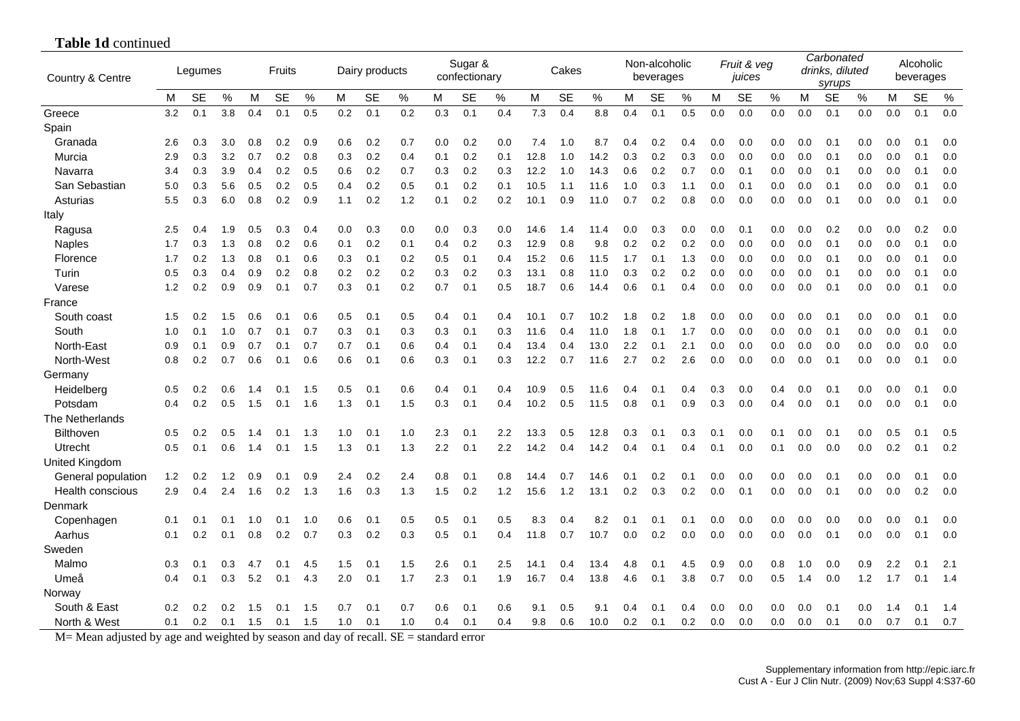| Country & Centre   |     | Legumes   |      |     | Fruits    |      |     | Dairy products |      | Sugar &<br>confectionary |           |      | Cakes |           |      | Non-alcoholic<br>beverages |           |      | Fruit & veg<br>juices |           |     | Carbonated<br>drinks, diluted<br>syrups |           |     | Alcoholic<br>beverages |           |      |
|--------------------|-----|-----------|------|-----|-----------|------|-----|----------------|------|--------------------------|-----------|------|-------|-----------|------|----------------------------|-----------|------|-----------------------|-----------|-----|-----------------------------------------|-----------|-----|------------------------|-----------|------|
|                    | м   | <b>SE</b> | $\%$ | M   | <b>SE</b> | $\%$ | M   | <b>SE</b>      | $\%$ | м                        | <b>SE</b> | $\%$ | M     | <b>SE</b> | $\%$ | M                          | <b>SE</b> | $\%$ | м                     | <b>SE</b> | %   | М                                       | <b>SE</b> | %   | М                      | <b>SE</b> | $\%$ |
| Greece             | 3.2 | 0.1       | 3.8  | 0.4 | 0.1       | 0.5  | 0.2 | 0.1            | 0.2  | 0.3                      | 0.1       | 0.4  | 7.3   | 0.4       | 8.8  | 0.4                        | 0.1       | 0.5  | 0.0                   | 0.0       | 0.0 | 0.0                                     | 0.1       | 0.0 | 0.0                    | 0.1       | 0.0  |
| Spain              |     |           |      |     |           |      |     |                |      |                          |           |      |       |           |      |                            |           |      |                       |           |     |                                         |           |     |                        |           |      |
| Granada            | 2.6 | 0.3       | 3.0  | 0.8 | 0.2       | 0.9  | 0.6 | 0.2            | 0.7  | 0.0                      | 0.2       | 0.0  | 7.4   | 1.0       | 8.7  | 0.4                        | 0.2       | 0.4  | 0.0                   | 0.0       | 0.0 | 0.0                                     | 0.1       | 0.0 | 0.0                    | 0.1       | 0.0  |
| Murcia             | 2.9 | 0.3       | 3.2  | 0.7 | 0.2       | 0.8  | 0.3 | 0.2            | 0.4  | 0.1                      | 0.2       | 0.1  | 12.8  | 1.0       | 14.2 | 0.3                        | 0.2       | 0.3  | 0.0                   | 0.0       | 0.0 | 0.0                                     | 0.1       | 0.0 | 0.0                    | 0.1       | 0.0  |
| Navarra            | 3.4 | 0.3       | 3.9  | 0.4 | 0.2       | 0.5  | 0.6 | 0.2            | 0.7  | 0.3                      | 0.2       | 0.3  | 12.2  | 1.0       | 14.3 | 0.6                        | 0.2       | 0.7  | 0.0                   | 0.1       | 0.0 | 0.0                                     | 0.1       | 0.0 | 0.0                    | 0.1       | 0.0  |
| San Sebastian      | 5.0 | 0.3       | 5.6  | 0.5 | 0.2       | 0.5  | 0.4 | 0.2            | 0.5  | 0.1                      | 0.2       | 0.1  | 10.5  | 1.1       | 11.6 | 1.0                        | 0.3       | 1.1  | 0.0                   | 0.1       | 0.0 | 0.0                                     | 0.1       | 0.0 | 0.0                    | 0.1       | 0.0  |
| Asturias           | 5.5 | 0.3       | 6.0  | 0.8 | 0.2       | 0.9  | 1.1 | 0.2            | 1.2  | 0.1                      | 0.2       | 0.2  | 10.1  | 0.9       | 11.0 | 0.7                        | 0.2       | 0.8  | 0.0                   | 0.0       | 0.0 | 0.0                                     | 0.1       | 0.0 | 0.0                    | 0.1       | 0.0  |
| Italy              |     |           |      |     |           |      |     |                |      |                          |           |      |       |           |      |                            |           |      |                       |           |     |                                         |           |     |                        |           |      |
| Ragusa             | 2.5 | 0.4       | 1.9  | 0.5 | 0.3       | 0.4  | 0.0 | 0.3            | 0.0  | 0.0                      | 0.3       | 0.0  | 14.6  | 1.4       | 11.4 | 0.0                        | 0.3       | 0.0  | 0.0                   | 0.1       | 0.0 | 0.0                                     | 0.2       | 0.0 | 0.0                    | 0.2       | 0.0  |
| <b>Naples</b>      | 1.7 | 0.3       | 1.3  | 0.8 | 0.2       | 0.6  | 0.1 | 0.2            | 0.1  | 0.4                      | 0.2       | 0.3  | 12.9  | 0.8       | 9.8  | 0.2                        | 0.2       | 0.2  | 0.0                   | 0.0       | 0.0 | 0.0                                     | 0.1       | 0.0 | 0.0                    | 0.1       | 0.0  |
| Florence           | 1.7 | 0.2       | 1.3  | 0.8 | 0.1       | 0.6  | 0.3 | 0.1            | 0.2  | 0.5                      | 0.1       | 0.4  | 15.2  | 0.6       | 11.5 | 1.7                        | 0.1       | 1.3  | 0.0                   | 0.0       | 0.0 | 0.0                                     | 0.1       | 0.0 | 0.0                    | 0.1       | 0.0  |
| Turin              | 0.5 | 0.3       | 0.4  | 0.9 | 0.2       | 0.8  | 0.2 | 0.2            | 0.2  | 0.3                      | 0.2       | 0.3  | 13.1  | 0.8       | 11.0 | 0.3                        | 0.2       | 0.2  | 0.0                   | 0.0       | 0.0 | 0.0                                     | 0.1       | 0.0 | 0.0                    | 0.1       | 0.0  |
| Varese             | 1.2 | 0.2       | 0.9  | 0.9 | 0.1       | 0.7  | 0.3 | 0.1            | 0.2  | 0.7                      | 0.1       | 0.5  | 18.7  | 0.6       | 14.4 | 0.6                        | 0.1       | 0.4  | 0.0                   | 0.0       | 0.0 | 0.0                                     | 0.1       | 0.0 | 0.0                    | 0.1       | 0.0  |
| France             |     |           |      |     |           |      |     |                |      |                          |           |      |       |           |      |                            |           |      |                       |           |     |                                         |           |     |                        |           |      |
| South coast        | 1.5 | 0.2       | 1.5  | 0.6 | 0.1       | 0.6  | 0.5 | 0.1            | 0.5  | 0.4                      | 0.1       | 0.4  | 10.1  | 0.7       | 10.2 | 1.8                        | 0.2       | 1.8  | 0.0                   | 0.0       | 0.0 | 0.0                                     | 0.1       | 0.0 | 0.0                    | 0.1       | 0.0  |
| South              | 1.0 | 0.1       | 1.0  | 0.7 | 0.1       | 0.7  | 0.3 | 0.1            | 0.3  | 0.3                      | 0.1       | 0.3  | 11.6  | 0.4       | 11.0 | 1.8                        | 0.1       | 1.7  | 0.0                   | 0.0       | 0.0 | 0.0                                     | 0.1       | 0.0 | 0.0                    | 0.1       | 0.0  |
| North-East         | 0.9 | 0.1       | 0.9  | 0.7 | 0.1       | 0.7  | 0.7 | 0.1            | 0.6  | 0.4                      | 0.1       | 0.4  | 13.4  | 0.4       | 13.0 | 2.2                        | 0.1       | 2.1  | 0.0                   | 0.0       | 0.0 | 0.0                                     | 0.0       | 0.0 | 0.0                    | 0.0       | 0.0  |
| North-West         | 0.8 | 0.2       | 0.7  | 0.6 | 0.1       | 0.6  | 0.6 | 0.1            | 0.6  | 0.3                      | 0.1       | 0.3  | 12.2  | 0.7       | 11.6 | 2.7                        | 0.2       | 2.6  | 0.0                   | 0.0       | 0.0 | 0.0                                     | 0.1       | 0.0 | 0.0                    | 0.1       | 0.0  |
| Germany            |     |           |      |     |           |      |     |                |      |                          |           |      |       |           |      |                            |           |      |                       |           |     |                                         |           |     |                        |           |      |
| Heidelberg         | 0.5 | 0.2       | 0.6  | 1.4 | 0.1       | 1.5  | 0.5 | 0.1            | 0.6  | 0.4                      | 0.1       | 0.4  | 10.9  | 0.5       | 11.6 | 0.4                        | 0.1       | 0.4  | 0.3                   | 0.0       | 0.4 | 0.0                                     | 0.1       | 0.0 | 0.0                    | 0.1       | 0.0  |
| Potsdam            | 0.4 | 0.2       | 0.5  | 1.5 | 0.1       | 1.6  | 1.3 | 0.1            | 1.5  | 0.3                      | 0.1       | 0.4  | 10.2  | 0.5       | 11.5 | 0.8                        | 0.1       | 0.9  | 0.3                   | 0.0       | 0.4 | 0.0                                     | 0.1       | 0.0 | 0.0                    | 0.1       | 0.0  |
| The Netherlands    |     |           |      |     |           |      |     |                |      |                          |           |      |       |           |      |                            |           |      |                       |           |     |                                         |           |     |                        |           |      |
| <b>Bilthoven</b>   | 0.5 | 0.2       | 0.5  | 1.4 | 0.1       | 1.3  | 1.0 | 0.1            | 1.0  | 2.3                      | 0.1       | 2.2  | 13.3  | 0.5       | 12.8 | 0.3                        | 0.1       | 0.3  | 0.1                   | 0.0       | 0.1 | 0.0                                     | 0.1       | 0.0 | 0.5                    | 0.1       | 0.5  |
| Utrecht            | 0.5 | 0.1       | 0.6  | 1.4 | 0.1       | 1.5  | 1.3 | 0.1            | 1.3  | 2.2                      | 0.1       | 2.2  | 14.2  | 0.4       | 14.2 | 0.4                        | 0.1       | 0.4  | 0.1                   | 0.0       | 0.1 | 0.0                                     | 0.0       | 0.0 | 0.2                    | 0.1       | 0.2  |
| United Kingdom     |     |           |      |     |           |      |     |                |      |                          |           |      |       |           |      |                            |           |      |                       |           |     |                                         |           |     |                        |           |      |
| General population | 1.2 | 0.2       | 1.2  | 0.9 | 0.1       | 0.9  | 2.4 | 0.2            | 2.4  | 0.8                      | 0.1       | 0.8  | 14.4  | 0.7       | 14.6 | 0.1                        | 0.2       | 0.1  | 0.0                   | 0.0       | 0.0 | 0.0                                     | 0.1       | 0.0 | 0.0                    | 0.1       | 0.0  |
| Health conscious   | 2.9 | 0.4       | 2.4  | 1.6 | 0.2       | 1.3  | 1.6 | 0.3            | 1.3  | 1.5                      | 0.2       | 1.2  | 15.6  | 1.2       | 13.1 | 0.2                        | 0.3       | 0.2  | 0.0                   | 0.1       | 0.0 | 0.0                                     | 0.1       | 0.0 | 0.0                    | 0.2       | 0.0  |
| Denmark            |     |           |      |     |           |      |     |                |      |                          |           |      |       |           |      |                            |           |      |                       |           |     |                                         |           |     |                        |           |      |
| Copenhagen         | 0.1 | 0.1       | 0.1  | 1.0 | 0.1       | 1.0  | 0.6 | 0.1            | 0.5  | 0.5                      | 0.1       | 0.5  | 8.3   | 0.4       | 8.2  | 0.1                        | 0.1       | 0.1  | 0.0                   | 0.0       | 0.0 | 0.0                                     | 0.0       | 0.0 | 0.0                    | 0.1       | 0.0  |
| Aarhus             | 0.1 | 0.2       | 0.1  | 0.8 | 0.2       | 0.7  | 0.3 | 0.2            | 0.3  | 0.5                      | 0.1       | 0.4  | 11.8  | 0.7       | 10.7 | 0.0                        | 0.2       | 0.0  | 0.0                   | 0.0       | 0.0 | 0.0                                     | 0.1       | 0.0 | 0.0                    | 0.1       | 0.0  |
| Sweden             |     |           |      |     |           |      |     |                |      |                          |           |      |       |           |      |                            |           |      |                       |           |     |                                         |           |     |                        |           |      |
| Malmo              | 0.3 | 0.1       | 0.3  | 4.7 | 0.1       | 4.5  | 1.5 | 0.1            | 1.5  | 2.6                      | 0.1       | 2.5  | 14.1  | 0.4       | 13.4 | 4.8                        | 0.1       | 4.5  | 0.9                   | 0.0       | 0.8 | 1.0                                     | 0.0       | 0.9 | 2.2                    | $\Omega$  | 2.1  |
| Umeå               | 0.4 | 0.1       | 0.3  | 5.2 | 0.1       | 4.3  | 2.0 | 0.1            | 1.7  | 2.3                      | 0.1       | 1.9  | 16.7  | 0.4       | 13.8 | 4.6                        | 0.1       | 3.8  | 0.7                   | 0.0       | 0.5 | 1.4                                     | 0.0       | 1.2 | 1.7                    | 0.1       | 1.4  |
| Norway             |     |           |      |     |           |      |     |                |      |                          |           |      |       |           |      |                            |           |      |                       |           |     |                                         |           |     |                        |           |      |
| South & East       | 0.2 | 0.2       | 0.2  | 1.5 | 0.1       | 1.5  | 0.7 | 0.1            | 0.7  | 0.6                      | 0.1       | 0.6  | 9.1   | 0.5       | 9.1  | 0.4                        | 0.1       | 0.4  | 0.0                   | 0.0       | 0.0 | 0.0                                     | 0.1       | 0.0 | 1.4                    | 0.1       | 1.4  |
| North & West       | 0.1 | 0.2       | 0.1  | 1.5 | 0.1       | 1.5  | 1.0 | 0.1            | 1.0  | 0.4                      | 0.1       | 0.4  | 9.8   | 0.6       | 10.0 | 0.2                        | 0.1       | 0.2  | 0.0                   | 0.0       | 0.0 | 0.0                                     | 0.1       | 0.0 | 0.7                    | 0.1       | 0.7  |

M= Mean adjusted by age and weighted by season and day of recall. SE = standard error

**Table 1d** continued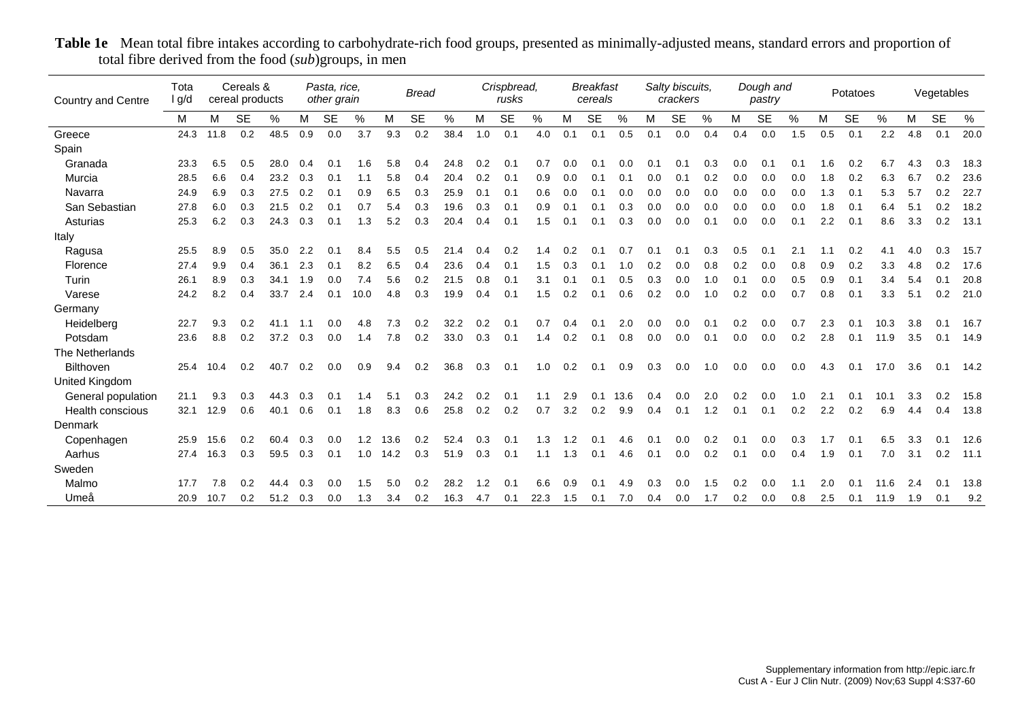| Country and Centre | Tota<br>I g/d |      | Cereals &<br>cereal products |      |     | Pasta, rice,<br>other grain |      |      | <b>Bread</b> |      |     | Crispbread,<br>rusks |               |     | <b>Breakfast</b><br>cereals |      |     | Salty biscuits,<br>crackers |               |     | Dough and<br>pastry |     |     | Potatoes  |      |     | Vegetables |      |
|--------------------|---------------|------|------------------------------|------|-----|-----------------------------|------|------|--------------|------|-----|----------------------|---------------|-----|-----------------------------|------|-----|-----------------------------|---------------|-----|---------------------|-----|-----|-----------|------|-----|------------|------|
|                    | M             | M    | <b>SE</b>                    | %    | M   | <b>SE</b>                   | %    | М    | <b>SE</b>    | $\%$ | M   | <b>SE</b>            | $\frac{0}{0}$ | M   | <b>SE</b>                   | $\%$ | M   | <b>SE</b>                   | $\frac{0}{0}$ | M   | <b>SE</b>           | %   | M   | <b>SE</b> | $\%$ | M   | <b>SE</b>  | %    |
| Greece             | 24.3          | 11.8 | 0.2                          | 48.5 | 0.9 | 0.0                         | 3.7  | 9.3  | 0.2          | 38.4 | 1.0 | 0.1                  | 4.0           | 0.1 | 0.1                         | 0.5  | 0.1 | 0.0                         | 0.4           | 0.4 | 0.0                 | 1.5 | 0.5 | 0.1       | 2.2  | 4.8 | 0.1        | 20.0 |
| Spain              |               |      |                              |      |     |                             |      |      |              |      |     |                      |               |     |                             |      |     |                             |               |     |                     |     |     |           |      |     |            |      |
| Granada            | 23.3          | 6.5  | 0.5                          | 28.0 | 0.4 | 0.1                         | 1.6  | 5.8  | 0.4          | 24.8 | 0.2 | 0.1                  | 0.7           | 0.0 | 0.1                         | 0.0  | 0.1 | 0.1                         | 0.3           | 0.0 | 0.1                 | 0.1 | 1.6 | 0.2       | 6.7  | 4.3 | 0.3        | 18.3 |
| Murcia             | 28.5          | 6.6  | 0.4                          | 23.2 | 0.3 | 0.1                         | 1.1  | 5.8  | 0.4          | 20.4 | 0.2 | 0.1                  | 0.9           | 0.0 | 0.1                         | 0.1  | 0.0 | 0.1                         | 0.2           | 0.0 | 0.0                 | 0.0 | 1.8 | 0.2       | 6.3  | 6.7 | 0.2        | 23.6 |
| Navarra            | 24.9          | 6.9  | 0.3                          | 27.5 | 0.2 | 0.1                         | 0.9  | 6.5  | 0.3          | 25.9 | 0.1 | 0.1                  | 0.6           | 0.0 | 0.1                         | 0.0  | 0.0 | 0.0                         | 0.0           | 0.0 | 0.0                 | 0.0 | 1.3 | 0.1       | 5.3  | 5.7 | 0.2        | 22.7 |
| San Sebastian      | 27.8          | 6.0  | 0.3                          | 21.5 | 0.2 | 0.1                         | 0.7  | 5.4  | 0.3          | 19.6 | 0.3 | 0.1                  | 0.9           | 0.1 | 0.1                         | 0.3  | 0.0 | 0.0                         | 0.0           | 0.0 | 0.0                 | 0.0 | 1.8 | 0.1       | 6.4  | 5.1 | 0.2        | 18.2 |
| Asturias           | 25.3          | 6.2  | 0.3                          | 24.3 | 0.3 | 0.1                         | 1.3  | 5.2  | 0.3          | 20.4 | 0.4 | 0.1                  | 1.5           | 0.1 | 0.1                         | 0.3  | 0.0 | 0.0                         | 0.1           | 0.0 | 0.0                 | 0.1 | 2.2 | 0.1       | 8.6  | 3.3 | 0.2        | 13.1 |
| Italy              |               |      |                              |      |     |                             |      |      |              |      |     |                      |               |     |                             |      |     |                             |               |     |                     |     |     |           |      |     |            |      |
| Ragusa             | 25.5          | 8.9  | 0.5                          | 35.0 | 2.2 | 0.1                         | 8.4  | 5.5  | 0.5          | 21.4 | 0.4 | 0.2                  | 1.4           | 0.2 |                             | 0.7  | 0.1 | 0.1                         | 0.3           | 0.5 | 0.1                 | 2.1 |     | 0.2       | 4.1  | 4.0 | 0.3        | 15.7 |
| Florence           | 27.4          | 9.9  | 0.4                          | 36.1 | 2.3 | 0.1                         | 8.2  | 6.5  | 0.4          | 23.6 | 0.4 | 0.1                  | 1.5           | 0.3 | 0.1                         | 1.0  | 0.2 | 0.0                         | 0.8           | 0.2 | 0.0                 | 0.8 | 0.9 | 0.2       | 3.3  | 4.8 | 0.2        | 17.6 |
| Turin              | 26.1          | 8.9  | 0.3                          | 34.1 | 1.9 | 0.0                         | 7.4  | 5.6  | 0.2          | 21.5 | 0.8 | 0.1                  | 3.1           | 0.1 | 0.1                         | 0.5  | 0.3 | 0.0                         | 1.0           | 0.1 | 0.0                 | 0.5 | 0.9 | 0.1       | 3.4  | 5.4 | 0.1        | 20.8 |
| Varese             | 24.2          | 8.2  | 0.4                          | 33.7 | 2.4 | 0.1                         | 10.0 | 4.8  | 0.3          | 19.9 | 0.4 | 0.1                  | 1.5           | 0.2 | 0.1                         | 0.6  | 0.2 | 0.0                         | 1.0           | 0.2 | 0.0                 | 0.7 | 0.8 | 0.1       | 3.3  | 5.1 | 0.2        | 21.0 |
| Germany            |               |      |                              |      |     |                             |      |      |              |      |     |                      |               |     |                             |      |     |                             |               |     |                     |     |     |           |      |     |            |      |
| Heidelberg         | 22.7          | 9.3  | 0.2                          | 41.1 | 1.1 | 0.0                         | 4.8  | 7.3  | 0.2          | 32.2 | 0.2 | 0.1                  | 0.7           | 0.4 | 0.1                         | 2.0  | 0.0 | 0.0                         | 0.1           | 0.2 | 0.0                 | 0.7 | 2.3 | 0.1       | 10.3 | 3.8 | 0.1        | 16.7 |
| Potsdam            | 23.6          | 8.8  | 0.2                          | 37.2 | 0.3 | 0.0                         | 1.4  | 7.8  | 0.2          | 33.0 | 0.3 | 0.1                  | 1.4           | 0.2 | 0.1                         | 0.8  | 0.0 | 0.0                         | 0.1           | 0.0 | 0.0                 | 0.2 | 2.8 | 0.1       | 11.9 | 3.5 | 0.1        | 14.9 |
| The Netherlands    |               |      |                              |      |     |                             |      |      |              |      |     |                      |               |     |                             |      |     |                             |               |     |                     |     |     |           |      |     |            |      |
| Bilthoven          | 25.4          | 10.4 | 0.2                          | 40.7 | 0.2 | 0.0                         | 0.9  | 9.4  | 0.2          | 36.8 | 0.3 | 0.1                  | 1.0           | 0.2 | 0.1                         | 0.9  | 0.3 | 0.0                         | 1.0           | 0.0 | 0.0                 | 0.0 | 4.3 | 0.1       | 17.0 | 3.6 | 0.1        | 14.2 |
| United Kingdom     |               |      |                              |      |     |                             |      |      |              |      |     |                      |               |     |                             |      |     |                             |               |     |                     |     |     |           |      |     |            |      |
| General population | 21.1          | 9.3  | 0.3                          | 44.3 | 0.3 | 0.1                         | 1.4  | 5.1  | 0.3          | 24.2 | 0.2 | 0.1                  | 1.1           | 2.9 | 0.1                         | 13.6 | 0.4 | 0.0                         | 2.0           | 0.2 | 0.0                 | 1.0 | 2.1 | 0.1       | 10.1 | 3.3 | 0.2        | 15.8 |
| Health conscious   | 32.1          | 12.9 | 0.6                          | 40.1 | 0.6 | 0.1                         | 1.8  | 8.3  | 0.6          | 25.8 | 0.2 | 0.2                  | 0.7           | 3.2 | 0.2                         | 9.9  | 0.4 | 0.1                         | 1.2           | 0.1 | 0.1                 | 0.2 | 2.2 | 0.2       | 6.9  | 4.4 | 0.4        | 13.8 |
| Denmark            |               |      |                              |      |     |                             |      |      |              |      |     |                      |               |     |                             |      |     |                             |               |     |                     |     |     |           |      |     |            |      |
| Copenhagen         | 25.9          | 15.6 | 0.2                          | 60.4 | 0.3 | 0.0                         | 1.2  | 13.6 | 0.2          | 52.4 | 0.3 | 0.1                  | 1.3           | 1.2 |                             |      | 0.1 | 0.0                         | 0.2           | 0.1 | 0.0                 | 0.3 | 1.7 | 0.1       | 6.5  | 3.3 | 0.1        | 12.6 |
| Aarhus             | 27.4          | 16.3 | 0.3                          | 59.5 | 0.3 | 0.1                         | 1.0  | 14.2 | 0.3          | 51.9 | 0.3 | 0.1                  | 1.1           | 1.3 | 0.1                         | 4.6  | 0.1 | 0.0                         | 0.2           | 0.1 | 0.0                 | 0.4 | 1.9 | 0.1       | 7.0  | 3.1 | 0.2        | 11.1 |
| Sweden             |               |      |                              |      |     |                             |      |      |              |      |     |                      |               |     |                             |      |     |                             |               |     |                     |     |     |           |      |     |            |      |
| Malmo              | 17.7          | 7.8  | 0.2                          | 44.4 | 0.3 | 0.0                         | 1.5  | 5.0  | 0.2          | 28.2 | 1.2 | 0.2                  | 6.6           | 0.9 |                             | 4.9  | 0.3 | 0.0                         | 1.5           | 0.2 | 0.0                 | 1.1 | 2.0 | 0.1       | 11.6 | 2.4 | 0.1        | 13.8 |
| Umeå               | 20.9          | 10.7 | 0.2                          | 51.2 | 0.3 | 0.0                         | 1.3  | 3.4  | 0.2          | 16.3 | 4.7 | 0.1                  | 22.3          | 1.5 | 0.1                         | 7.0  | 0.4 | 0.0                         | 1.7           | 0.2 | 0.0                 | 0.8 | 2.5 | 0.1       | 11.9 | 1.9 | 0.1        | 9.2  |

**Table 1e** Mean total fibre intakes according to carbohydrate-rich food groups, presented as minimally-adjusted means, standard errors and proportion of total fibre derived from the food (*sub*)groups, in men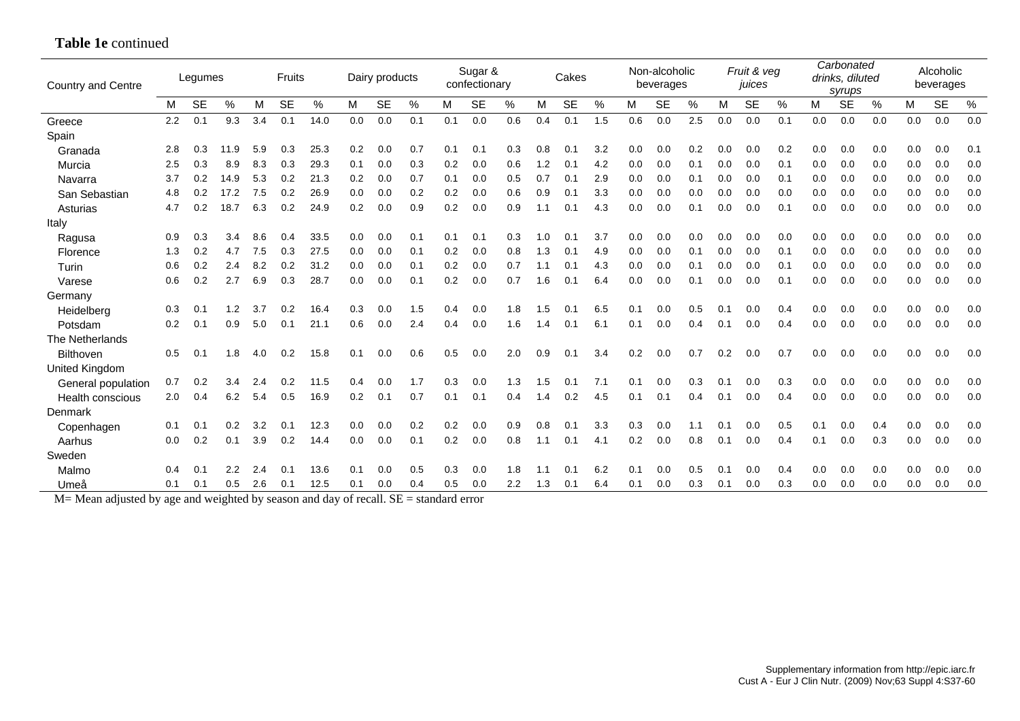| <b>Country and Centre</b> |     | Legumes   |               |     | Fruits    |      |     | Dairy products |     |     | Sugar &<br>confectionary |      |     | Cakes     |     |     | Non-alcoholic<br>beverages |               |     | Fruit & veg<br>juices |      |     | Carbonated<br>drinks, diluted<br>syrups |     |     | Alcoholic<br>beverages |     |
|---------------------------|-----|-----------|---------------|-----|-----------|------|-----|----------------|-----|-----|--------------------------|------|-----|-----------|-----|-----|----------------------------|---------------|-----|-----------------------|------|-----|-----------------------------------------|-----|-----|------------------------|-----|
|                           | M   | <b>SE</b> | $\frac{0}{0}$ | м   | <b>SE</b> | %    | M   | <b>SE</b>      | %   | м   | <b>SE</b>                | $\%$ | M   | <b>SE</b> | %   | M   | <b>SE</b>                  | $\frac{0}{0}$ | М   | <b>SE</b>             | $\%$ | M   | <b>SE</b>                               | %   | M   | <b>SE</b>              | %   |
| Greece                    | 2.2 | 0.1       | 9.3           | 3.4 | 0.1       | 14.0 | 0.0 | 0.0            | 0.1 | 0.1 | 0.0                      | 0.6  | 0.4 | 0.1       | 1.5 | 0.6 | 0.0                        | 2.5           | 0.0 | 0.0                   | 0.1  | 0.0 | 0.0                                     | 0.0 | 0.0 | 0.0                    | 0.0 |
| Spain                     |     |           |               |     |           |      |     |                |     |     |                          |      |     |           |     |     |                            |               |     |                       |      |     |                                         |     |     |                        |     |
| Granada                   | 2.8 | 0.3       | 11.9          | 5.9 | 0.3       | 25.3 | 0.2 | 0.0            | 0.7 | 0.1 | 0.1                      | 0.3  | 0.8 | 0.2       | 3.2 | 0.0 | 0.0                        | 0.2           | 0.0 | 0.0                   | 0.2  | 0.0 | 0.0                                     | 0.0 | 0.0 | 0.0                    | 0.1 |
| Murcia                    | 2.5 | 0.3       | 8.9           | 8.3 | 0.3       | 29.3 | 0.1 | 0.0            | 0.3 | 0.2 | 0.0                      | 0.6  | 1.2 | 0.1       | 4.2 | 0.0 | 0.0                        | 0.1           | 0.0 | 0.0                   | 0.1  | 0.0 | 0.0                                     | 0.0 | 0.0 | 0.0                    | 0.0 |
| Navarra                   | 3.7 | 0.2       | 14.9          | 5.3 | 0.2       | 21.3 | 0.2 | 0.0            | 0.7 | 0.1 | 0.0                      | 0.5  | 0.7 | 0.1       | 2.9 | 0.0 | 0.0                        | 0.1           | 0.0 | 0.0                   | 0.1  | 0.0 | 0.0                                     | 0.0 | 0.0 | 0.0                    | 0.0 |
| San Sebastian             | 4.8 | 0.2       | 17.2          | 7.5 | 0.2       | 26.9 | 0.0 | 0.0            | 0.2 | 0.2 | 0.0                      | 0.6  | 0.9 | 0.1       | 3.3 | 0.0 | 0.0                        | 0.0           | 0.0 | 0.0                   | 0.0  | 0.0 | 0.0                                     | 0.0 | 0.0 | 0.0                    | 0.0 |
| Asturias                  | 4.7 | 0.2       | 18.7          | 6.3 | 0.2       | 24.9 | 0.2 | 0.0            | 0.9 | 0.2 | 0.0                      | 0.9  | 1.1 | 0.1       | 4.3 | 0.0 | 0.0                        | 0.1           | 0.0 | 0.0                   | 0.1  | 0.0 | 0.0                                     | 0.0 | 0.0 | 0.0                    | 0.0 |
| Italy                     |     |           |               |     |           |      |     |                |     |     |                          |      |     |           |     |     |                            |               |     |                       |      |     |                                         |     |     |                        |     |
| Ragusa                    | 0.9 | 0.3       | 3.4           | 8.6 | 0.4       | 33.5 | 0.0 | 0.0            | 0.1 | 0.1 | 0.1                      | 0.3  | 1.0 | 0.1       | 3.7 | 0.0 | 0.0                        | 0.0           | 0.0 | 0.0                   | 0.0  | 0.0 | 0.0                                     | 0.0 | 0.0 | 0.0                    | 0.0 |
| Florence                  | 1.3 | 0.2       | 4.7           | 7.5 | 0.3       | 27.5 | 0.0 | 0.0            | 0.1 | 0.2 | 0.0                      | 0.8  | 1.3 | 0.1       | 4.9 | 0.0 | 0.0                        | 0.1           | 0.0 | 0.0                   | 0.1  | 0.0 | 0.0                                     | 0.0 | 0.0 | 0.0                    | 0.0 |
| Turin                     | 0.6 | 0.2       | 2.4           | 8.2 | 0.2       | 31.2 | 0.0 | 0.0            | 0.1 | 0.2 | 0.0                      | 0.7  | 1.1 | 0.1       | 4.3 | 0.0 | 0.0                        | 0.1           | 0.0 | 0.0                   | 0.1  | 0.0 | 0.0                                     | 0.0 | 0.0 | 0.0                    | 0.0 |
| Varese                    | 0.6 | 0.2       | 2.7           | 6.9 | 0.3       | 28.7 | 0.0 | 0.0            | 0.1 | 0.2 | 0.0                      | 0.7  | 1.6 | 0.1       | 6.4 | 0.0 | 0.0                        | 0.1           | 0.0 | 0.0                   | 0.1  | 0.0 | 0.0                                     | 0.0 | 0.0 | 0.0                    | 0.0 |
| Germany                   |     |           |               |     |           |      |     |                |     |     |                          |      |     |           |     |     |                            |               |     |                       |      |     |                                         |     |     |                        |     |
| Heidelberg                | 0.3 | 0.1       | 1.2           | 3.7 | 0.2       | 16.4 | 0.3 | 0.0            | 1.5 | 0.4 | 0.0                      | 1.8  | 1.5 | 0.1       | 6.5 | 0.1 | 0.0                        | 0.5           | 0.1 | 0.0                   | 0.4  | 0.0 | 0.0                                     | 0.0 | 0.0 | 0.0                    | 0.0 |
| Potsdam                   | 0.2 | 0.1       | 0.9           | 5.0 | 0.1       | 21.1 | 0.6 | 0.0            | 2.4 | 0.4 | 0.0                      | 1.6  | 1.4 | 0.1       | 6.1 | 0.1 | 0.0                        | 0.4           | 0.1 | 0.0                   | 0.4  | 0.0 | 0.0                                     | 0.0 | 0.0 | 0.0                    | 0.0 |
| The Netherlands           |     |           |               |     |           |      |     |                |     |     |                          |      |     |           |     |     |                            |               |     |                       |      |     |                                         |     |     |                        |     |
| <b>Bilthoven</b>          | 0.5 | 0.1       | 1.8           | 4.0 | 0.2       | 15.8 | 0.1 | 0.0            | 0.6 | 0.5 | 0.0                      | 2.0  | 0.9 | 0.1       | 3.4 | 0.2 | 0.0                        | 0.7           | 0.2 | 0.0                   | 0.7  | 0.0 | 0.0                                     | 0.0 | 0.0 | 0.0                    | 0.0 |
| United Kingdom            |     |           |               |     |           |      |     |                |     |     |                          |      |     |           |     |     |                            |               |     |                       |      |     |                                         |     |     |                        |     |
| General population        | 0.7 | 0.2       | 3.4           | 2.4 | 0.2       | 11.5 | 0.4 | 0.0            | 1.7 | 0.3 | 0.0                      | 1.3  | 1.5 | 0.1       | 7.1 | 0.1 | 0.0                        | 0.3           | 0.1 | 0.0                   | 0.3  | 0.0 | 0.0                                     | 0.0 | 0.0 | 0.0                    | 0.0 |
| <b>Health conscious</b>   | 2.0 | 0.4       | 6.2           | 5.4 | 0.5       | 16.9 | 0.2 | 0.1            | 0.7 | 0.1 | 0.1                      | 0.4  | 1.4 | 0.2       | 4.5 | 0.1 | 0.1                        | 0.4           | 0.1 | 0.0                   | 0.4  | 0.0 | 0.0                                     | 0.0 | 0.0 | 0.0                    | 0.0 |
| Denmark                   |     |           |               |     |           |      |     |                |     |     |                          |      |     |           |     |     |                            |               |     |                       |      |     |                                         |     |     |                        |     |
| Copenhagen                | 0.1 | 0.1       | 0.2           | 3.2 | 0.1       | 12.3 | 0.0 | 0.0            | 0.2 | 0.2 | 0.0                      | 0.9  | 0.8 | 0.2       | 3.3 | 0.3 | 0.0                        |               | 0.1 | 0.0                   | 0.5  | 0.1 | 0.0                                     | 0.4 | 0.0 | 0.0                    | 0.0 |
| Aarhus                    | 0.0 | 0.2       | 0.1           | 3.9 | 0.2       | 14.4 | 0.0 | 0.0            | 0.1 | 0.2 | 0.0                      | 0.8  | 1.1 | 0.1       | 4.1 | 0.2 | 0.0                        | 0.8           | 0.1 | 0.0                   | 0.4  | 0.1 | 0.0                                     | 0.3 | 0.0 | 0.0                    | 0.0 |
| Sweden                    |     |           |               |     |           |      |     |                |     |     |                          |      |     |           |     |     |                            |               |     |                       |      |     |                                         |     |     |                        |     |
| Malmo                     | 0.4 | 0.1       | 2.2           | 2.4 | 0.1       | 13.6 | 0.1 | 0.0            | 0.5 | 0.3 | 0.0                      | 1.8  | 1.1 | 0.1       | 6.2 | 0.1 | 0.0                        | 0.5           | 0.1 | 0.0                   | 0.4  | 0.0 | 0.0                                     | 0.0 | 0.0 | 0.0                    | 0.0 |
| Umeå                      | 0.1 | 0.1       | 0.5           | 2.6 | 0.1       | 12.5 | 0.1 | 0.0            | 0.4 | 0.5 | 0.0                      | 2.2  | 1.3 | 0.1       | 6.4 | 0.1 | 0.0                        | 0.3           | 0.1 | 0.0                   | 0.3  | 0.0 | 0.0                                     | 0.0 | 0.0 | 0.0                    | 0.0 |

## **Table 1e** continued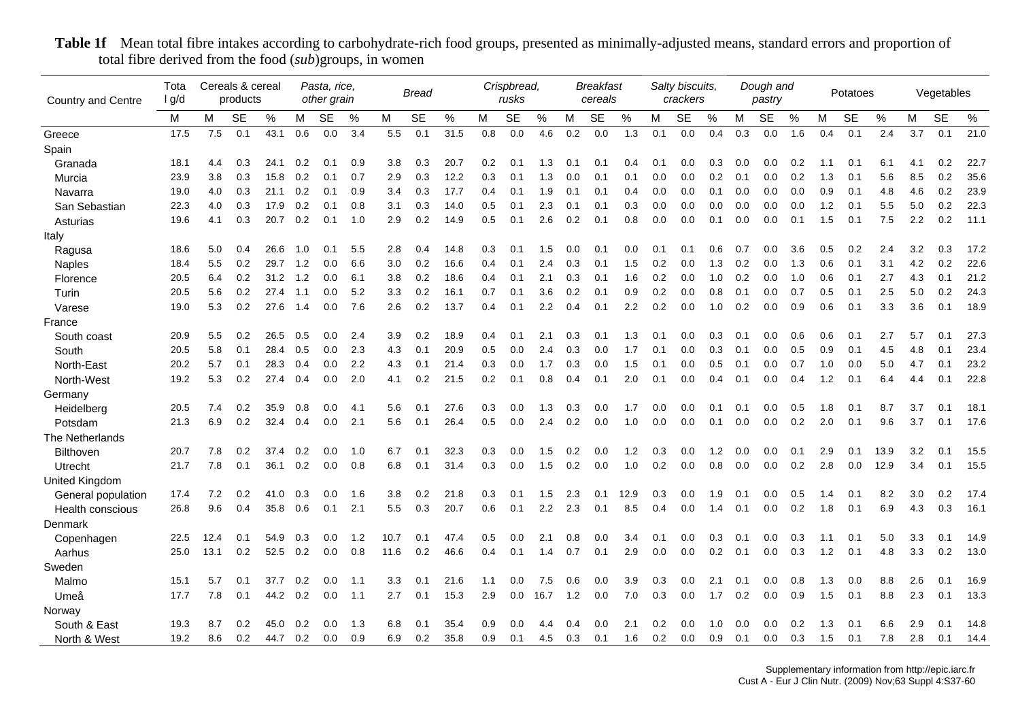| <b>Country and Centre</b> | Tota<br>I g/d |      | Cereals & cereal<br>products |      |     | Pasta, rice,<br>other grain |      |      | <b>Bread</b> |      |     | Crispbread,<br>rusks |      |     | <b>Breakfast</b><br>cereals |      |     | Salty biscuits,<br>crackers |      |     | Dough and<br>pastry |      |     | Potatoes  |      |     | Vegetables |      |
|---------------------------|---------------|------|------------------------------|------|-----|-----------------------------|------|------|--------------|------|-----|----------------------|------|-----|-----------------------------|------|-----|-----------------------------|------|-----|---------------------|------|-----|-----------|------|-----|------------|------|
|                           | М             | M    | <b>SE</b>                    | %    | M   | <b>SE</b>                   | %    | M    | <b>SE</b>    | $\%$ | М   | <b>SE</b>            | $\%$ | M   | <b>SE</b>                   | $\%$ | M   | <b>SE</b>                   | $\%$ | м   | <b>SE</b>           | $\%$ | M   | <b>SE</b> | $\%$ | M   | <b>SE</b>  | $\%$ |
| Greece                    | 17.5          | 7.5  | 0.1                          | 43.1 | 0.6 | 0.0                         | 3.4  | 5.5  | 0.1          | 31.5 | 0.8 | 0.0                  | 4.6  | 0.2 | 0.0                         | 1.3  | 0.1 | 0.0                         | 0.4  | 0.3 | 0.0                 | 1.6  | 0.4 | 0.1       | 2.4  | 3.7 | 0.1        | 21.0 |
| Spain                     |               |      |                              |      |     |                             |      |      |              |      |     |                      |      |     |                             |      |     |                             |      |     |                     |      |     |           |      |     |            |      |
| Granada                   | 18.1          | 4.4  | 0.3                          | 24.1 | 0.2 | 0.1                         | 0.9  | 3.8  | 0.3          | 20.7 | 0.2 | 0.1                  | 1.3  | 0.1 | 0.1                         | 0.4  | 0.1 | 0.0                         | 0.3  | 0.0 | 0.0                 | 0.2  | 1.1 | 0.1       | 6.1  | 4.1 | 0.2        | 22.7 |
| Murcia                    | 23.9          | 3.8  | 0.3                          | 15.8 | 0.2 | 0.1                         | 0.7  | 2.9  | 0.3          | 12.2 | 0.3 | 0.1                  | 1.3  | 0.0 | 0.1                         | 0.1  | 0.0 | 0.0                         | 0.2  | 0.1 | 0.0                 | 0.2  | 1.3 | 0.1       | 5.6  | 8.5 | 0.2        | 35.6 |
| Navarra                   | 19.0          | 4.0  | 0.3                          | 21.1 | 0.2 | 0.1                         | 0.9  | 3.4  | 0.3          | 17.7 | 0.4 | 0.1                  | 1.9  | 0.1 | 0.1                         | 0.4  | 0.0 | 0.0                         | 0.1  | 0.0 | 0.0                 | 0.0  | 0.9 | 0.1       | 4.8  | 4.6 | 0.2        | 23.9 |
| San Sebastian             | 22.3          | 4.0  | 0.3                          | 17.9 | 0.2 | 0.1                         | 0.8  | 3.1  | 0.3          | 14.0 | 0.5 | 0.1                  | 2.3  | 0.1 | 0.1                         | 0.3  | 0.0 | 0.0                         | 0.0  | 0.0 | 0.0                 | 0.0  | 1.2 | 0.1       | 5.5  | 5.0 | 0.2        | 22.3 |
| Asturias                  | 19.6          | 4.1  | 0.3                          | 20.7 | 0.2 | 0.1                         | 1.0  | 2.9  | 0.2          | 14.9 | 0.5 | 0.1                  | 2.6  | 0.2 | 0.1                         | 0.8  | 0.0 | 0.0                         | 0.1  | 0.0 | 0.0                 | 0.1  | 1.5 | 0.1       | 7.5  | 2.2 | 0.2        | 11.1 |
| Italy                     |               |      |                              |      |     |                             |      |      |              |      |     |                      |      |     |                             |      |     |                             |      |     |                     |      |     |           |      |     |            |      |
| Ragusa                    | 18.6          | 5.0  | 0.4                          | 26.6 | 1.0 | 0.1                         | 5.5  | 2.8  | 0.4          | 14.8 | 0.3 | 0.1                  | 1.5  | 0.0 | 0.1                         | 0.0  | 0.1 | 0.1                         | 0.6  | 0.7 | 0.0                 | 3.6  | 0.5 | 0.2       | 2.4  | 3.2 | 0.3        | 17.2 |
| <b>Naples</b>             | 18.4          | 5.5  | 0.2                          | 29.7 | 1.2 | 0.0                         | 6.6  | 3.0  | 0.2          | 16.6 | 0.4 | 0.1                  | 2.4  | 0.3 | 0.1                         | 1.5  | 0.2 | 0.0                         | 1.3  | 0.2 | 0.0                 | 1.3  | 0.6 | 0.1       | 3.1  | 4.2 | 0.2        | 22.6 |
| Florence                  | 20.5          | 6.4  | 0.2                          | 31.2 | 1.2 | 0.0                         | 6.1  | 3.8  | 0.2          | 18.6 | 0.4 | 0.1                  | 2.1  | 0.3 | 0.1                         | 1.6  | 0.2 | 0.0                         | 1.0  | 0.2 | 0.0                 | 1.0  | 0.6 | 0.1       | 2.7  | 4.3 | 0.1        | 21.2 |
| Turin                     | 20.5          | 5.6  | 0.2                          | 27.4 | 1.1 | 0.0                         | 5.2  | 3.3  | 0.2          | 16.1 | 0.7 | 0.1                  | 3.6  | 0.2 | 0.1                         | 0.9  | 0.2 | 0.0                         | 0.8  | 0.1 | 0.0                 | 0.7  | 0.5 | 0.1       | 2.5  | 5.0 | 0.2        | 24.3 |
| Varese                    | 19.0          | 5.3  | 0.2                          | 27.6 | 1.4 | 0.0                         | 7.6  | 2.6  | 0.2          | 13.7 | 0.4 | 0.1                  | 2.2  | 0.4 | 0.1                         | 2.2  | 0.2 | 0.0                         | 1.0  | 0.2 | 0.0                 | 0.9  | 0.6 | 0.1       | 3.3  | 3.6 | 0.1        | 18.9 |
| France                    |               |      |                              |      |     |                             |      |      |              |      |     |                      |      |     |                             |      |     |                             |      |     |                     |      |     |           |      |     |            |      |
| South coast               | 20.9          | 5.5  | 0.2                          | 26.5 | 0.5 | 0.0                         | 2.4  | 3.9  | 0.2          | 18.9 | 0.4 | 0.1                  | 2.1  | 0.3 | 0.1                         | 1.3  | 0.1 | 0.0                         | 0.3  | 0.1 | 0.0                 | 0.6  | 0.6 | 0.1       | 2.7  | 5.7 | 0.1        | 27.3 |
| South                     | 20.5          | 5.8  | 0.1                          | 28.4 | 0.5 | 0.0                         | 2.3  | 4.3  | 0.1          | 20.9 | 0.5 | 0.0                  | 2.4  | 0.3 | 0.0                         | 1.7  | 0.1 | 0.0                         | 0.3  | 0.1 | 0.0                 | 0.5  | 0.9 | 0.1       | 4.5  | 4.8 | 0.1        | 23.4 |
| North-East                | 20.2          | 5.7  | 0.1                          | 28.3 | 0.4 | 0.0                         | 2.2  | 4.3  | 0.1          | 21.4 | 0.3 | 0.0                  | 1.7  | 0.3 | 0.0                         | 1.5  | 0.1 | 0.0                         | 0.5  | 0.1 | 0.0                 | 0.7  | 1.0 | 0.0       | 5.0  | 4.7 | 0.1        | 23.2 |
| North-West                | 19.2          | 5.3  | 0.2                          | 27.4 | 0.4 | 0.0                         | 2.0  | 4.1  | 0.2          | 21.5 | 0.2 | 0.1                  | 0.8  | 0.4 | 0.1                         | 2.0  | 0.1 | 0.0                         | 0.4  | 0.1 | 0.0                 | 0.4  | 1.2 | 0.1       | 6.4  | 4.4 | 0.1        | 22.8 |
| Germany                   |               |      |                              |      |     |                             |      |      |              |      |     |                      |      |     |                             |      |     |                             |      |     |                     |      |     |           |      |     |            |      |
| Heidelberg                | 20.5          | 7.4  | 0.2                          | 35.9 | 0.8 | 0.0                         | 4.1  | 5.6  | 0.1          | 27.6 | 0.3 | 0.0                  | 1.3  | 0.3 | 0.0                         | 1.7  | 0.0 | 0.0                         | 0.1  | 0.1 | 0.0                 | 0.5  | 1.8 | 0.1       | 8.7  | 3.7 | 0.1        | 18.1 |
| Potsdam                   | 21.3          | 6.9  | 0.2                          | 32.4 | 0.4 | 0.0                         | 2.1  | 5.6  | 0.1          | 26.4 | 0.5 | 0.0                  | 2.4  | 0.2 | 0.0                         | 1.0  | 0.0 | 0.0                         | 0.1  | 0.0 | 0.0                 | 0.2  | 2.0 | 0.1       | 9.6  | 3.7 | 0.1        | 17.6 |
| The Netherlands           |               |      |                              |      |     |                             |      |      |              |      |     |                      |      |     |                             |      |     |                             |      |     |                     |      |     |           |      |     |            |      |
| <b>Bilthoven</b>          | 20.7          | 7.8  | 0.2                          | 37.4 | 0.2 | 0.0                         | 1.0  | 6.7  | 0.1          | 32.3 | 0.3 | 0.0                  | 1.5  | 0.2 | 0.0                         | 1.2  | 0.3 | 0.0                         | 1.2  | 0.0 | 0.0                 | 0.1  | 2.9 | 0.1       | 13.9 | 3.2 | 0.1        | 15.5 |
| Utrecht                   | 21.7          | 7.8  | 0.1                          | 36.1 | 0.2 | 0.0                         | 0.8  | 6.8  | 0.1          | 31.4 | 0.3 | 0.0                  | 1.5  | 0.2 | 0.0                         | 1.0  | 0.2 | 0.0                         | 0.8  | 0.0 | 0.0                 | 0.2  | 2.8 | 0.0       | 12.9 | 3.4 | 0.1        | 15.5 |
| United Kingdom            |               |      |                              |      |     |                             |      |      |              |      |     |                      |      |     |                             |      |     |                             |      |     |                     |      |     |           |      |     |            |      |
| General population        | 17.4          | 7.2  | 0.2                          | 41.0 | 0.3 | 0.0                         | 1.6  | 3.8  | 0.2          | 21.8 | 0.3 | 0.1                  | 1.5  | 2.3 | 0.1                         | 12.9 | 0.3 | 0.0                         | 1.9  | 0.1 | 0.0                 | 0.5  | 1.4 | 0.1       | 8.2  | 3.0 | 0.2        | 17.4 |
| Health conscious          | 26.8          | 9.6  | 0.4                          | 35.8 | 0.6 | 0.1                         | 2.1  | 5.5  | 0.3          | 20.7 | 0.6 | 0.1                  | 2.2  | 2.3 | 0.1                         | 8.5  | 0.4 | 0.0                         | 1.4  | 0.1 | 0.0                 | 0.2  | 1.8 | 0.1       | 6.9  | 4.3 | 0.3        | 16.1 |
| Denmark                   |               |      |                              |      |     |                             |      |      |              |      |     |                      |      |     |                             |      |     |                             |      |     |                     |      |     |           |      |     |            |      |
| Copenhagen                | 22.5          | 12.4 | 0.1                          | 54.9 | 0.3 | 0.0                         | 1.2  | 10.7 | 0.1          | 47.4 | 0.5 | 0.0                  | 2.1  | 0.8 | 0.0                         | 3.4  | 0.1 | 0.0                         | 0.3  | 0.1 | 0.0                 | 0.3  | 1.1 | 0.1       | 5.0  | 3.3 | 0.1        | 14.9 |
| Aarhus                    | 25.0          | 13.1 | 0.2                          | 52.5 | 0.2 | 0.0                         | 0.8  | 11.6 | 0.2          | 46.6 | 0.4 | 0.1                  | 1.4  | 0.7 | 0.1                         | 2.9  | 0.0 | 0.0                         | 0.2  | 0.1 | 0.0                 | 0.3  | 1.2 | 0.1       | 4.8  | 3.3 | 0.2        | 13.0 |
| Sweden                    |               |      |                              |      |     |                             |      |      |              |      |     |                      |      |     |                             |      |     |                             |      |     |                     |      |     |           |      |     |            |      |
| Malmo                     | 15.1          | 5.7  | 0.1                          | 37.7 | 0.2 | 0.0                         | 1.1  | 3.3  | 0.1          | 21.6 | 1.1 | 0.0                  | 7.5  | 0.6 | 0.0                         | 3.9  | 0.3 | 0.0                         | 2.1  | 0.1 | 0.0                 | 0.8  | 1.3 | 0.0       | 8.8  | 2.6 | 0.1        | 16.9 |
| Umeå                      | 17.7          | 7.8  | 0.1                          | 44.2 | 0.2 | 0.0                         | -1.1 | 2.7  | 0.1          | 15.3 | 2.9 | 0.0                  | 16.7 | 1.2 | 0.0                         | 7.0  | 0.3 | 0.0                         | 1.7  | 0.2 | 0.0                 | 0.9  | 1.5 | 0.1       | 8.8  | 2.3 | 0.1        | 13.3 |
| Norway                    |               |      |                              |      |     |                             |      |      |              |      |     |                      |      |     |                             |      |     |                             |      |     |                     |      |     |           |      |     |            |      |
| South & East              | 19.3          | 8.7  | 0.2                          | 45.0 | 0.2 | 0.0                         | 1.3  | 6.8  | 0.1          | 35.4 | 0.9 | 0.0                  | 4.4  | 0.4 | 0.0                         | 2.1  | 0.2 | 0.0                         | 1.0  | 0.0 | 0.0                 | 0.2  | 1.3 | 0.1       | 6.6  | 2.9 | 0.1        | 14.8 |
| North & West              | 19.2          | 8.6  | 0.2                          | 44.7 | 0.2 | 0.0                         | 0.9  | 6.9  | 0.2          | 35.8 | 0.9 | 0.1                  | 4.5  | 0.3 | 0.1                         | 1.6  | 0.2 | 0.0                         | 0.9  | 0.1 | 0.0                 | 0.3  | 1.5 | 0.1       | 7.8  | 2.8 | 0.1        | 14.4 |

**Table 1f** Mean total fibre intakes according to carbohydrate-rich food groups, presented as minimally-adjusted means, standard errors and proportion of total fibre derived from the food (*sub*)groups, in women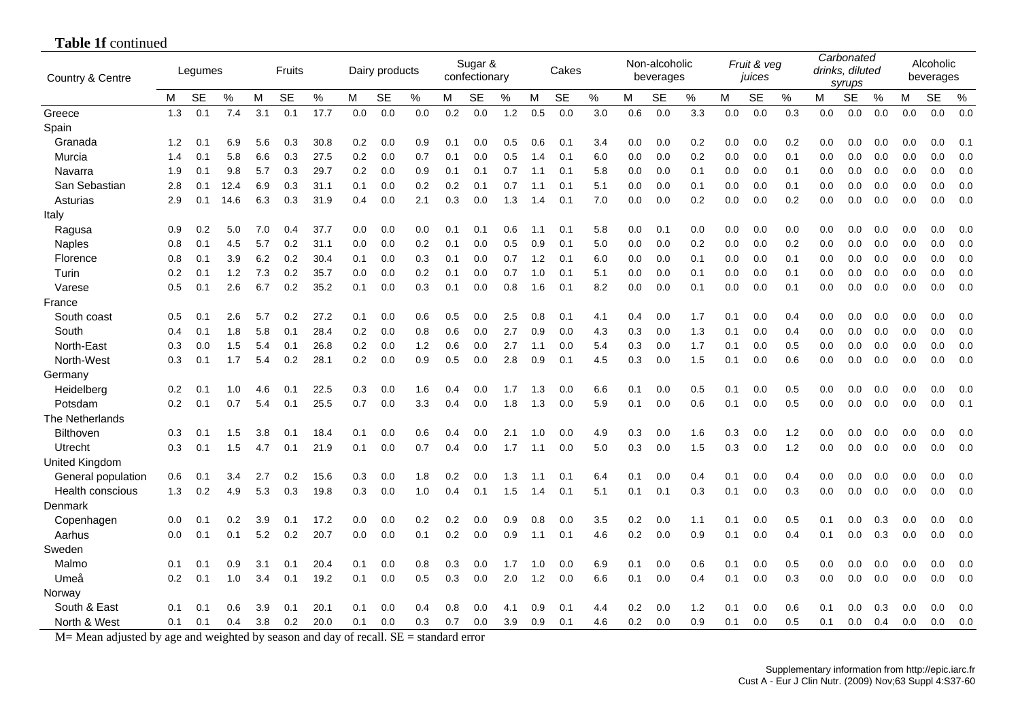| Country & Centre      | Fruits<br>Legumes |           |      |     |           |      |     | Dairy products |       |     | Sugar &<br>confectionary |     |       | Cakes     |     |     | Non-alcoholic<br>beverages |     |     | Fruit & veg<br>juices |     |     | Carbonated<br>drinks, diluted<br>syrups |     |     | Alcoholic<br>beverages |     |
|-----------------------|-------------------|-----------|------|-----|-----------|------|-----|----------------|-------|-----|--------------------------|-----|-------|-----------|-----|-----|----------------------------|-----|-----|-----------------------|-----|-----|-----------------------------------------|-----|-----|------------------------|-----|
|                       | М                 | <b>SE</b> | $\%$ | M   | <b>SE</b> | $\%$ | M   | <b>SE</b>      | $\%$  | M   | SЕ                       | %   | M     | <b>SE</b> | %   | М   | <b>SE</b>                  | ℅   | M   | <b>SE</b>             | %   | м   | <b>SE</b>                               | %   | М   | <b>SE</b>              | %   |
| Greece                | 1.3               | 0.1       | 7.4  | 3.1 | 0.1       | 17.7 | 0.0 | 0.0            | 0.0   | 0.2 | 0.0                      | 1.2 | 0.5   | 0.0       | 3.0 | 0.6 | 0.0                        | 3.3 | 0.0 | 0.0                   | 0.3 | 0.0 | 0.0                                     | 0.0 | 0.0 | 0.0                    | 0.0 |
| Spain                 |                   |           |      |     |           |      |     |                |       |     |                          |     |       |           |     |     |                            |     |     |                       |     |     |                                         |     |     |                        |     |
| Granada               | 1.2               | 0.1       | 6.9  | 5.6 | 0.3       | 30.8 | 0.2 | 0.0            | 0.9   | 0.1 | 0.0                      | 0.5 | 0.6   | 0.1       | 3.4 | 0.0 | 0.0                        | 0.2 | 0.0 | 0.0                   | 0.2 | 0.0 | 0.0                                     | 0.0 | 0.0 | 0.0                    | 0.1 |
| Murcia                | 1.4               | 0.1       | 5.8  | 6.6 | 0.3       | 27.5 | 0.2 | 0.0            | 0.7   | 0.1 | 0.0                      | 0.5 | 1.4   | 0.1       | 6.0 | 0.0 | 0.0                        | 0.2 | 0.0 | 0.0                   | 0.1 | 0.0 | 0.0                                     | 0.0 | 0.0 | 0.0                    | 0.0 |
| Navarra               | 1.9               | 0.1       | 9.8  | 5.7 | 0.3       | 29.7 | 0.2 | 0.0            | 0.9   | 0.1 | 0.1                      | 0.7 | 1.1   | 0.1       | 5.8 | 0.0 | 0.0                        | 0.1 | 0.0 | 0.0                   | 0.1 | 0.0 | 0.0                                     | 0.0 | 0.0 | 0.0                    | 0.0 |
| San Sebastian         | 2.8               | 0.1       | 12.4 | 6.9 | 0.3       | 31.1 | 0.1 | 0.0            | 0.2   | 0.2 | 0.1                      | 0.7 | 1.1   | 0.1       | 5.1 | 0.0 | 0.0                        | 0.1 | 0.0 | 0.0                   | 0.1 | 0.0 | 0.0                                     | 0.0 | 0.0 | 0.0                    | 0.0 |
| Asturias              | 2.9               | 0.1       | 14.6 | 6.3 | 0.3       | 31.9 | 0.4 | 0.0            | 2.1   | 0.3 | 0.0                      | 1.3 | 1.4   | 0.1       | 7.0 | 0.0 | 0.0                        | 0.2 | 0.0 | 0.0                   | 0.2 | 0.0 | 0.0                                     | 0.0 | 0.0 | 0.0                    | 0.0 |
| Italy                 |                   |           |      |     |           |      |     |                |       |     |                          |     |       |           |     |     |                            |     |     |                       |     |     |                                         |     |     |                        |     |
| Ragusa                | 0.9               | 0.2       | 5.0  | 7.0 | 0.4       | 37.7 | 0.0 | 0.0            | 0.0   | 0.1 | 0.1                      | 0.6 | 1.1   | 0.1       | 5.8 | 0.0 | 0.1                        | 0.0 | 0.0 | 0.0                   | 0.0 | 0.0 | 0.0                                     | 0.0 | 0.0 | 0.0                    | 0.( |
| <b>Naples</b>         | 0.8               | 0.1       | 4.5  | 5.7 | 0.2       | 31.1 | 0.0 | 0.0            | 0.2   | 0.1 | 0.0                      | 0.5 | 0.9   | 0.1       | 5.0 | 0.0 | 0.0                        | 0.2 | 0.0 | 0.0                   | 0.2 | 0.0 | 0.0                                     | 0.0 | 0.0 | 0.0                    | 0.0 |
| Florence              | 0.8               | 0.1       | 3.9  | 6.2 | 0.2       | 30.4 | 0.1 | 0.0            | 0.3   | 0.1 | 0.0                      | 0.7 | $1.2$ | 0.1       | 6.0 | 0.0 | 0.0                        | 0.1 | 0.0 | 0.0                   | 0.1 | 0.0 | 0.0                                     | 0.0 | 0.0 | 0.0                    | 0.0 |
| Turin                 | 0.2               | 0.1       | 1.2  | 7.3 | 0.2       | 35.7 | 0.0 | 0.0            | 0.2   | 0.1 | 0.0                      | 0.7 | 1.0   | 0.1       | 5.1 | 0.0 | 0.0                        | 0.1 | 0.0 | 0.0                   | 0.1 | 0.0 | 0.0                                     | 0.0 | 0.0 | 0.0                    | 0.0 |
| Varese                | 0.5               | 0.1       | 2.6  | 6.7 | 0.2       | 35.2 | 0.1 | 0.0            | 0.3   | 0.1 | 0.0                      | 0.8 | 1.6   | 0.1       | 8.2 | 0.0 | 0.0                        | 0.1 | 0.0 | 0.0                   | 0.1 | 0.0 | 0.0                                     | 0.0 | 0.0 | 0.0                    | 0.0 |
| France                |                   |           |      |     |           |      |     |                |       |     |                          |     |       |           |     |     |                            |     |     |                       |     |     |                                         |     |     |                        |     |
| South coast           | 0.5               | 0.1       | 2.6  | 5.7 | 0.2       | 27.2 | 0.1 | 0.0            | 0.6   | 0.5 | 0.0                      | 2.5 | 0.8   | 0.1       | 4.1 | 0.4 | 0.0                        | 1.7 | 0.1 | 0.0                   | 0.4 | 0.0 | 0.0                                     | 0.0 | 0.0 | 0.0                    | 0.0 |
| South                 | 0.4               | 0.1       | 1.8  | 5.8 | 0.1       | 28.4 | 0.2 | 0.0            | 0.8   | 0.6 | 0.0                      | 2.7 | 0.9   | 0.0       | 4.3 | 0.3 | 0.0                        | 1.3 | 0.1 | 0.0                   | 0.4 | 0.0 | 0.0                                     | 0.0 | 0.0 | 0.0                    | 0.0 |
| North-East            | 0.3               | 0.0       | 1.5  | 5.4 | 0.1       | 26.8 | 0.2 | 0.0            | $1.2$ | 0.6 | 0.0                      | 2.7 | 1.1   | 0.0       | 5.4 | 0.3 | 0.0                        | 1.7 | 0.1 | 0.0                   | 0.5 | 0.0 | 0.0                                     | 0.0 | 0.0 | 0.0                    | 0.0 |
| North-West            | 0.3               | 0.1       | 1.7  | 5.4 | 0.2       | 28.1 | 0.2 | 0.0            | 0.9   | 0.5 | 0.0                      | 2.8 | 0.9   | 0.1       | 4.5 | 0.3 | 0.0                        | 1.5 | 0.1 | 0.0                   | 0.6 | 0.0 | 0.0                                     | 0.0 | 0.0 | 0.0                    | 0.0 |
| Germany               |                   |           |      |     |           |      |     |                |       |     |                          |     |       |           |     |     |                            |     |     |                       |     |     |                                         |     |     |                        |     |
| Heidelberg            | 0.2               | 0.1       | 1.0  | 4.6 | 0.1       | 22.5 | 0.3 | 0.0            | 1.6   | 0.4 | 0.0                      | 1.7 | 1.3   | 0.0       | 6.6 | 0.1 | 0.0                        | 0.5 | 0.1 | 0.0                   | 0.5 | 0.0 | 0.0                                     | 0.0 | 0.0 | 0.0                    | 0.0 |
| Potsdam               | 0.2               | 0.1       | 0.7  | 5.4 | 0.1       | 25.5 | 0.7 | 0.0            | 3.3   | 0.4 | 0.0                      | 1.8 | 1.3   | 0.0       | 5.9 | 0.1 | 0.0                        | 0.6 | 0.1 | 0.0                   | 0.5 | 0.0 | 0.0                                     | 0.0 | 0.0 | 0.0                    | 0.1 |
| The Netherlands       |                   |           |      |     |           |      |     |                |       |     |                          |     |       |           |     |     |                            |     |     |                       |     |     |                                         |     |     |                        |     |
| <b>Bilthoven</b>      | 0.3               | 0.1       | 1.5  | 3.8 | 0.1       | 18.4 | 0.1 | 0.0            | 0.6   | 0.4 | 0.0                      | 2.1 | 1.0   | 0.0       | 4.9 | 0.3 | 0.0                        | 1.6 | 0.3 | 0.0                   | 1.2 | 0.0 | 0.0                                     | 0.0 | 0.0 | 0.0                    | 0.0 |
| Utrecht               | 0.3               | 0.1       | 1.5  | 4.7 | 0.1       | 21.9 | 0.1 | 0.0            | 0.7   | 0.4 | 0.0                      | 1.7 | 1.1   | 0.0       | 5.0 | 0.3 | 0.0                        | 1.5 | 0.3 | 0.0                   | 1.2 | 0.0 | 0.0                                     | 0.0 | 0.0 | 0.0                    | 0.0 |
| <b>United Kingdom</b> |                   |           |      |     |           |      |     |                |       |     |                          |     |       |           |     |     |                            |     |     |                       |     |     |                                         |     |     |                        |     |
| General population    | 0.6               | 0.1       | 3.4  | 2.7 | 0.2       | 15.6 | 0.3 | 0.0            | 1.8   | 0.2 | 0.0                      | 1.3 | 1.1   | 0.1       | 6.4 | 0.1 | 0.0                        | 0.4 | 0.1 | 0.0                   | 0.4 | 0.0 | 0.0                                     | 0.0 | 0.0 | 0.0                    | 0.0 |
| Health conscious      | 1.3               | 0.2       | 4.9  | 5.3 | 0.3       | 19.8 | 0.3 | 0.0            | 1.0   | 0.4 | 0.1                      | 1.5 | 1.4   | 0.1       | 5.1 | 0.1 | 0.1                        | 0.3 | 0.1 | 0.0                   | 0.3 | 0.0 | 0.0                                     | 0.0 | 0.0 | 0.0                    | 0.0 |
| Denmark               |                   |           |      |     |           |      |     |                |       |     |                          |     |       |           |     |     |                            |     |     |                       |     |     |                                         |     |     |                        |     |
| Copenhagen            | 0.0               | 0.1       | 0.2  | 3.9 | 0.1       | 17.2 | 0.0 | 0.0            | 0.2   | 0.2 | 0.0                      | 0.9 | 0.8   | 0.0       | 3.5 | 0.2 | 0.0                        | 1.1 | 0.1 | 0.0                   | 0.5 | 0.1 | 0.0                                     | 0.3 | 0.0 | 0.0                    | 0.0 |
| Aarhus                | 0.0               | 0.1       | 0.1  | 5.2 | 0.2       | 20.7 | 0.0 | 0.0            | 0.1   | 0.2 | 0.0                      | 0.9 | 1.1   | 0.1       | 4.6 | 0.2 | 0.0                        | 0.9 | 0.1 | 0.0                   | 0.4 | 0.1 | 0.0                                     | 0.3 | 0.0 | 0.0                    | 0.0 |
| Sweden                |                   |           |      |     |           |      |     |                |       |     |                          |     |       |           |     |     |                            |     |     |                       |     |     |                                         |     |     |                        |     |
| Malmo                 | 0.1               | 0.1       | 0.9  | 3.1 | 0.1       | 20.4 | 0.1 | 0.0            | 0.8   | 0.3 | 0.0                      | 1.7 | 1.0   | 0.0       | 6.9 | 0.1 | 0.0                        | 0.6 | 0.1 | 0.0                   | 0.5 | 0.0 | 0.0                                     | 0.0 | 0.0 | 0.0                    | 0.0 |
| Umeå                  | 0.2               | 0.1       | 1.0  | 3.4 | 0.1       | 19.2 | 0.1 | 0.0            | 0.5   | 0.3 | 0.0                      | 2.0 | 1.2   | 0.0       | 6.6 | 0.1 | 0.0                        | 0.4 | 0.1 | 0.0                   | 0.3 | 0.0 | 0.0                                     | 0.0 | 0.0 | 0.0                    | 0.0 |
| Norway                |                   |           |      |     |           |      |     |                |       |     |                          |     |       |           |     |     |                            |     |     |                       |     |     |                                         |     |     |                        |     |
| South & East          | 0.1               | 0.1       | 0.6  | 3.9 | 0.1       | 20.1 | 0.1 | 0.0            | 0.4   | 0.8 | 0.0                      | 4.1 | 0.9   | 0.1       | 4.4 | 0.2 | 0.0                        | 1.2 | 0.1 | 0.0                   | 0.6 | 0.1 | 0.0                                     | 0.3 | 0.0 | 0.0                    | 0.0 |
| North & West          | 0.1               | 0.1       | 0.4  | 3.8 | 0.2       | 20.0 | 0.1 | 0.0            | 0.3   | 0.7 | 0.0                      | 3.9 | 0.9   | 0.1       | 4.6 | 0.2 | 0.0                        | 0.9 | 0.1 | 0.0                   | 0.5 | 0.1 | 0.0                                     | 0.4 | 0.0 | 0.0                    | 0.0 |

## **Table 1f** continued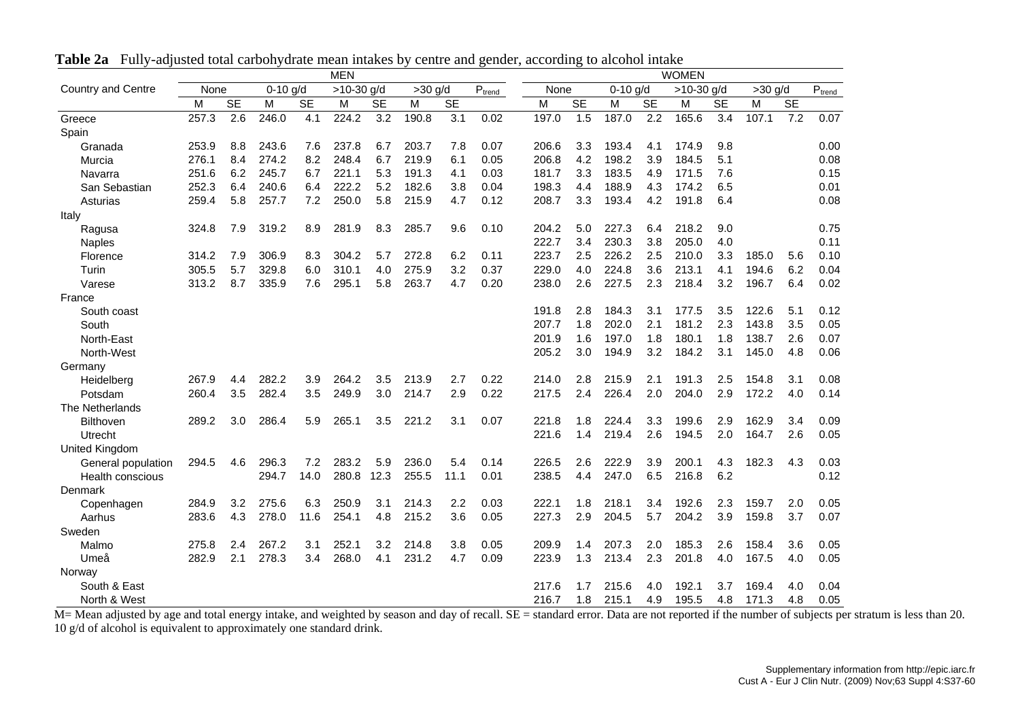|                           |       | <b>MEN</b> |            |           |              |           |           |           |                                       |       |           |            |           | <b>WOMEN</b> |           |           |           |             |
|---------------------------|-------|------------|------------|-----------|--------------|-----------|-----------|-----------|---------------------------------------|-------|-----------|------------|-----------|--------------|-----------|-----------|-----------|-------------|
| <b>Country and Centre</b> | None  |            | $0-10$ g/d |           | $>10-30$ g/d |           | $>30$ g/d |           | $\text{P}_{\underline{\text{trend}}}$ | None  |           | $0-10$ g/d |           | $>10-30$ g/d |           | $>30$ g/d |           | $P_{trend}$ |
|                           | M     | <b>SE</b>  | M          | <b>SE</b> | M            | <b>SE</b> | M         | <b>SE</b> |                                       | M     | <b>SE</b> | M          | <b>SE</b> | M            | <b>SE</b> | M         | <b>SE</b> |             |
| Greece                    | 257.3 | 2.6        | 246.0      | 4.1       | 224.2        | 3.2       | 190.8     | 3.1       | 0.02                                  | 197.0 | 1.5       | 187.0      | 2.2       | 165.6        | 3.4       | 107.1     | 7.2       | 0.07        |
| Spain                     |       |            |            |           |              |           |           |           |                                       |       |           |            |           |              |           |           |           |             |
| Granada                   | 253.9 | 8.8        | 243.6      | 7.6       | 237.8        | 6.7       | 203.7     | 7.8       | 0.07                                  | 206.6 | 3.3       | 193.4      | 4.1       | 174.9        | 9.8       |           |           | 0.00        |
| Murcia                    | 276.1 | 8.4        | 274.2      | 8.2       | 248.4        | 6.7       | 219.9     | 6.1       | 0.05                                  | 206.8 | 4.2       | 198.2      | 3.9       | 184.5        | 5.1       |           |           | 0.08        |
| Navarra                   | 251.6 | 6.2        | 245.7      | 6.7       | 221.1        | 5.3       | 191.3     | 4.1       | 0.03                                  | 181.7 | 3.3       | 183.5      | 4.9       | 171.5        | 7.6       |           |           | 0.15        |
| San Sebastian             | 252.3 | 6.4        | 240.6      | 6.4       | 222.2        | 5.2       | 182.6     | 3.8       | 0.04                                  | 198.3 | 4.4       | 188.9      | 4.3       | 174.2        | 6.5       |           |           | 0.01        |
| Asturias                  | 259.4 | 5.8        | 257.7      | 7.2       | 250.0        | 5.8       | 215.9     | 4.7       | 0.12                                  | 208.7 | 3.3       | 193.4      | 4.2       | 191.8        | 6.4       |           |           | 0.08        |
| Italy                     |       |            |            |           |              |           |           |           |                                       |       |           |            |           |              |           |           |           |             |
| Ragusa                    | 324.8 | 7.9        | 319.2      | 8.9       | 281.9        | 8.3       | 285.7     | 9.6       | 0.10                                  | 204.2 | 5.0       | 227.3      | 6.4       | 218.2        | 9.0       |           |           | 0.75        |
| <b>Naples</b>             |       |            |            |           |              |           |           |           |                                       | 222.7 | 3.4       | 230.3      | 3.8       | 205.0        | 4.0       |           |           | 0.11        |
| Florence                  | 314.2 | 7.9        | 306.9      | 8.3       | 304.2        | 5.7       | 272.8     | 6.2       | 0.11                                  | 223.7 | 2.5       | 226.2      | 2.5       | 210.0        | 3.3       | 185.0     | 5.6       | 0.10        |
| Turin                     | 305.5 | 5.7        | 329.8      | 6.0       | 310.1        | 4.0       | 275.9     | 3.2       | 0.37                                  | 229.0 | 4.0       | 224.8      | 3.6       | 213.1        | 4.1       | 194.6     | 6.2       | 0.04        |
| Varese                    | 313.2 | 8.7        | 335.9      | 7.6       | 295.1        | 5.8       | 263.7     | 4.7       | 0.20                                  | 238.0 | 2.6       | 227.5      | 2.3       | 218.4        | 3.2       | 196.7     | 6.4       | 0.02        |
| France                    |       |            |            |           |              |           |           |           |                                       |       |           |            |           |              |           |           |           |             |
| South coast               |       |            |            |           |              |           |           |           |                                       | 191.8 | 2.8       | 184.3      | 3.1       | 177.5        | 3.5       | 122.6     | 5.1       | 0.12        |
| South                     |       |            |            |           |              |           |           |           |                                       | 207.7 | 1.8       | 202.0      | 2.1       | 181.2        | 2.3       | 143.8     | 3.5       | 0.05        |
| North-East                |       |            |            |           |              |           |           |           |                                       | 201.9 | 1.6       | 197.0      | 1.8       | 180.1        | 1.8       | 138.7     | 2.6       | 0.07        |
| North-West                |       |            |            |           |              |           |           |           |                                       | 205.2 | 3.0       | 194.9      | 3.2       | 184.2        | 3.1       | 145.0     | 4.8       | 0.06        |
| Germany                   |       |            |            |           |              |           |           |           |                                       |       |           |            |           |              |           |           |           |             |
| Heidelberg                | 267.9 | 4.4        | 282.2      | 3.9       | 264.2        | 3.5       | 213.9     | 2.7       | 0.22                                  | 214.0 | 2.8       | 215.9      | 2.1       | 191.3        | 2.5       | 154.8     | 3.1       | 0.08        |
| Potsdam                   | 260.4 | 3.5        | 282.4      | 3.5       | 249.9        | 3.0       | 214.7     | 2.9       | 0.22                                  | 217.5 | 2.4       | 226.4      | 2.0       | 204.0        | 2.9       | 172.2     | 4.0       | 0.14        |
| The Netherlands           |       |            |            |           |              |           |           |           |                                       |       |           |            |           |              |           |           |           |             |
| <b>Bilthoven</b>          | 289.2 | 3.0        | 286.4      | 5.9       | 265.1        | 3.5       | 221.2     | 3.1       | 0.07                                  | 221.8 | 1.8       | 224.4      | 3.3       | 199.6        | 2.9       | 162.9     | 3.4       | 0.09        |
| Utrecht                   |       |            |            |           |              |           |           |           |                                       | 221.6 | 1.4       | 219.4      | 2.6       | 194.5        | 2.0       | 164.7     | 2.6       | 0.05        |
| United Kingdom            |       |            |            |           |              |           |           |           |                                       |       |           |            |           |              |           |           |           |             |
| General population        | 294.5 | 4.6        | 296.3      | 7.2       | 283.2        | 5.9       | 236.0     | 5.4       | 0.14                                  | 226.5 | 2.6       | 222.9      | 3.9       | 200.1        | 4.3       | 182.3     | 4.3       | 0.03        |
| <b>Health conscious</b>   |       |            | 294.7      | 14.0      | 280.8        | 12.3      | 255.5     | 11.1      | 0.01                                  | 238.5 | 4.4       | 247.0      | 6.5       | 216.8        | 6.2       |           |           | 0.12        |
| Denmark                   |       |            |            |           |              |           |           |           |                                       |       |           |            |           |              |           |           |           |             |
| Copenhagen                | 284.9 | 3.2        | 275.6      | 6.3       | 250.9        | 3.1       | 214.3     | 2.2       | 0.03                                  | 222.1 | 1.8       | 218.1      | 3.4       | 192.6        | 2.3       | 159.7     | 2.0       | 0.05        |
| Aarhus                    | 283.6 | 4.3        | 278.0      | 11.6      | 254.1        | 4.8       | 215.2     | 3.6       | 0.05                                  | 227.3 | 2.9       | 204.5      | 5.7       | 204.2        | 3.9       | 159.8     | 3.7       | 0.07        |
| Sweden                    |       |            |            |           |              |           |           |           |                                       |       |           |            |           |              |           |           |           |             |
| Malmo                     | 275.8 | 2.4        | 267.2      | 3.1       | 252.1        | 3.2       | 214.8     | 3.8       | 0.05                                  | 209.9 | 1.4       | 207.3      | 2.0       | 185.3        | 2.6       | 158.4     | 3.6       | 0.05        |
| Umeå                      | 282.9 | 2.1        | 278.3      | 3.4       | 268.0        | 4.1       | 231.2     | 4.7       | 0.09                                  | 223.9 | 1.3       | 213.4      | 2.3       | 201.8        | 4.0       | 167.5     | 4.0       | 0.05        |
| Norway                    |       |            |            |           |              |           |           |           |                                       |       |           |            |           |              |           |           |           |             |
| South & East              |       |            |            |           |              |           |           |           |                                       | 217.6 | 1.7       | 215.6      | 4.0       | 192.1        | 3.7       | 169.4     | 4.0       | 0.04        |
| North & West              |       |            |            |           |              |           |           |           |                                       | 216.7 | 1.8       | 215.1      | 4.9       | 195.5        | 4.8       | 171.3     | 4.8       | 0.05        |

**Table 2a** Fully-adjusted total carbohydrate mean intakes by centre and gender, according to alcohol intake

M= Mean adjusted by age and total energy intake, and weighted by season and day of recall. SE = standard error. Data are not reported if the number of subjects per stratum is less than 20. 10 g/d of alcohol is equivalent to approximately one standard drink.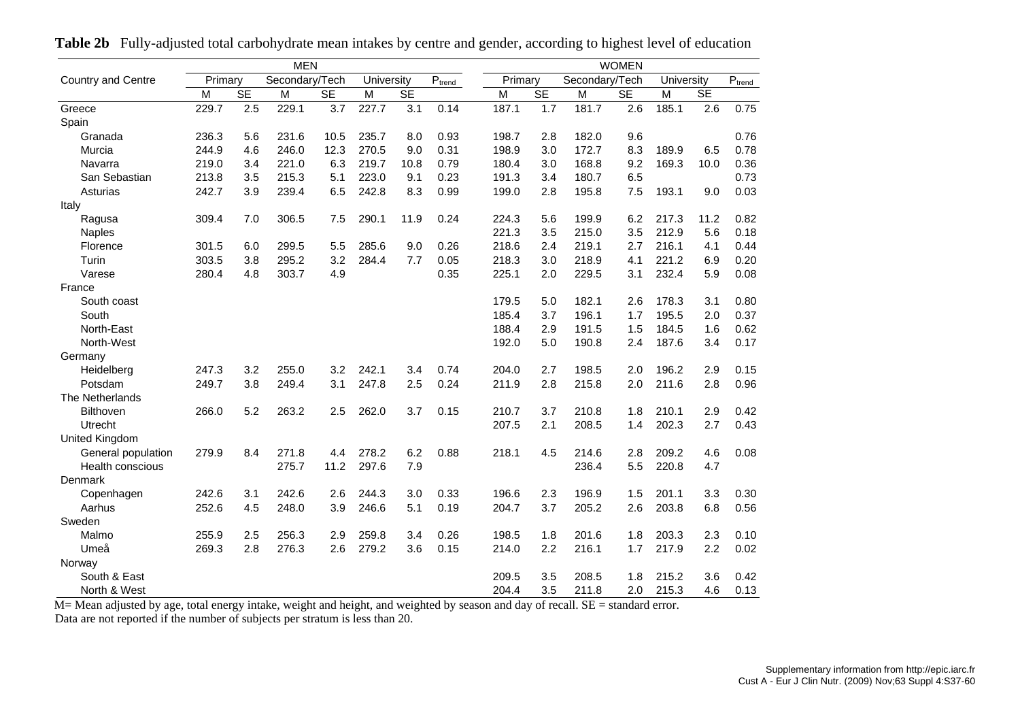|                           |         |           | <b>MEN</b>     |           |            |           |             |         |           |                | <b>WOMEN</b> |            |           |                     |
|---------------------------|---------|-----------|----------------|-----------|------------|-----------|-------------|---------|-----------|----------------|--------------|------------|-----------|---------------------|
| <b>Country and Centre</b> | Primary |           | Secondary/Tech |           | University |           | $P_{trend}$ | Primary |           | Secondary/Tech |              | University |           | $\text{P}_{\text{t$ |
|                           | м       | <b>SE</b> | M              | <b>SE</b> | M          | <b>SE</b> |             | M       | <b>SE</b> | M              | <b>SE</b>    | M          | <b>SE</b> |                     |
| Greece                    | 229.7   | 2.5       | 229.1          | 3.7       | 227.7      | 3.1       | 0.14        | 187.1   | 1.7       | 181.7          | 2.6          | 185.1      | 2.6       | 0.75                |
| Spain                     |         |           |                |           |            |           |             |         |           |                |              |            |           |                     |
| Granada                   | 236.3   | 5.6       | 231.6          | 10.5      | 235.7      | 8.0       | 0.93        | 198.7   | 2.8       | 182.0          | 9.6          |            |           | 0.76                |
| Murcia                    | 244.9   | 4.6       | 246.0          | 12.3      | 270.5      | 9.0       | 0.31        | 198.9   | 3.0       | 172.7          | 8.3          | 189.9      | 6.5       | 0.78                |
| Navarra                   | 219.0   | 3.4       | 221.0          | 6.3       | 219.7      | 10.8      | 0.79        | 180.4   | 3.0       | 168.8          | 9.2          | 169.3      | 10.0      | 0.36                |
| San Sebastian             | 213.8   | 3.5       | 215.3          | 5.1       | 223.0      | 9.1       | 0.23        | 191.3   | 3.4       | 180.7          | 6.5          |            |           | 0.73                |
| Asturias                  | 242.7   | 3.9       | 239.4          | 6.5       | 242.8      | 8.3       | 0.99        | 199.0   | 2.8       | 195.8          | 7.5          | 193.1      | 9.0       | 0.03                |
| Italy                     |         |           |                |           |            |           |             |         |           |                |              |            |           |                     |
| Ragusa                    | 309.4   | 7.0       | 306.5          | 7.5       | 290.1      | 11.9      | 0.24        | 224.3   | 5.6       | 199.9          | 6.2          | 217.3      | 11.2      | 0.82                |
| <b>Naples</b>             |         |           |                |           |            |           |             | 221.3   | 3.5       | 215.0          | 3.5          | 212.9      | 5.6       | 0.18                |
| Florence                  | 301.5   | 6.0       | 299.5          | 5.5       | 285.6      | 9.0       | 0.26        | 218.6   | 2.4       | 219.1          | 2.7          | 216.1      | 4.1       | 0.44                |
| Turin                     | 303.5   | 3.8       | 295.2          | 3.2       | 284.4      | 7.7       | 0.05        | 218.3   | 3.0       | 218.9          | 4.1          | 221.2      | 6.9       | 0.20                |
| Varese                    | 280.4   | 4.8       | 303.7          | 4.9       |            |           | 0.35        | 225.1   | 2.0       | 229.5          | 3.1          | 232.4      | 5.9       | 0.08                |
| France                    |         |           |                |           |            |           |             |         |           |                |              |            |           |                     |
| South coast               |         |           |                |           |            |           |             | 179.5   | 5.0       | 182.1          | 2.6          | 178.3      | 3.1       | 0.80                |
| South                     |         |           |                |           |            |           |             | 185.4   | 3.7       | 196.1          | 1.7          | 195.5      | 2.0       | 0.37                |
| North-East                |         |           |                |           |            |           |             | 188.4   | 2.9       | 191.5          | 1.5          | 184.5      | 1.6       | 0.62                |
| North-West                |         |           |                |           |            |           |             | 192.0   | 5.0       | 190.8          | 2.4          | 187.6      | 3.4       | 0.17                |
| Germany                   |         |           |                |           |            |           |             |         |           |                |              |            |           |                     |
| Heidelberg                | 247.3   | 3.2       | 255.0          | 3.2       | 242.1      | 3.4       | 0.74        | 204.0   | 2.7       | 198.5          | 2.0          | 196.2      | 2.9       | 0.15                |
| Potsdam                   | 249.7   | 3.8       | 249.4          | 3.1       | 247.8      | 2.5       | 0.24        | 211.9   | 2.8       | 215.8          | 2.0          | 211.6      | 2.8       | 0.96                |
| The Netherlands           |         |           |                |           |            |           |             |         |           |                |              |            |           |                     |
| <b>Bilthoven</b>          | 266.0   | 5.2       | 263.2          | 2.5       | 262.0      | 3.7       | 0.15        | 210.7   | 3.7       | 210.8          | 1.8          | 210.1      | 2.9       | 0.42                |
| Utrecht                   |         |           |                |           |            |           |             | 207.5   | 2.1       | 208.5          | 1.4          | 202.3      | 2.7       | 0.43                |
| United Kingdom            |         |           |                |           |            |           |             |         |           |                |              |            |           |                     |
| General population        | 279.9   | 8.4       | 271.8          | 4.4       | 278.2      | 6.2       | 0.88        | 218.1   | 4.5       | 214.6          | 2.8          | 209.2      | 4.6       | 0.08                |
| <b>Health conscious</b>   |         |           | 275.7          | 11.2      | 297.6      | 7.9       |             |         |           | 236.4          | 5.5          | 220.8      | 4.7       |                     |
| Denmark                   |         |           |                |           |            |           |             |         |           |                |              |            |           |                     |
| Copenhagen                | 242.6   | 3.1       | 242.6          | 2.6       | 244.3      | 3.0       | 0.33        | 196.6   | 2.3       | 196.9          | 1.5          | 201.1      | 3.3       | 0.30                |
| Aarhus                    | 252.6   | 4.5       | 248.0          | 3.9       | 246.6      | 5.1       | 0.19        | 204.7   | 3.7       | 205.2          | 2.6          | 203.8      | 6.8       | 0.56                |
| Sweden                    |         |           |                |           |            |           |             |         |           |                |              |            |           |                     |
| Malmo                     | 255.9   | 2.5       | 256.3          | 2.9       | 259.8      | 3.4       | 0.26        | 198.5   | 1.8       | 201.6          | 1.8          | 203.3      | 2.3       | 0.10                |
| Umeå                      | 269.3   | 2.8       | 276.3          | 2.6       | 279.2      | 3.6       | 0.15        | 214.0   | 2.2       | 216.1          | 1.7          | 217.9      | 2.2       | 0.02                |
| Norway                    |         |           |                |           |            |           |             |         |           |                |              |            |           |                     |
| South & East              |         |           |                |           |            |           |             | 209.5   | 3.5       | 208.5          | 1.8          | 215.2      | 3.6       | 0.42                |
| North & West              |         |           |                |           |            |           |             | 204.4   | 3.5       | 211.8          | 2.0          | 215.3      | 4.6       | 0.13                |

**Table 2b** Fully-adjusted total carbohydrate mean intakes by centre and gender, according to highest level of education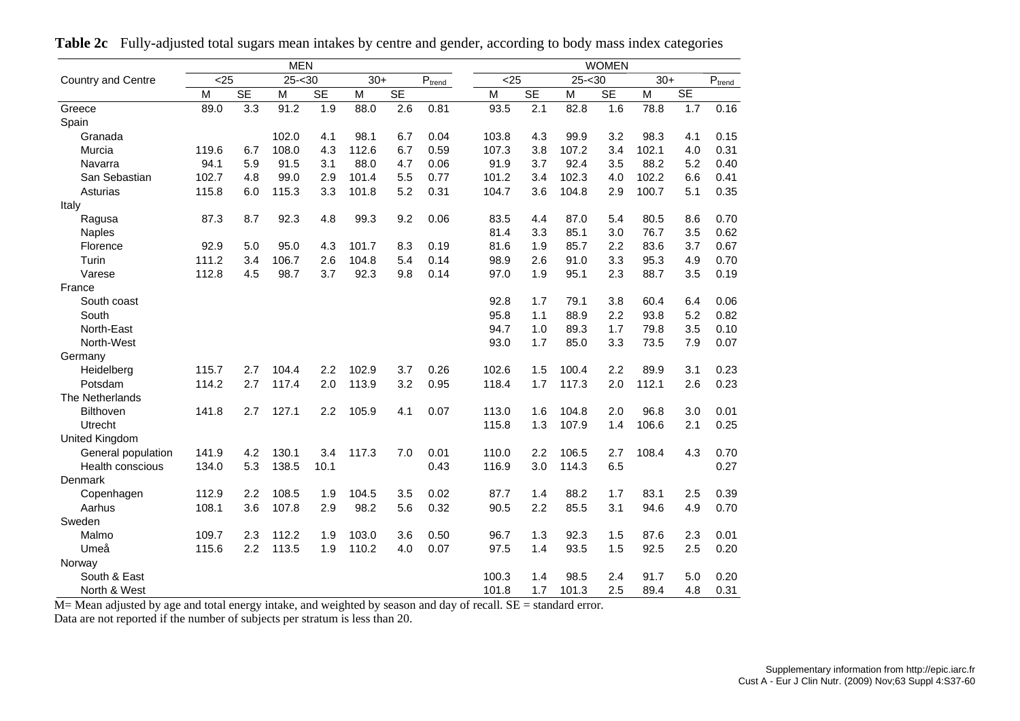|                           |       |           | <b>MEN</b> |           |       |           |                             |       |           |           | <b>WOMEN</b> |       |     |                             |
|---------------------------|-------|-----------|------------|-----------|-------|-----------|-----------------------------|-------|-----------|-----------|--------------|-------|-----|-----------------------------|
| <b>Country and Centre</b> | $25$  |           | $25 - 30$  |           | $30+$ |           | $\mathsf{P}_{\text{trend}}$ | $25$  |           | $25 - 30$ |              | $30+$ |     | $\mathsf{P}_{\text{trend}}$ |
|                           | M     | <b>SE</b> | M          | <b>SE</b> | M     | <b>SE</b> |                             | M     | <b>SE</b> | M         | <b>SE</b>    | M     | SE  |                             |
| Greece                    | 89.0  | 3.3       | 91.2       | 1.9       | 88.0  | 2.6       | 0.81                        | 93.5  | 2.1       | 82.8      | 1.6          | 78.8  | 1.7 | 0.16                        |
| Spain                     |       |           |            |           |       |           |                             |       |           |           |              |       |     |                             |
| Granada                   |       |           | 102.0      | 4.1       | 98.1  | 6.7       | 0.04                        | 103.8 | 4.3       | 99.9      | 3.2          | 98.3  | 4.1 | 0.15                        |
| Murcia                    | 119.6 | 6.7       | 108.0      | 4.3       | 112.6 | 6.7       | 0.59                        | 107.3 | 3.8       | 107.2     | 3.4          | 102.1 | 4.0 | 0.31                        |
| Navarra                   | 94.1  | 5.9       | 91.5       | 3.1       | 88.0  | 4.7       | 0.06                        | 91.9  | 3.7       | 92.4      | 3.5          | 88.2  | 5.2 | 0.40                        |
| San Sebastian             | 102.7 | 4.8       | 99.0       | 2.9       | 101.4 | 5.5       | 0.77                        | 101.2 | 3.4       | 102.3     | 4.0          | 102.2 | 6.6 | 0.41                        |
| Asturias                  | 115.8 | 6.0       | 115.3      | 3.3       | 101.8 | 5.2       | 0.31                        | 104.7 | 3.6       | 104.8     | 2.9          | 100.7 | 5.1 | 0.35                        |
| Italy                     |       |           |            |           |       |           |                             |       |           |           |              |       |     |                             |
| Ragusa                    | 87.3  | 8.7       | 92.3       | 4.8       | 99.3  | 9.2       | 0.06                        | 83.5  | 4.4       | 87.0      | 5.4          | 80.5  | 8.6 | 0.70                        |
| <b>Naples</b>             |       |           |            |           |       |           |                             | 81.4  | 3.3       | 85.1      | 3.0          | 76.7  | 3.5 | 0.62                        |
| Florence                  | 92.9  | 5.0       | 95.0       | 4.3       | 101.7 | 8.3       | 0.19                        | 81.6  | 1.9       | 85.7      | 2.2          | 83.6  | 3.7 | 0.67                        |
| Turin                     | 111.2 | 3.4       | 106.7      | 2.6       | 104.8 | 5.4       | 0.14                        | 98.9  | 2.6       | 91.0      | 3.3          | 95.3  | 4.9 | 0.70                        |
| Varese                    | 112.8 | 4.5       | 98.7       | 3.7       | 92.3  | 9.8       | 0.14                        | 97.0  | 1.9       | 95.1      | 2.3          | 88.7  | 3.5 | 0.19                        |
| France                    |       |           |            |           |       |           |                             |       |           |           |              |       |     |                             |
| South coast               |       |           |            |           |       |           |                             | 92.8  | 1.7       | 79.1      | 3.8          | 60.4  | 6.4 | 0.06                        |
| South                     |       |           |            |           |       |           |                             | 95.8  | 1.1       | 88.9      | 2.2          | 93.8  | 5.2 | 0.82                        |
| North-East                |       |           |            |           |       |           |                             | 94.7  | 1.0       | 89.3      | 1.7          | 79.8  | 3.5 | 0.10                        |
| North-West                |       |           |            |           |       |           |                             | 93.0  | 1.7       | 85.0      | 3.3          | 73.5  | 7.9 | 0.07                        |
| Germany                   |       |           |            |           |       |           |                             |       |           |           |              |       |     |                             |
| Heidelberg                | 115.7 | 2.7       | 104.4      | 2.2       | 102.9 | 3.7       | 0.26                        | 102.6 | 1.5       | 100.4     | 2.2          | 89.9  | 3.1 | 0.23                        |
| Potsdam                   | 114.2 | 2.7       | 117.4      | 2.0       | 113.9 | 3.2       | 0.95                        | 118.4 | 1.7       | 117.3     | 2.0          | 112.1 | 2.6 | 0.23                        |
| The Netherlands           |       |           |            |           |       |           |                             |       |           |           |              |       |     |                             |
| <b>Bilthoven</b>          | 141.8 | 2.7       | 127.1      | 2.2       | 105.9 | 4.1       | 0.07                        | 113.0 | 1.6       | 104.8     | 2.0          | 96.8  | 3.0 | 0.01                        |
| Utrecht                   |       |           |            |           |       |           |                             | 115.8 | 1.3       | 107.9     | 1.4          | 106.6 | 2.1 | 0.25                        |
| United Kingdom            |       |           |            |           |       |           |                             |       |           |           |              |       |     |                             |
| General population        | 141.9 | 4.2       | 130.1      | 3.4       | 117.3 | 7.0       | 0.01                        | 110.0 | 2.2       | 106.5     | 2.7          | 108.4 | 4.3 | 0.70                        |
| <b>Health conscious</b>   | 134.0 | 5.3       | 138.5      | 10.1      |       |           | 0.43                        | 116.9 | 3.0       | 114.3     | 6.5          |       |     | 0.27                        |
| Denmark                   |       |           |            |           |       |           |                             |       |           |           |              |       |     |                             |
| Copenhagen                | 112.9 | 2.2       | 108.5      | 1.9       | 104.5 | 3.5       | 0.02                        | 87.7  | 1.4       | 88.2      | 1.7          | 83.1  | 2.5 | 0.39                        |
| Aarhus                    | 108.1 | 3.6       | 107.8      | 2.9       | 98.2  | 5.6       | 0.32                        | 90.5  | 2.2       | 85.5      | 3.1          | 94.6  | 4.9 | 0.70                        |
| Sweden                    |       |           |            |           |       |           |                             |       |           |           |              |       |     |                             |
| Malmo                     | 109.7 | 2.3       | 112.2      | 1.9       | 103.0 | 3.6       | 0.50                        | 96.7  | 1.3       | 92.3      | 1.5          | 87.6  | 2.3 | 0.01                        |
| Umeå                      | 115.6 | 2.2       | 113.5      | 1.9       | 110.2 | 4.0       | 0.07                        | 97.5  | 1.4       | 93.5      | 1.5          | 92.5  | 2.5 | 0.20                        |
| Norway                    |       |           |            |           |       |           |                             |       |           |           |              |       |     |                             |
| South & East              |       |           |            |           |       |           |                             | 100.3 | 1.4       | 98.5      | 2.4          | 91.7  | 5.0 | 0.20                        |
| North & West              |       |           |            |           |       |           |                             | 101.8 | 1.7       | 101.3     | 2.5          | 89.4  | 4.8 | 0.31                        |

**Table 2c** Fully-adjusted total sugars mean intakes by centre and gender, according to body mass index categories

M= Mean adjusted by age and total energy intake, and weighted by season and day of recall. SE = standard error.

Data are not reported if the number of subjects per stratum is less than 20.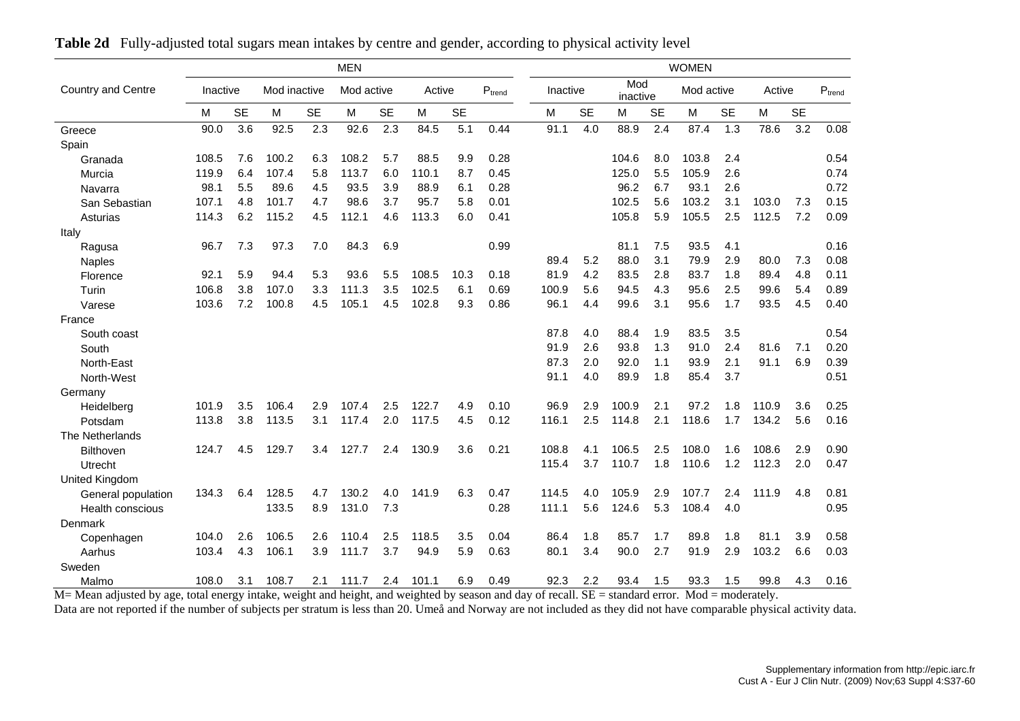|                           |          |           |              |           | <b>MEN</b> |           |        |           |             |          |           |                 |           | <b>WOMEN</b> |           |        |           |             |
|---------------------------|----------|-----------|--------------|-----------|------------|-----------|--------|-----------|-------------|----------|-----------|-----------------|-----------|--------------|-----------|--------|-----------|-------------|
| <b>Country and Centre</b> | Inactive |           | Mod inactive |           | Mod active |           | Active |           | $P_{trend}$ | Inactive |           | Mod<br>inactive |           | Mod active   |           | Active |           | $P_{trend}$ |
|                           | м        | <b>SE</b> | M            | <b>SE</b> | М          | <b>SE</b> | M      | <b>SE</b> |             | M        | <b>SE</b> | м               | <b>SE</b> | M            | <b>SE</b> | M      | <b>SE</b> |             |
| Greece                    | 90.0     | 3.6       | 92.5         | 2.3       | 92.6       | 2.3       | 84.5   | 5.1       | 0.44        | 91.1     | 4.0       | 88.9            | 2.4       | 87.4         | 1.3       | 78.6   | 3.2       | 0.08        |
| Spain                     |          |           |              |           |            |           |        |           |             |          |           |                 |           |              |           |        |           |             |
| Granada                   | 108.5    | 7.6       | 100.2        | 6.3       | 108.2      | 5.7       | 88.5   | 9.9       | 0.28        |          |           | 104.6           | 8.0       | 103.8        | 2.4       |        |           | 0.54        |
| Murcia                    | 119.9    | 6.4       | 107.4        | 5.8       | 113.7      | 6.0       | 110.1  | 8.7       | 0.45        |          |           | 125.0           | 5.5       | 105.9        | 2.6       |        |           | 0.74        |
| Navarra                   | 98.1     | 5.5       | 89.6         | 4.5       | 93.5       | 3.9       | 88.9   | 6.1       | 0.28        |          |           | 96.2            | 6.7       | 93.1         | 2.6       |        |           | 0.72        |
| San Sebastian             | 107.1    | 4.8       | 101.7        | 4.7       | 98.6       | 3.7       | 95.7   | 5.8       | 0.01        |          |           | 102.5           | 5.6       | 103.2        | 3.1       | 103.0  | 7.3       | 0.15        |
| Asturias                  | 114.3    | 6.2       | 115.2        | 4.5       | 112.1      | 4.6       | 113.3  | 6.0       | 0.41        |          |           | 105.8           | 5.9       | 105.5        | 2.5       | 112.5  | 7.2       | 0.09        |
| Italy                     |          |           |              |           |            |           |        |           |             |          |           |                 |           |              |           |        |           |             |
| Ragusa                    | 96.7     | 7.3       | 97.3         | 7.0       | 84.3       | 6.9       |        |           | 0.99        |          |           | 81.1            | 7.5       | 93.5         | 4.1       |        |           | 0.16        |
| Naples                    |          |           |              |           |            |           |        |           |             | 89.4     | 5.2       | 88.0            | 3.1       | 79.9         | 2.9       | 80.0   | 7.3       | 0.08        |
| Florence                  | 92.1     | 5.9       | 94.4         | 5.3       | 93.6       | 5.5       | 108.5  | 10.3      | 0.18        | 81.9     | 4.2       | 83.5            | 2.8       | 83.7         | 1.8       | 89.4   | 4.8       | 0.11        |
| Turin                     | 106.8    | 3.8       | 107.0        | 3.3       | 111.3      | 3.5       | 102.5  | 6.1       | 0.69        | 100.9    | 5.6       | 94.5            | 4.3       | 95.6         | 2.5       | 99.6   | 5.4       | 0.89        |
| Varese                    | 103.6    | 7.2       | 100.8        | 4.5       | 105.1      | 4.5       | 102.8  | 9.3       | 0.86        | 96.1     | 4.4       | 99.6            | 3.1       | 95.6         | 1.7       | 93.5   | 4.5       | 0.40        |
| France                    |          |           |              |           |            |           |        |           |             |          |           |                 |           |              |           |        |           |             |
| South coast               |          |           |              |           |            |           |        |           |             | 87.8     | 4.0       | 88.4            | 1.9       | 83.5         | 3.5       |        |           | 0.54        |
| South                     |          |           |              |           |            |           |        |           |             | 91.9     | 2.6       | 93.8            | 1.3       | 91.0         | 2.4       | 81.6   | 7.1       | 0.20        |
| North-East                |          |           |              |           |            |           |        |           |             | 87.3     | 2.0       | 92.0            | 1.1       | 93.9         | 2.1       | 91.1   | 6.9       | 0.39        |
| North-West                |          |           |              |           |            |           |        |           |             | 91.1     | 4.0       | 89.9            | 1.8       | 85.4         | 3.7       |        |           | 0.51        |
| Germany                   |          |           |              |           |            |           |        |           |             |          |           |                 |           |              |           |        |           |             |
| Heidelberg                | 101.9    | 3.5       | 106.4        | 2.9       | 107.4      | 2.5       | 122.7  | 4.9       | 0.10        | 96.9     | 2.9       | 100.9           | 2.1       | 97.2         | 1.8       | 110.9  | 3.6       | 0.25        |
| Potsdam                   | 113.8    | 3.8       | 113.5        | 3.1       | 117.4      | 2.0       | 117.5  | 4.5       | 0.12        | 116.1    | 2.5       | 114.8           | 2.1       | 118.6        | 1.7       | 134.2  | 5.6       | 0.16        |
| The Netherlands           |          |           |              |           |            |           |        |           |             |          |           |                 |           |              |           |        |           |             |
| Bilthoven                 | 124.7    | 4.5       | 129.7        | 3.4       | 127.7      | 2.4       | 130.9  | 3.6       | 0.21        | 108.8    | 4.1       | 106.5           | 2.5       | 108.0        | 1.6       | 108.6  | 2.9       | 0.90        |
| Utrecht                   |          |           |              |           |            |           |        |           |             | 115.4    | 3.7       | 110.7           | 1.8       | 110.6        | 1.2       | 112.3  | 2.0       | 0.47        |
| United Kingdom            |          |           |              |           |            |           |        |           |             |          |           |                 |           |              |           |        |           |             |
| General population        | 134.3    | 6.4       | 128.5        | 4.7       | 130.2      | 4.0       | 141.9  | 6.3       | 0.47        | 114.5    | 4.0       | 105.9           | 2.9       | 107.7        | 2.4       | 111.9  | 4.8       | 0.81        |
| Health conscious          |          |           | 133.5        | 8.9       | 131.0      | 7.3       |        |           | 0.28        | 111.1    | 5.6       | 124.6           | 5.3       | 108.4        | 4.0       |        |           | 0.95        |
| Denmark                   |          |           |              |           |            |           |        |           |             |          |           |                 |           |              |           |        |           |             |
| Copenhagen                | 104.0    | 2.6       | 106.5        | 2.6       | 110.4      | 2.5       | 118.5  | 3.5       | 0.04        | 86.4     | 1.8       | 85.7            | 1.7       | 89.8         | 1.8       | 81.1   | 3.9       | 0.58        |
| Aarhus                    | 103.4    | 4.3       | 106.1        | 3.9       | 111.7      | 3.7       | 94.9   | 5.9       | 0.63        | 80.1     | 3.4       | 90.0            | 2.7       | 91.9         | 2.9       | 103.2  | 6.6       | 0.03        |
| Sweden                    |          |           |              |           |            |           |        |           |             |          |           |                 |           |              |           |        |           |             |
| Malmo                     | 108.0    | 3.1       | 108.7        | 2.1       | 111.7      | 2.4       | 101.1  | 6.9       | 0.49        | 92.3     | 2.2       | 93.4            | 1.5       | 93.3         | 1.5       | 99.8   | 4.3       | 0.16        |

**Table 2d** Fully-adjusted total sugars mean intakes by centre and gender, according to physical activity level

M= Mean adjusted by age, total energy intake, weight and height, and weighted by season and day of recall. SE = standard error. Mod = moderately.

Data are not reported if the number of subjects per stratum is less than 20. Umeå and Norway are not included as they did not have comparable physical activity data.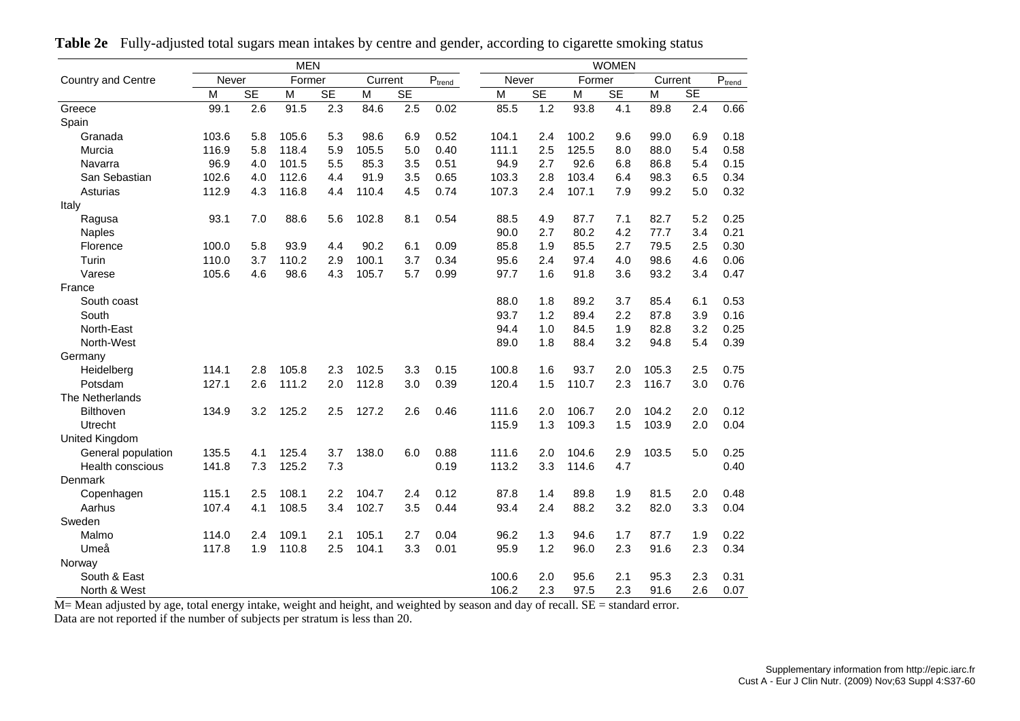|                           |       |                  | <b>MEN</b> |           |         |           |             |       |                  |        | <b>WOMEN</b> |         |     |             |
|---------------------------|-------|------------------|------------|-----------|---------|-----------|-------------|-------|------------------|--------|--------------|---------|-----|-------------|
| <b>Country and Centre</b> | Never |                  | Former     |           | Current |           | $P_{trend}$ |       | Never            | Former |              | Current |     | $P_{trend}$ |
|                           | M     | <b>SE</b>        | M          | <b>SE</b> | M       | <b>SE</b> |             | M     | <b>SE</b>        | M      | <b>SE</b>    | M       | SE  |             |
| Greece                    | 99.1  | $\overline{2.6}$ | 91.5       | 2.3       | 84.6    | 2.5       | 0.02        | 85.5  | $\overline{1.2}$ | 93.8   | 4.1          | 89.8    | 2.4 | 0.66        |
| Spain                     |       |                  |            |           |         |           |             |       |                  |        |              |         |     |             |
| Granada                   | 103.6 | 5.8              | 105.6      | 5.3       | 98.6    | 6.9       | 0.52        | 104.1 | 2.4              | 100.2  | 9.6          | 99.0    | 6.9 | 0.18        |
| Murcia                    | 116.9 | 5.8              | 118.4      | 5.9       | 105.5   | 5.0       | 0.40        | 111.1 | 2.5              | 125.5  | 8.0          | 88.0    | 5.4 | 0.58        |
| Navarra                   | 96.9  | 4.0              | 101.5      | 5.5       | 85.3    | 3.5       | 0.51        | 94.9  | 2.7              | 92.6   | 6.8          | 86.8    | 5.4 | 0.15        |
| San Sebastian             | 102.6 | 4.0              | 112.6      | 4.4       | 91.9    | 3.5       | 0.65        | 103.3 | 2.8              | 103.4  | 6.4          | 98.3    | 6.5 | 0.34        |
| Asturias                  | 112.9 | 4.3              | 116.8      | 4.4       | 110.4   | 4.5       | 0.74        | 107.3 | 2.4              | 107.1  | 7.9          | 99.2    | 5.0 | 0.32        |
| Italy                     |       |                  |            |           |         |           |             |       |                  |        |              |         |     |             |
| Ragusa                    | 93.1  | 7.0              | 88.6       | 5.6       | 102.8   | 8.1       | 0.54        | 88.5  | 4.9              | 87.7   | 7.1          | 82.7    | 5.2 | 0.25        |
| <b>Naples</b>             |       |                  |            |           |         |           |             | 90.0  | 2.7              | 80.2   | 4.2          | 77.7    | 3.4 | 0.21        |
| Florence                  | 100.0 | 5.8              | 93.9       | 4.4       | 90.2    | 6.1       | 0.09        | 85.8  | 1.9              | 85.5   | 2.7          | 79.5    | 2.5 | 0.30        |
| Turin                     | 110.0 | 3.7              | 110.2      | 2.9       | 100.1   | 3.7       | 0.34        | 95.6  | 2.4              | 97.4   | 4.0          | 98.6    | 4.6 | 0.06        |
| Varese                    | 105.6 | 4.6              | 98.6       | 4.3       | 105.7   | 5.7       | 0.99        | 97.7  | 1.6              | 91.8   | 3.6          | 93.2    | 3.4 | 0.47        |
| France                    |       |                  |            |           |         |           |             |       |                  |        |              |         |     |             |
| South coast               |       |                  |            |           |         |           |             | 88.0  | 1.8              | 89.2   | 3.7          | 85.4    | 6.1 | 0.53        |
| South                     |       |                  |            |           |         |           |             | 93.7  | 1.2              | 89.4   | 2.2          | 87.8    | 3.9 | 0.16        |
| North-East                |       |                  |            |           |         |           |             | 94.4  | 1.0              | 84.5   | 1.9          | 82.8    | 3.2 | 0.25        |
| North-West                |       |                  |            |           |         |           |             | 89.0  | 1.8              | 88.4   | 3.2          | 94.8    | 5.4 | 0.39        |
| Germany                   |       |                  |            |           |         |           |             |       |                  |        |              |         |     |             |
| Heidelberg                | 114.1 | 2.8              | 105.8      | 2.3       | 102.5   | 3.3       | 0.15        | 100.8 | 1.6              | 93.7   | 2.0          | 105.3   | 2.5 | 0.75        |
| Potsdam                   | 127.1 | 2.6              | 111.2      | 2.0       | 112.8   | 3.0       | 0.39        | 120.4 | 1.5              | 110.7  | 2.3          | 116.7   | 3.0 | 0.76        |
| The Netherlands           |       |                  |            |           |         |           |             |       |                  |        |              |         |     |             |
| Bilthoven                 | 134.9 | 3.2              | 125.2      | 2.5       | 127.2   | 2.6       | 0.46        | 111.6 | 2.0              | 106.7  | 2.0          | 104.2   | 2.0 | 0.12        |
| Utrecht                   |       |                  |            |           |         |           |             | 115.9 | 1.3              | 109.3  | 1.5          | 103.9   | 2.0 | 0.04        |
| United Kingdom            |       |                  |            |           |         |           |             |       |                  |        |              |         |     |             |
| General population        | 135.5 | 4.1              | 125.4      | 3.7       | 138.0   | 6.0       | 0.88        | 111.6 | 2.0              | 104.6  | 2.9          | 103.5   | 5.0 | 0.25        |
| Health conscious          | 141.8 | 7.3              | 125.2      | 7.3       |         |           | 0.19        | 113.2 | 3.3              | 114.6  | 4.7          |         |     | 0.40        |
| Denmark                   |       |                  |            |           |         |           |             |       |                  |        |              |         |     |             |
| Copenhagen                | 115.1 | 2.5              | 108.1      | 2.2       | 104.7   | 2.4       | 0.12        | 87.8  | 1.4              | 89.8   | 1.9          | 81.5    | 2.0 | 0.48        |
| Aarhus                    | 107.4 | 4.1              | 108.5      | 3.4       | 102.7   | 3.5       | 0.44        | 93.4  | 2.4              | 88.2   | 3.2          | 82.0    | 3.3 | 0.04        |
| Sweden                    |       |                  |            |           |         |           |             |       |                  |        |              |         |     |             |
| Malmo                     | 114.0 | 2.4              | 109.1      | 2.1       | 105.1   | 2.7       | 0.04        | 96.2  | 1.3              | 94.6   | 1.7          | 87.7    | 1.9 | 0.22        |
| Umeå                      | 117.8 | 1.9              | 110.8      | 2.5       | 104.1   | 3.3       | 0.01        | 95.9  | 1.2              | 96.0   | 2.3          | 91.6    | 2.3 | 0.34        |
| Norway                    |       |                  |            |           |         |           |             |       |                  |        |              |         |     |             |
| South & East              |       |                  |            |           |         |           |             | 100.6 | 2.0              | 95.6   | 2.1          | 95.3    | 2.3 | 0.31        |
| North & West              |       |                  |            |           |         |           |             | 106.2 | 2.3              | 97.5   | 2.3          | 91.6    | 2.6 | 0.07        |

**Table 2e** Fully-adjusted total sugars mean intakes by centre and gender, according to cigarette smoking status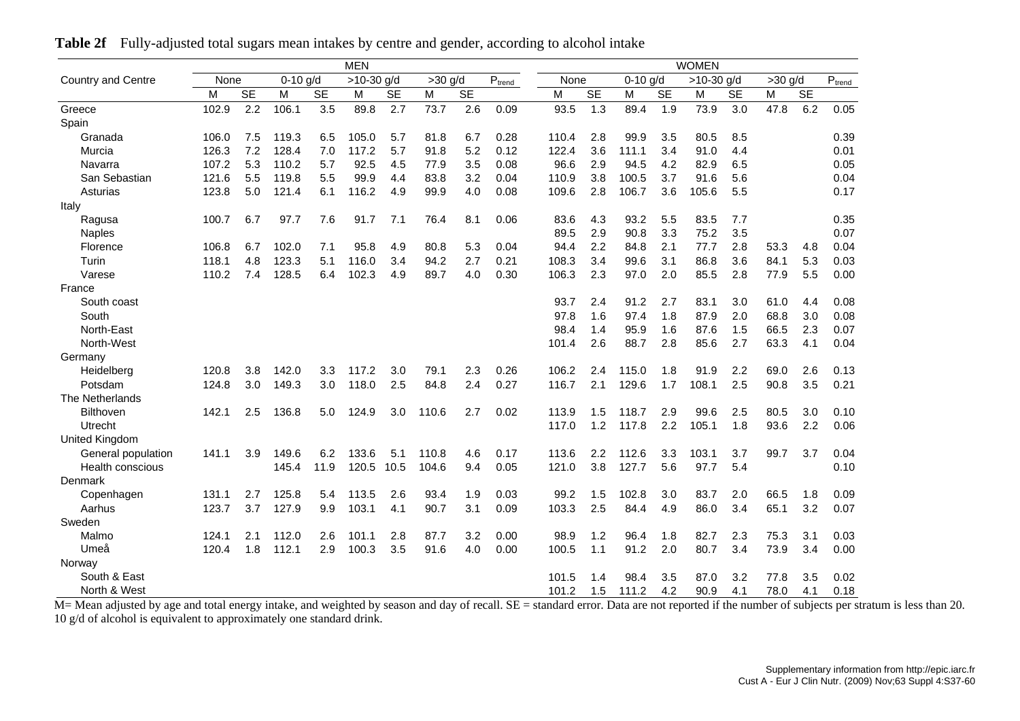|                           |       | <b>MEN</b> |            |           |              |           |           |           |                           |       |           |            |           | <b>WOMEN</b> |           |           |           |                           |
|---------------------------|-------|------------|------------|-----------|--------------|-----------|-----------|-----------|---------------------------|-------|-----------|------------|-----------|--------------|-----------|-----------|-----------|---------------------------|
| <b>Country and Centre</b> | None  |            | $0-10$ g/d |           | $>10-30$ g/d |           | $>30$ g/d |           | $\text{P}_{\text{trend}}$ | None  |           | $0-10$ g/d |           | $>10-30$ g/d |           | $>30$ g/d |           | $\text{P}_{\text{trend}}$ |
|                           | M     | <b>SE</b>  | M          | <b>SE</b> | M            | <b>SE</b> | M         | <b>SE</b> |                           | M     | <b>SE</b> | M          | <b>SE</b> | M            | <b>SE</b> | M         | <b>SE</b> |                           |
| Greece                    | 102.9 | 2.2        | 106.1      | 3.5       | 89.8         | 2.7       | 73.7      | 2.6       | 0.09                      | 93.5  | 1.3       | 89.4       | 1.9       | 73.9         | 3.0       | 47.8      | 6.2       | 0.05                      |
| Spain                     |       |            |            |           |              |           |           |           |                           |       |           |            |           |              |           |           |           |                           |
| Granada                   | 106.0 | 7.5        | 119.3      | 6.5       | 105.0        | 5.7       | 81.8      | 6.7       | 0.28                      | 110.4 | 2.8       | 99.9       | 3.5       | 80.5         | 8.5       |           |           | 0.39                      |
| Murcia                    | 126.3 | 7.2        | 128.4      | 7.0       | 117.2        | 5.7       | 91.8      | 5.2       | 0.12                      | 122.4 | 3.6       | 111.1      | 3.4       | 91.0         | 4.4       |           |           | 0.01                      |
| Navarra                   | 107.2 | 5.3        | 110.2      | 5.7       | 92.5         | 4.5       | 77.9      | 3.5       | 0.08                      | 96.6  | 2.9       | 94.5       | 4.2       | 82.9         | 6.5       |           |           | 0.05                      |
| San Sebastian             | 121.6 | 5.5        | 119.8      | 5.5       | 99.9         | 4.4       | 83.8      | 3.2       | 0.04                      | 110.9 | 3.8       | 100.5      | 3.7       | 91.6         | 5.6       |           |           | 0.04                      |
| Asturias                  | 123.8 | 5.0        | 121.4      | 6.1       | 116.2        | 4.9       | 99.9      | 4.0       | 0.08                      | 109.6 | 2.8       | 106.7      | 3.6       | 105.6        | 5.5       |           |           | 0.17                      |
| Italy                     |       |            |            |           |              |           |           |           |                           |       |           |            |           |              |           |           |           |                           |
| Ragusa                    | 100.7 | 6.7        | 97.7       | 7.6       | 91.7         | 7.1       | 76.4      | 8.1       | 0.06                      | 83.6  | 4.3       | 93.2       | 5.5       | 83.5         | 7.7       |           |           | 0.35                      |
| <b>Naples</b>             |       |            |            |           |              |           |           |           |                           | 89.5  | 2.9       | 90.8       | 3.3       | 75.2         | 3.5       |           |           | 0.07                      |
| Florence                  | 106.8 | 6.7        | 102.0      | 7.1       | 95.8         | 4.9       | 80.8      | 5.3       | 0.04                      | 94.4  | 2.2       | 84.8       | 2.1       | 77.7         | 2.8       | 53.3      | 4.8       | 0.04                      |
| Turin                     | 118.1 | 4.8        | 123.3      | 5.1       | 116.0        | 3.4       | 94.2      | 2.7       | 0.21                      | 108.3 | 3.4       | 99.6       | 3.1       | 86.8         | 3.6       | 84.1      | 5.3       | 0.03                      |
| Varese                    | 110.2 | 7.4        | 128.5      | 6.4       | 102.3        | 4.9       | 89.7      | 4.0       | 0.30                      | 106.3 | 2.3       | 97.0       | 2.0       | 85.5         | 2.8       | 77.9      | 5.5       | 0.00                      |
| France                    |       |            |            |           |              |           |           |           |                           |       |           |            |           |              |           |           |           |                           |
| South coast               |       |            |            |           |              |           |           |           |                           | 93.7  | 2.4       | 91.2       | 2.7       | 83.1         | 3.0       | 61.0      | 4.4       | 0.08                      |
| South                     |       |            |            |           |              |           |           |           |                           | 97.8  | 1.6       | 97.4       | 1.8       | 87.9         | 2.0       | 68.8      | 3.0       | 0.08                      |
| North-East                |       |            |            |           |              |           |           |           |                           | 98.4  | 1.4       | 95.9       | 1.6       | 87.6         | 1.5       | 66.5      | 2.3       | 0.07                      |
| North-West                |       |            |            |           |              |           |           |           |                           | 101.4 | 2.6       | 88.7       | 2.8       | 85.6         | 2.7       | 63.3      | 4.1       | 0.04                      |
| Germany                   |       |            |            |           |              |           |           |           |                           |       |           |            |           |              |           |           |           |                           |
| Heidelberg                | 120.8 | 3.8        | 142.0      | 3.3       | 117.2        | 3.0       | 79.1      | 2.3       | 0.26                      | 106.2 | 2.4       | 115.0      | 1.8       | 91.9         | 2.2       | 69.0      | 2.6       | 0.13                      |
| Potsdam                   | 124.8 | 3.0        | 149.3      | 3.0       | 118.0        | 2.5       | 84.8      | 2.4       | 0.27                      | 116.7 | 2.1       | 129.6      | 1.7       | 108.1        | 2.5       | 90.8      | 3.5       | 0.21                      |
| The Netherlands           |       |            |            |           |              |           |           |           |                           |       |           |            |           |              |           |           |           |                           |
| <b>Bilthoven</b>          | 142.1 | 2.5        | 136.8      | 5.0       | 124.9        | 3.0       | 110.6     | 2.7       | 0.02                      | 113.9 | 1.5       | 118.7      | 2.9       | 99.6         | 2.5       | 80.5      | 3.0       | 0.10                      |
| Utrecht                   |       |            |            |           |              |           |           |           |                           | 117.0 | 1.2       | 117.8      | 2.2       | 105.1        | 1.8       | 93.6      | 2.2       | 0.06                      |
| United Kingdom            |       |            |            |           |              |           |           |           |                           |       |           |            |           |              |           |           |           |                           |
| General population        | 141.1 | 3.9        | 149.6      | 6.2       | 133.6        | 5.1       | 110.8     | 4.6       | 0.17                      | 113.6 | 2.2       | 112.6      | 3.3       | 103.1        | 3.7       | 99.7      | 3.7       | 0.04                      |
| <b>Health conscious</b>   |       |            | 145.4      | 11.9      | 120.5        | 10.5      | 104.6     | 9.4       | 0.05                      | 121.0 | 3.8       | 127.7      | 5.6       | 97.7         | 5.4       |           |           | 0.10                      |
| Denmark                   |       |            |            |           |              |           |           |           |                           |       |           |            |           |              |           |           |           |                           |
| Copenhagen                | 131.1 | 2.7        | 125.8      | 5.4       | 113.5        | 2.6       | 93.4      | 1.9       | 0.03                      | 99.2  | 1.5       | 102.8      | 3.0       | 83.7         | 2.0       | 66.5      | 1.8       | 0.09                      |
| Aarhus                    | 123.7 | 3.7        | 127.9      | 9.9       | 103.1        | 4.1       | 90.7      | 3.1       | 0.09                      | 103.3 | 2.5       | 84.4       | 4.9       | 86.0         | 3.4       | 65.1      | 3.2       | 0.07                      |
| Sweden                    |       |            |            |           |              |           |           |           |                           |       |           |            |           |              |           |           |           |                           |
| Malmo                     | 124.1 | 2.1        | 112.0      | 2.6       | 101.1        | 2.8       | 87.7      | 3.2       | 0.00                      | 98.9  | 1.2       | 96.4       | 1.8       | 82.7         | 2.3       | 75.3      | 3.1       | 0.03                      |
| Umeå                      | 120.4 | 1.8        | 112.1      | 2.9       | 100.3        | 3.5       | 91.6      | 4.0       | 0.00                      | 100.5 | 1.1       | 91.2       | 2.0       | 80.7         | 3.4       | 73.9      | 3.4       | 0.00                      |
| Norway                    |       |            |            |           |              |           |           |           |                           |       |           |            |           |              |           |           |           |                           |
| South & East              |       |            |            |           |              |           |           |           |                           | 101.5 | 1.4       | 98.4       | 3.5       | 87.0         | 3.2       | 77.8      | 3.5       | 0.02                      |
| North & West              |       |            |            |           |              |           |           |           |                           | 101.2 | 1.5       | 111.2      | 4.2       | 90.9         | 4.1       | 78.0      | 4.1       | 0.18                      |

**Table 2f** Fully-adjusted total sugars mean intakes by centre and gender, according to alcohol intake

North & West<br>M= Mean adjusted by age and total energy intake, and weighted by season and day of recall. SE = standard error. Data are not reported if the number of subjects per stratum is less than 20. 10 g/d of alcohol is equivalent to approximately one standard drink.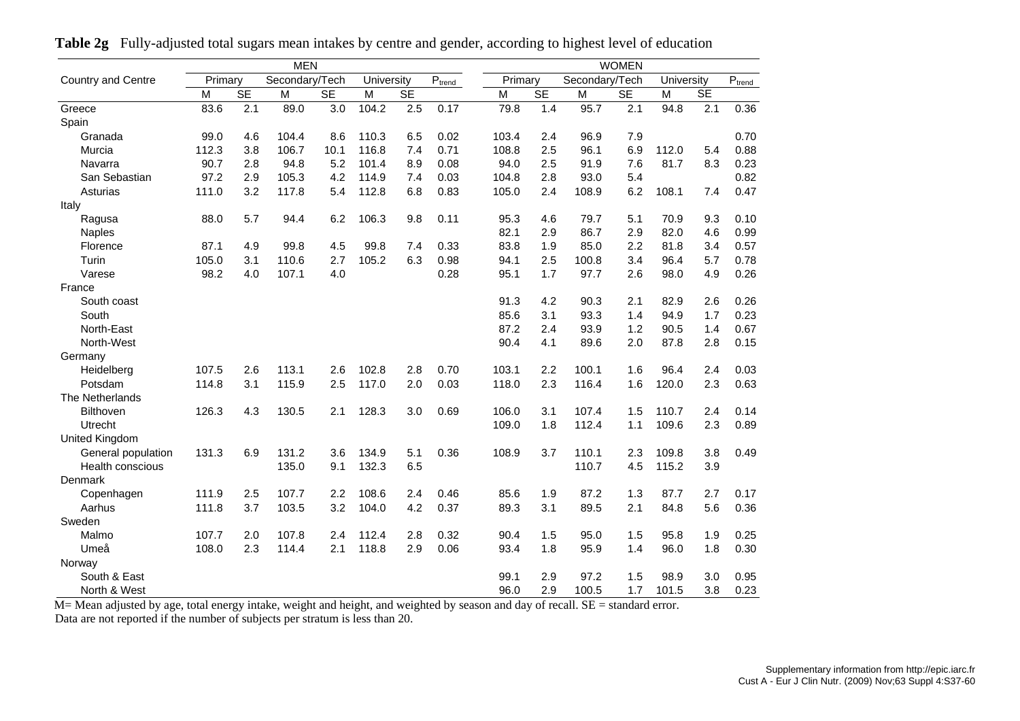|                       |         |           | <b>MEN</b>     |           |            |           |             |         |           |                | <b>WOMEN</b> |            |           |             |
|-----------------------|---------|-----------|----------------|-----------|------------|-----------|-------------|---------|-----------|----------------|--------------|------------|-----------|-------------|
| Country and Centre    | Primary |           | Secondary/Tech |           | University |           | $P_{trend}$ | Primary |           | Secondary/Tech |              | University |           | $P_{trend}$ |
|                       | M       | <b>SE</b> | M              | <b>SE</b> | M          | <b>SE</b> |             | M       | <b>SE</b> | M              | <b>SE</b>    | M          | <b>SE</b> |             |
| Greece                | 83.6    | 2.1       | 89.0           | 3.0       | 104.2      | 2.5       | 0.17        | 79.8    | 1.4       | 95.7           | 2.1          | 94.8       | 2.1       | 0.36        |
| Spain                 |         |           |                |           |            |           |             |         |           |                |              |            |           |             |
| Granada               | 99.0    | 4.6       | 104.4          | 8.6       | 110.3      | 6.5       | 0.02        | 103.4   | 2.4       | 96.9           | 7.9          |            |           | 0.70        |
| Murcia                | 112.3   | 3.8       | 106.7          | 10.1      | 116.8      | 7.4       | 0.71        | 108.8   | 2.5       | 96.1           | 6.9          | 112.0      | 5.4       | 0.88        |
| Navarra               | 90.7    | 2.8       | 94.8           | 5.2       | 101.4      | 8.9       | 0.08        | 94.0    | 2.5       | 91.9           | 7.6          | 81.7       | 8.3       | 0.23        |
| San Sebastian         | 97.2    | 2.9       | 105.3          | 4.2       | 114.9      | 7.4       | 0.03        | 104.8   | 2.8       | 93.0           | 5.4          |            |           | 0.82        |
| Asturias              | 111.0   | 3.2       | 117.8          | 5.4       | 112.8      | 6.8       | 0.83        | 105.0   | 2.4       | 108.9          | 6.2          | 108.1      | 7.4       | 0.47        |
| Italy                 |         |           |                |           |            |           |             |         |           |                |              |            |           |             |
| Ragusa                | 88.0    | 5.7       | 94.4           | 6.2       | 106.3      | 9.8       | 0.11        | 95.3    | 4.6       | 79.7           | 5.1          | 70.9       | 9.3       | 0.10        |
| <b>Naples</b>         |         |           |                |           |            |           |             | 82.1    | 2.9       | 86.7           | 2.9          | 82.0       | 4.6       | 0.99        |
| Florence              | 87.1    | 4.9       | 99.8           | 4.5       | 99.8       | 7.4       | 0.33        | 83.8    | 1.9       | 85.0           | 2.2          | 81.8       | 3.4       | 0.57        |
| Turin                 | 105.0   | 3.1       | 110.6          | 2.7       | 105.2      | 6.3       | 0.98        | 94.1    | 2.5       | 100.8          | 3.4          | 96.4       | 5.7       | 0.78        |
| Varese                | 98.2    | 4.0       | 107.1          | 4.0       |            |           | 0.28        | 95.1    | 1.7       | 97.7           | 2.6          | 98.0       | 4.9       | 0.26        |
| France                |         |           |                |           |            |           |             |         |           |                |              |            |           |             |
| South coast           |         |           |                |           |            |           |             | 91.3    | 4.2       | 90.3           | 2.1          | 82.9       | 2.6       | 0.26        |
| South                 |         |           |                |           |            |           |             | 85.6    | 3.1       | 93.3           | 1.4          | 94.9       | 1.7       | 0.23        |
| North-East            |         |           |                |           |            |           |             | 87.2    | 2.4       | 93.9           | 1.2          | 90.5       | 1.4       | 0.67        |
| North-West            |         |           |                |           |            |           |             | 90.4    | 4.1       | 89.6           | 2.0          | 87.8       | 2.8       | 0.15        |
| Germany               |         |           |                |           |            |           |             |         |           |                |              |            |           |             |
| Heidelberg            | 107.5   | 2.6       | 113.1          | 2.6       | 102.8      | 2.8       | 0.70        | 103.1   | 2.2       | 100.1          | 1.6          | 96.4       | 2.4       | 0.03        |
| Potsdam               | 114.8   | 3.1       | 115.9          | 2.5       | 117.0      | 2.0       | 0.03        | 118.0   | 2.3       | 116.4          | 1.6          | 120.0      | 2.3       | 0.63        |
| The Netherlands       |         |           |                |           |            |           |             |         |           |                |              |            |           |             |
| Bilthoven             | 126.3   | 4.3       | 130.5          | 2.1       | 128.3      | 3.0       | 0.69        | 106.0   | 3.1       | 107.4          | 1.5          | 110.7      | 2.4       | 0.14        |
| Utrecht               |         |           |                |           |            |           |             | 109.0   | 1.8       | 112.4          | 1.1          | 109.6      | 2.3       | 0.89        |
| <b>United Kingdom</b> |         |           |                |           |            |           |             |         |           |                |              |            |           |             |
| General population    | 131.3   | 6.9       | 131.2          | 3.6       | 134.9      | 5.1       | 0.36        | 108.9   | 3.7       | 110.1          | 2.3          | 109.8      | 3.8       | 0.49        |
| Health conscious      |         |           | 135.0          | 9.1       | 132.3      | 6.5       |             |         |           | 110.7          | 4.5          | 115.2      | 3.9       |             |
| Denmark               |         |           |                |           |            |           |             |         |           |                |              |            |           |             |
| Copenhagen            | 111.9   | 2.5       | 107.7          | 2.2       | 108.6      | 2.4       | 0.46        | 85.6    | 1.9       | 87.2           | 1.3          | 87.7       | 2.7       | 0.17        |
| Aarhus                | 111.8   | 3.7       | 103.5          | 3.2       | 104.0      | 4.2       | 0.37        | 89.3    | 3.1       | 89.5           | 2.1          | 84.8       | 5.6       | 0.36        |
| Sweden                |         |           |                |           |            |           |             |         |           |                |              |            |           |             |
| Malmo                 | 107.7   | 2.0       | 107.8          | 2.4       | 112.4      | 2.8       | 0.32        | 90.4    | 1.5       | 95.0           | 1.5          | 95.8       | 1.9       | 0.25        |
| Umeå                  | 108.0   | 2.3       | 114.4          | 2.1       | 118.8      | 2.9       | 0.06        | 93.4    | 1.8       | 95.9           | 1.4          | 96.0       | 1.8       | 0.30        |
| Norway                |         |           |                |           |            |           |             |         |           |                |              |            |           |             |
| South & East          |         |           |                |           |            |           |             | 99.1    | 2.9       | 97.2           | 1.5          | 98.9       | 3.0       | 0.95        |
| North & West          |         |           |                |           |            |           |             | 96.0    | 2.9       | 100.5          | 1.7          | 101.5      | 3.8       | 0.23        |

**Table 2g** Fully-adjusted total sugars mean intakes by centre and gender, according to highest level of education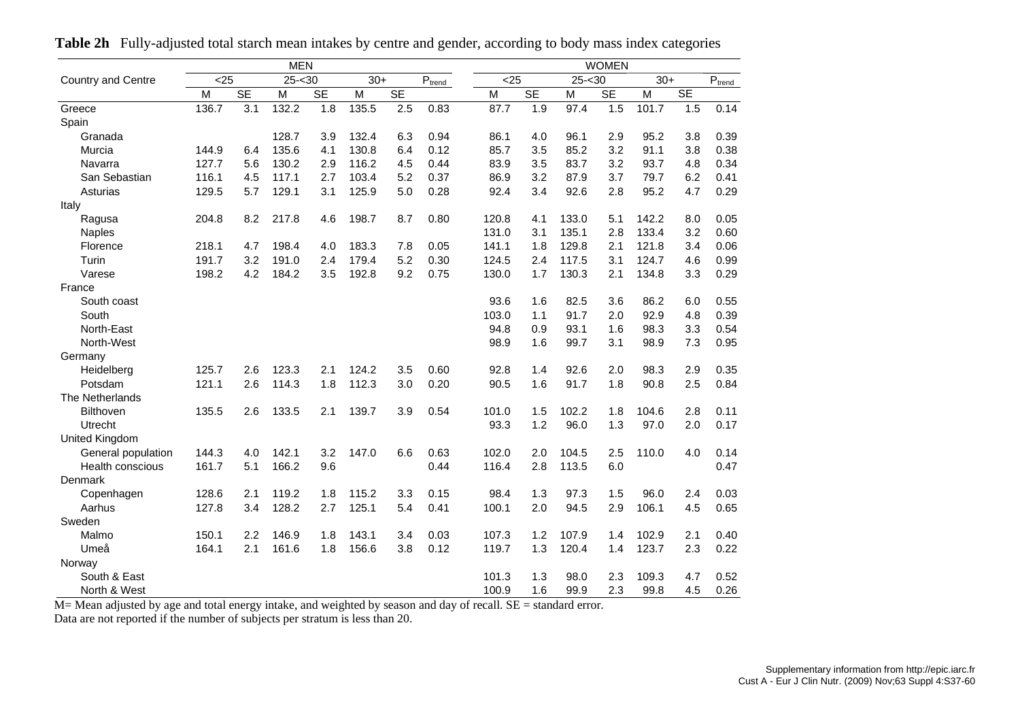|                           |       |           | <b>MEN</b> |           |       |           |                             |       |      |           |           | <b>WOMEN</b> |       |     |                             |
|---------------------------|-------|-----------|------------|-----------|-------|-----------|-----------------------------|-------|------|-----------|-----------|--------------|-------|-----|-----------------------------|
| <b>Country and Centre</b> | $25$  |           | $25 - 30$  |           | $30+$ |           | $\mathsf{P}_{\text{trend}}$ |       | < 25 |           | $25 - 30$ |              | $30+$ |     | $\mathsf{P}_{\text{trend}}$ |
|                           | M     | <b>SE</b> | M          | <b>SE</b> | M     | <b>SE</b> |                             | M     |      | <b>SE</b> | M         | <b>SE</b>    | M     | SE  |                             |
| Greece                    | 136.7 | 3.1       | 132.2      | 1.8       | 135.5 | 2.5       | 0.83                        | 87.7  |      | 1.9       | 97.4      | 1.5          | 101.7 | 1.5 | 0.14                        |
| Spain                     |       |           |            |           |       |           |                             |       |      |           |           |              |       |     |                             |
| Granada                   |       |           | 128.7      | 3.9       | 132.4 | 6.3       | 0.94                        | 86.1  |      | 4.0       | 96.1      | 2.9          | 95.2  | 3.8 | 0.39                        |
| Murcia                    | 144.9 | 6.4       | 135.6      | 4.1       | 130.8 | 6.4       | 0.12                        | 85.7  |      | 3.5       | 85.2      | 3.2          | 91.1  | 3.8 | 0.38                        |
| Navarra                   | 127.7 | 5.6       | 130.2      | 2.9       | 116.2 | 4.5       | 0.44                        | 83.9  |      | 3.5       | 83.7      | 3.2          | 93.7  | 4.8 | 0.34                        |
| San Sebastian             | 116.1 | 4.5       | 117.1      | 2.7       | 103.4 | 5.2       | 0.37                        | 86.9  |      | 3.2       | 87.9      | 3.7          | 79.7  | 6.2 | 0.41                        |
| Asturias                  | 129.5 | 5.7       | 129.1      | 3.1       | 125.9 | 5.0       | 0.28                        | 92.4  |      | 3.4       | 92.6      | 2.8          | 95.2  | 4.7 | 0.29                        |
| Italy                     |       |           |            |           |       |           |                             |       |      |           |           |              |       |     |                             |
| Ragusa                    | 204.8 | 8.2       | 217.8      | 4.6       | 198.7 | 8.7       | 0.80                        | 120.8 |      | 4.1       | 133.0     | 5.1          | 142.2 | 8.0 | 0.05                        |
| <b>Naples</b>             |       |           |            |           |       |           |                             | 131.0 |      | 3.1       | 135.1     | 2.8          | 133.4 | 3.2 | 0.60                        |
| Florence                  | 218.1 | 4.7       | 198.4      | 4.0       | 183.3 | 7.8       | 0.05                        | 141.1 |      | 1.8       | 129.8     | 2.1          | 121.8 | 3.4 | 0.06                        |
| Turin                     | 191.7 | 3.2       | 191.0      | 2.4       | 179.4 | 5.2       | 0.30                        | 124.5 |      | 2.4       | 117.5     | 3.1          | 124.7 | 4.6 | 0.99                        |
| Varese                    | 198.2 | 4.2       | 184.2      | 3.5       | 192.8 | 9.2       | 0.75                        | 130.0 |      | 1.7       | 130.3     | 2.1          | 134.8 | 3.3 | 0.29                        |
| France                    |       |           |            |           |       |           |                             |       |      |           |           |              |       |     |                             |
| South coast               |       |           |            |           |       |           |                             | 93.6  |      | 1.6       | 82.5      | 3.6          | 86.2  | 6.0 | 0.55                        |
| South                     |       |           |            |           |       |           |                             | 103.0 |      | 1.1       | 91.7      | 2.0          | 92.9  | 4.8 | 0.39                        |
| North-East                |       |           |            |           |       |           |                             | 94.8  |      | 0.9       | 93.1      | 1.6          | 98.3  | 3.3 | 0.54                        |
| North-West                |       |           |            |           |       |           |                             | 98.9  |      | 1.6       | 99.7      | 3.1          | 98.9  | 7.3 | 0.95                        |
| Germany                   |       |           |            |           |       |           |                             |       |      |           |           |              |       |     |                             |
| Heidelberg                | 125.7 | 2.6       | 123.3      | 2.1       | 124.2 | 3.5       | 0.60                        | 92.8  |      | 1.4       | 92.6      | 2.0          | 98.3  | 2.9 | 0.35                        |
| Potsdam                   | 121.1 | 2.6       | 114.3      | 1.8       | 112.3 | 3.0       | 0.20                        | 90.5  |      | 1.6       | 91.7      | 1.8          | 90.8  | 2.5 | 0.84                        |
| The Netherlands           |       |           |            |           |       |           |                             |       |      |           |           |              |       |     |                             |
| <b>Bilthoven</b>          | 135.5 | 2.6       | 133.5      | 2.1       | 139.7 | 3.9       | 0.54                        | 101.0 |      | 1.5       | 102.2     | 1.8          | 104.6 | 2.8 | 0.11                        |
| Utrecht                   |       |           |            |           |       |           |                             | 93.3  |      | 1.2       | 96.0      | 1.3          | 97.0  | 2.0 | 0.17                        |
| United Kingdom            |       |           |            |           |       |           |                             |       |      |           |           |              |       |     |                             |
| General population        | 144.3 | 4.0       | 142.1      | 3.2       | 147.0 | 6.6       | 0.63                        | 102.0 |      | 2.0       | 104.5     | 2.5          | 110.0 | 4.0 | 0.14                        |
| Health conscious          | 161.7 | 5.1       | 166.2      | 9.6       |       |           | 0.44                        | 116.4 |      | 2.8       | 113.5     | 6.0          |       |     | 0.47                        |
| Denmark                   |       |           |            |           |       |           |                             |       |      |           |           |              |       |     |                             |
| Copenhagen                | 128.6 | 2.1       | 119.2      | 1.8       | 115.2 | 3.3       | 0.15                        | 98.4  |      | 1.3       | 97.3      | 1.5          | 96.0  | 2.4 | 0.03                        |
| Aarhus                    | 127.8 | 3.4       | 128.2      | 2.7       | 125.1 | 5.4       | 0.41                        | 100.1 |      | 2.0       | 94.5      | 2.9          | 106.1 | 4.5 | 0.65                        |
| Sweden                    |       |           |            |           |       |           |                             |       |      |           |           |              |       |     |                             |
| Malmo                     | 150.1 | 2.2       | 146.9      | 1.8       | 143.1 | 3.4       | 0.03                        | 107.3 |      | 1.2       | 107.9     | 1.4          | 102.9 | 2.1 | 0.40                        |
| Umeå                      | 164.1 | 2.1       | 161.6      | 1.8       | 156.6 | 3.8       | 0.12                        | 119.7 |      | 1.3       | 120.4     | 1.4          | 123.7 | 2.3 | 0.22                        |
| Norway                    |       |           |            |           |       |           |                             |       |      |           |           |              |       |     |                             |
| South & East              |       |           |            |           |       |           |                             | 101.3 |      | 1.3       | 98.0      | 2.3          | 109.3 | 4.7 | 0.52                        |
| North & West              |       |           |            |           |       |           |                             | 100.9 |      | 1.6       | 99.9      | 2.3          | 99.8  | 4.5 | 0.26                        |

**Table 2h** Fully-adjusted total starch mean intakes by centre and gender, according to body mass index categories

M= Mean adjusted by age and total energy intake, and weighted by season and day of recall. SE = standard error.

Data are not reported if the number of subjects per stratum is less than 20.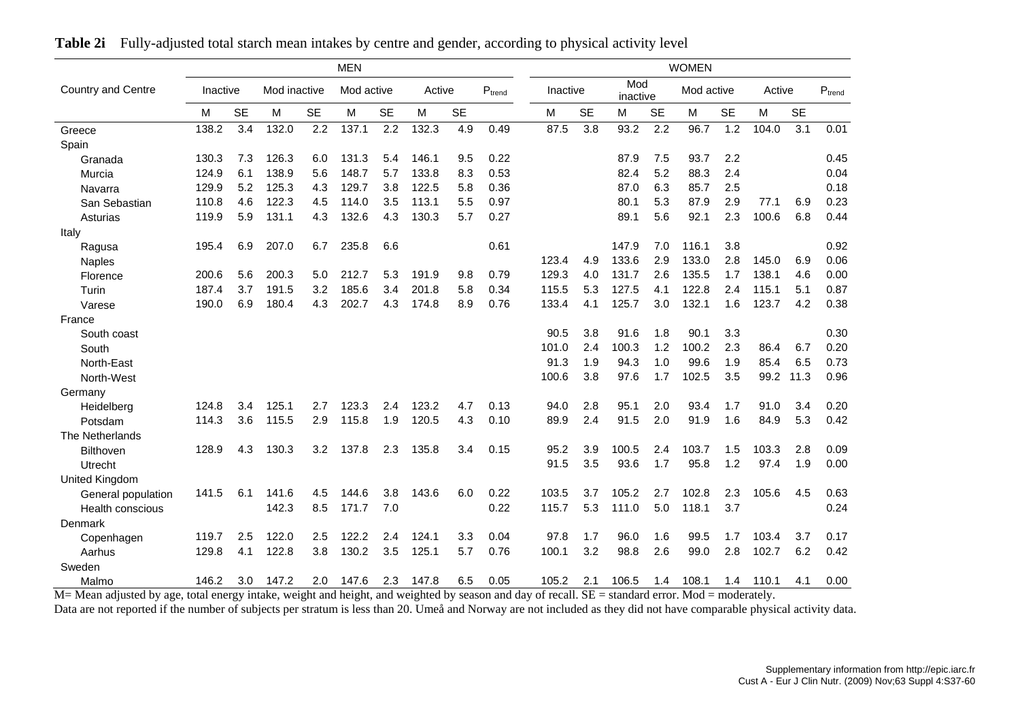|                    |          |           |              |           | <b>MEN</b> |           |        |           |             |          |           |                 |           | <b>WOMEN</b> |           |        |           |             |
|--------------------|----------|-----------|--------------|-----------|------------|-----------|--------|-----------|-------------|----------|-----------|-----------------|-----------|--------------|-----------|--------|-----------|-------------|
| Country and Centre | Inactive |           | Mod inactive |           | Mod active |           | Active |           | $P_{trend}$ | Inactive |           | Mod<br>inactive |           | Mod active   |           | Active |           | $P_{trend}$ |
|                    | M        | <b>SE</b> | M            | <b>SE</b> | M          | <b>SE</b> | M      | <b>SE</b> |             | M        | <b>SE</b> | М               | <b>SE</b> | M            | <b>SE</b> | M      | <b>SE</b> |             |
| Greece             | 138.2    | 3.4       | 132.0        | 2.2       | 137.1      | 2.2       | 132.3  | 4.9       | 0.49        | 87.5     | 3.8       | 93.2            | 2.2       | 96.7         | 1.2       | 104.0  | 3.1       | 0.01        |
| Spain              |          |           |              |           |            |           |        |           |             |          |           |                 |           |              |           |        |           |             |
| Granada            | 130.3    | 7.3       | 126.3        | 6.0       | 131.3      | 5.4       | 146.1  | 9.5       | 0.22        |          |           | 87.9            | 7.5       | 93.7         | 2.2       |        |           | 0.45        |
| Murcia             | 124.9    | 6.1       | 138.9        | 5.6       | 148.7      | 5.7       | 133.8  | 8.3       | 0.53        |          |           | 82.4            | 5.2       | 88.3         | 2.4       |        |           | 0.04        |
| Navarra            | 129.9    | 5.2       | 125.3        | 4.3       | 129.7      | 3.8       | 122.5  | 5.8       | 0.36        |          |           | 87.0            | 6.3       | 85.7         | 2.5       |        |           | 0.18        |
| San Sebastian      | 110.8    | 4.6       | 122.3        | 4.5       | 114.0      | 3.5       | 113.1  | 5.5       | 0.97        |          |           | 80.1            | 5.3       | 87.9         | 2.9       | 77.1   | 6.9       | 0.23        |
| Asturias           | 119.9    | 5.9       | 131.1        | 4.3       | 132.6      | 4.3       | 130.3  | 5.7       | 0.27        |          |           | 89.1            | 5.6       | 92.1         | 2.3       | 100.6  | 6.8       | 0.44        |
| Italy              |          |           |              |           |            |           |        |           |             |          |           |                 |           |              |           |        |           |             |
| Ragusa             | 195.4    | 6.9       | 207.0        | 6.7       | 235.8      | 6.6       |        |           | 0.61        |          |           | 147.9           | 7.0       | 116.1        | 3.8       |        |           | 0.92        |
| <b>Naples</b>      |          |           |              |           |            |           |        |           |             | 123.4    | 4.9       | 133.6           | 2.9       | 133.0        | 2.8       | 145.0  | 6.9       | 0.06        |
| Florence           | 200.6    | 5.6       | 200.3        | 5.0       | 212.7      | 5.3       | 191.9  | 9.8       | 0.79        | 129.3    | 4.0       | 131.7           | 2.6       | 135.5        | 1.7       | 138.1  | 4.6       | 0.00        |
| Turin              | 187.4    | 3.7       | 191.5        | 3.2       | 185.6      | 3.4       | 201.8  | 5.8       | 0.34        | 115.5    | 5.3       | 127.5           | 4.1       | 122.8        | 2.4       | 115.1  | 5.1       | 0.87        |
| Varese             | 190.0    | 6.9       | 180.4        | 4.3       | 202.7      | 4.3       | 174.8  | 8.9       | 0.76        | 133.4    | 4.1       | 125.7           | 3.0       | 132.1        | 1.6       | 123.7  | 4.2       | 0.38        |
| France             |          |           |              |           |            |           |        |           |             |          |           |                 |           |              |           |        |           |             |
| South coast        |          |           |              |           |            |           |        |           |             | 90.5     | 3.8       | 91.6            | 1.8       | 90.1         | 3.3       |        |           | 0.30        |
| South              |          |           |              |           |            |           |        |           |             | 101.0    | 2.4       | 100.3           | 1.2       | 100.2        | 2.3       | 86.4   | 6.7       | 0.20        |
| North-East         |          |           |              |           |            |           |        |           |             | 91.3     | 1.9       | 94.3            | 1.0       | 99.6         | 1.9       | 85.4   | 6.5       | 0.73        |
| North-West         |          |           |              |           |            |           |        |           |             | 100.6    | 3.8       | 97.6            | 1.7       | 102.5        | 3.5       | 99.2   | 11.3      | 0.96        |
| Germany            |          |           |              |           |            |           |        |           |             |          |           |                 |           |              |           |        |           |             |
| Heidelberg         | 124.8    | 3.4       | 125.1        | 2.7       | 123.3      | 2.4       | 123.2  | 4.7       | 0.13        | 94.0     | 2.8       | 95.1            | 2.0       | 93.4         | 1.7       | 91.0   | 3.4       | 0.20        |
| Potsdam            | 114.3    | 3.6       | 115.5        | 2.9       | 115.8      | 1.9       | 120.5  | 4.3       | 0.10        | 89.9     | 2.4       | 91.5            | 2.0       | 91.9         | 1.6       | 84.9   | 5.3       | 0.42        |
| The Netherlands    |          |           |              |           |            |           |        |           |             |          |           |                 |           |              |           |        |           |             |
| <b>Bilthoven</b>   | 128.9    | 4.3       | 130.3        | 3.2       | 137.8      | 2.3       | 135.8  | 3.4       | 0.15        | 95.2     | 3.9       | 100.5           | 2.4       | 103.7        | 1.5       | 103.3  | 2.8       | 0.09        |
| Utrecht            |          |           |              |           |            |           |        |           |             | 91.5     | 3.5       | 93.6            | 1.7       | 95.8         | 1.2       | 97.4   | 1.9       | 0.00        |
| United Kingdom     |          |           |              |           |            |           |        |           |             |          |           |                 |           |              |           |        |           |             |
| General population | 141.5    | 6.1       | 141.6        | 4.5       | 144.6      | 3.8       | 143.6  | 6.0       | 0.22        | 103.5    | 3.7       | 105.2           | 2.7       | 102.8        | 2.3       | 105.6  | 4.5       | 0.63        |
| Health conscious   |          |           | 142.3        | 8.5       | 171.7      | 7.0       |        |           | 0.22        | 115.7    | 5.3       | 111.0           | 5.0       | 118.1        | 3.7       |        |           | 0.24        |
| Denmark            |          |           |              |           |            |           |        |           |             |          |           |                 |           |              |           |        |           |             |
| Copenhagen         | 119.7    | 2.5       | 122.0        | 2.5       | 122.2      | 2.4       | 124.1  | 3.3       | 0.04        | 97.8     | 1.7       | 96.0            | 1.6       | 99.5         | 1.7       | 103.4  | 3.7       | 0.17        |
| Aarhus             | 129.8    | 4.1       | 122.8        | 3.8       | 130.2      | 3.5       | 125.1  | 5.7       | 0.76        | 100.1    | 3.2       | 98.8            | 2.6       | 99.0         | 2.8       | 102.7  | 6.2       | 0.42        |
| Sweden             |          |           |              |           |            |           |        |           |             |          |           |                 |           |              |           |        |           |             |
| Malmo              | 146.2    | 3.0       | 147.2        | 2.0       | 147.6      | 2.3       | 147.8  | 6.5       | 0.05        | 105.2    | 2.1       | 106.5           | 1.4       | 108.1        | 1.4       | 110.1  | 4.1       | 0.00        |

**Table 2i** Fully-adjusted total starch mean intakes by centre and gender, according to physical activity level

M= Mean adjusted by age, total energy intake, weight and height, and weighted by season and day of recall. SE = standard error. Mod = moderately.

Data are not reported if the number of subjects per stratum is less than 20. Umeå and Norway are not included as they did not have comparable physical activity data.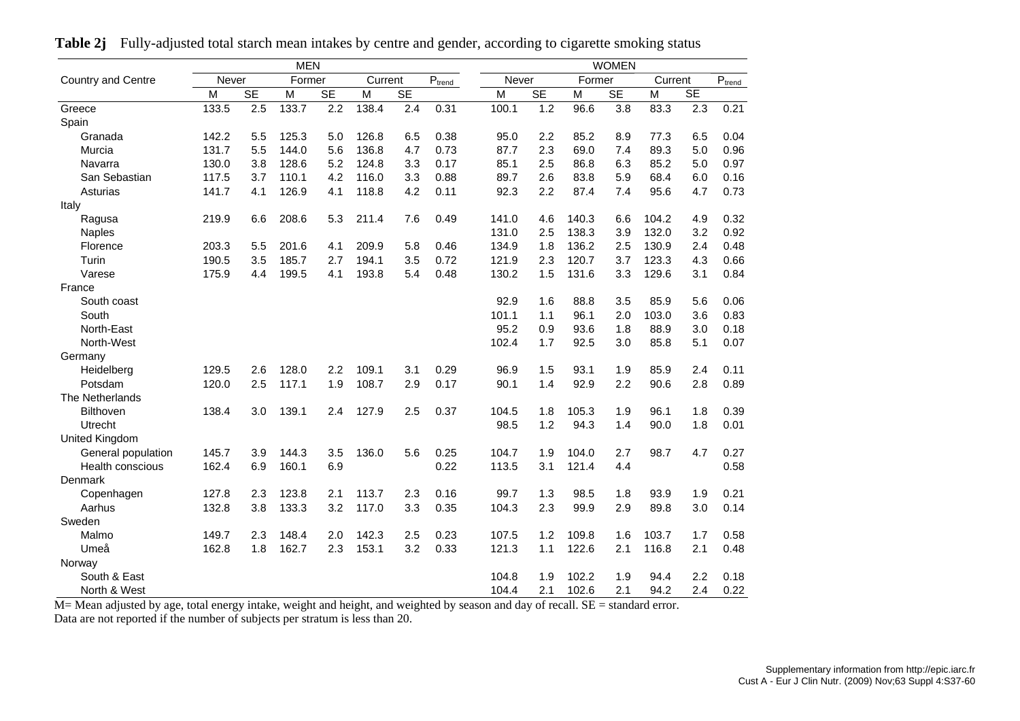|                         |              |           | <b>MEN</b> |           |         |           |                             |       |           |        | <b>WOMEN</b> |         |                        |                           |
|-------------------------|--------------|-----------|------------|-----------|---------|-----------|-----------------------------|-------|-----------|--------|--------------|---------|------------------------|---------------------------|
| Country and Centre      | <b>Never</b> |           | Former     |           | Current |           | $\mathsf{P}_{\text{trend}}$ | Never |           | Former |              | Current |                        | $\text{P}_{\text{trend}}$ |
|                         | M            | <b>SE</b> | M          | <b>SE</b> | M       | <b>SE</b> |                             | M     | <b>SE</b> | M      | <b>SE</b>    | M       | $\overline{\text{SE}}$ |                           |
| Greece                  | 133.5        | 2.5       | 133.7      | 2.2       | 138.4   | 2.4       | 0.31                        | 100.1 | 1.2       | 96.6   | 3.8          | 83.3    | 2.3                    | 0.21                      |
| Spain                   |              |           |            |           |         |           |                             |       |           |        |              |         |                        |                           |
| Granada                 | 142.2        | 5.5       | 125.3      | 5.0       | 126.8   | 6.5       | 0.38                        | 95.0  | 2.2       | 85.2   | 8.9          | 77.3    | 6.5                    | 0.04                      |
| Murcia                  | 131.7        | 5.5       | 144.0      | 5.6       | 136.8   | 4.7       | 0.73                        | 87.7  | 2.3       | 69.0   | 7.4          | 89.3    | 5.0                    | 0.96                      |
| Navarra                 | 130.0        | 3.8       | 128.6      | 5.2       | 124.8   | 3.3       | 0.17                        | 85.1  | 2.5       | 86.8   | 6.3          | 85.2    | 5.0                    | 0.97                      |
| San Sebastian           | 117.5        | 3.7       | 110.1      | 4.2       | 116.0   | 3.3       | 0.88                        | 89.7  | 2.6       | 83.8   | 5.9          | 68.4    | 6.0                    | 0.16                      |
| Asturias                | 141.7        | 4.1       | 126.9      | 4.1       | 118.8   | 4.2       | 0.11                        | 92.3  | 2.2       | 87.4   | 7.4          | 95.6    | 4.7                    | 0.73                      |
| Italy                   |              |           |            |           |         |           |                             |       |           |        |              |         |                        |                           |
| Ragusa                  | 219.9        | 6.6       | 208.6      | 5.3       | 211.4   | 7.6       | 0.49                        | 141.0 | 4.6       | 140.3  | 6.6          | 104.2   | 4.9                    | 0.32                      |
| <b>Naples</b>           |              |           |            |           |         |           |                             | 131.0 | 2.5       | 138.3  | 3.9          | 132.0   | 3.2                    | 0.92                      |
| Florence                | 203.3        | 5.5       | 201.6      | 4.1       | 209.9   | 5.8       | 0.46                        | 134.9 | 1.8       | 136.2  | 2.5          | 130.9   | 2.4                    | 0.48                      |
| Turin                   | 190.5        | 3.5       | 185.7      | 2.7       | 194.1   | 3.5       | 0.72                        | 121.9 | 2.3       | 120.7  | 3.7          | 123.3   | 4.3                    | 0.66                      |
| Varese                  | 175.9        | 4.4       | 199.5      | 4.1       | 193.8   | 5.4       | 0.48                        | 130.2 | 1.5       | 131.6  | 3.3          | 129.6   | 3.1                    | 0.84                      |
| France                  |              |           |            |           |         |           |                             |       |           |        |              |         |                        |                           |
| South coast             |              |           |            |           |         |           |                             | 92.9  | 1.6       | 88.8   | 3.5          | 85.9    | 5.6                    | 0.06                      |
| South                   |              |           |            |           |         |           |                             | 101.1 | 1.1       | 96.1   | 2.0          | 103.0   | 3.6                    | 0.83                      |
| North-East              |              |           |            |           |         |           |                             | 95.2  | 0.9       | 93.6   | 1.8          | 88.9    | 3.0                    | 0.18                      |
| North-West              |              |           |            |           |         |           |                             | 102.4 | 1.7       | 92.5   | 3.0          | 85.8    | 5.1                    | 0.07                      |
| Germany                 |              |           |            |           |         |           |                             |       |           |        |              |         |                        |                           |
| Heidelberg              | 129.5        | 2.6       | 128.0      | 2.2       | 109.1   | 3.1       | 0.29                        | 96.9  | 1.5       | 93.1   | 1.9          | 85.9    | 2.4                    | 0.11                      |
| Potsdam                 | 120.0        | 2.5       | 117.1      | 1.9       | 108.7   | 2.9       | 0.17                        | 90.1  | 1.4       | 92.9   | 2.2          | 90.6    | 2.8                    | 0.89                      |
| The Netherlands         |              |           |            |           |         |           |                             |       |           |        |              |         |                        |                           |
| Bilthoven               | 138.4        | 3.0       | 139.1      | 2.4       | 127.9   | 2.5       | 0.37                        | 104.5 | 1.8       | 105.3  | 1.9          | 96.1    | 1.8                    | 0.39                      |
| Utrecht                 |              |           |            |           |         |           |                             | 98.5  | 1.2       | 94.3   | 1.4          | 90.0    | 1.8                    | 0.01                      |
| United Kingdom          |              |           |            |           |         |           |                             |       |           |        |              |         |                        |                           |
| General population      | 145.7        | 3.9       | 144.3      | 3.5       | 136.0   | 5.6       | 0.25                        | 104.7 | 1.9       | 104.0  | 2.7          | 98.7    | 4.7                    | 0.27                      |
| <b>Health conscious</b> | 162.4        | 6.9       | 160.1      | 6.9       |         |           | 0.22                        | 113.5 | 3.1       | 121.4  | 4.4          |         |                        | 0.58                      |
| Denmark                 |              |           |            |           |         |           |                             |       |           |        |              |         |                        |                           |
| Copenhagen              | 127.8        | 2.3       | 123.8      | 2.1       | 113.7   | 2.3       | 0.16                        | 99.7  | 1.3       | 98.5   | 1.8          | 93.9    | 1.9                    | 0.21                      |
| Aarhus                  | 132.8        | 3.8       | 133.3      | 3.2       | 117.0   | 3.3       | 0.35                        | 104.3 | 2.3       | 99.9   | 2.9          | 89.8    | 3.0                    | 0.14                      |
| Sweden                  |              |           |            |           |         |           |                             |       |           |        |              |         |                        |                           |
| Malmo                   | 149.7        | 2.3       | 148.4      | 2.0       | 142.3   | 2.5       | 0.23                        | 107.5 | 1.2       | 109.8  | 1.6          | 103.7   | 1.7                    | 0.58                      |
| Umeå                    | 162.8        | 1.8       | 162.7      | 2.3       | 153.1   | 3.2       | 0.33                        | 121.3 | 1.1       | 122.6  | 2.1          | 116.8   | 2.1                    | 0.48                      |
| Norway                  |              |           |            |           |         |           |                             |       |           |        |              |         |                        |                           |
| South & East            |              |           |            |           |         |           |                             | 104.8 | 1.9       | 102.2  | 1.9          | 94.4    | 2.2                    | 0.18                      |
| North & West            |              |           |            |           |         |           |                             | 104.4 | 2.1       | 102.6  | 2.1          | 94.2    | 2.4                    | 0.22                      |

**Table 2j** Fully-adjusted total starch mean intakes by centre and gender, according to cigarette smoking status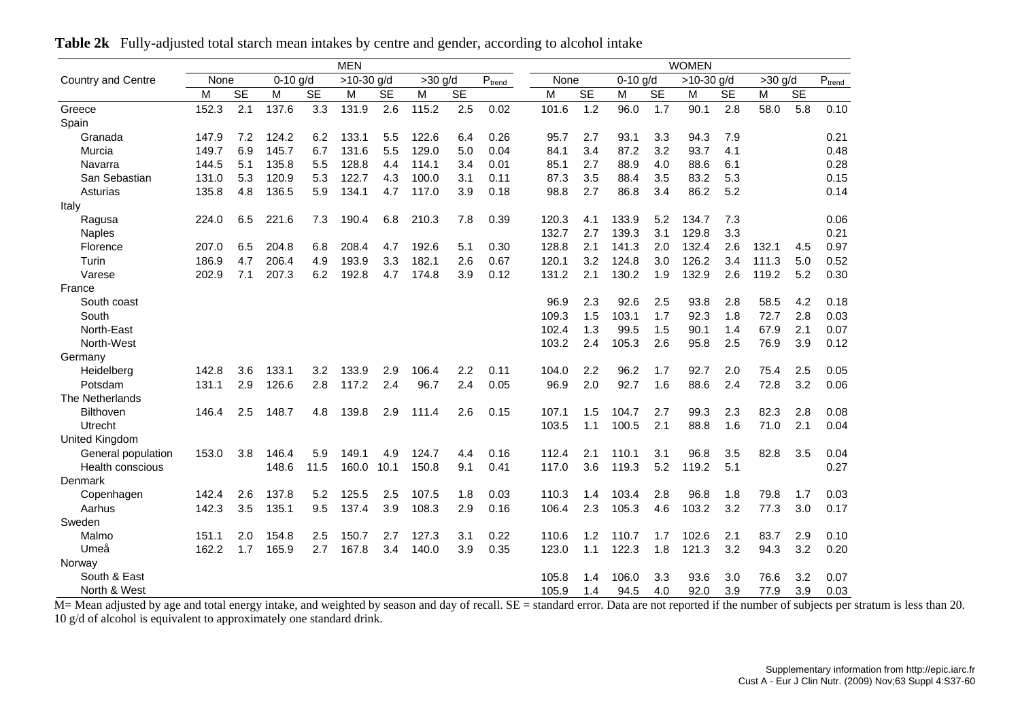|                           |       | <b>MEN</b> |            |           |              |           |           |           |             |       |      |           |            |           | <b>WOMEN</b> |           |           |           |                         |
|---------------------------|-------|------------|------------|-----------|--------------|-----------|-----------|-----------|-------------|-------|------|-----------|------------|-----------|--------------|-----------|-----------|-----------|-------------------------|
| <b>Country and Centre</b> | None  |            | $0-10$ g/d |           | $>10-30$ g/d |           | $>30$ g/d |           | $P_{trend}$ |       | None |           | $0-10$ g/d |           | $>10-30$ g/d |           | $>30$ g/d |           | $\text{P}_\text{trend}$ |
|                           | М     | <b>SE</b>  | М          | <b>SE</b> | M            | <b>SE</b> | M         | <b>SE</b> |             | M     |      | <b>SE</b> | M          | <b>SE</b> | M            | <b>SE</b> | М         | <b>SE</b> |                         |
| Greece                    | 152.3 | 2.1        | 137.6      | 3.3       | 131.9        | 2.6       | 115.2     | 2.5       | 0.02        | 101.6 |      | 1.2       | 96.0       | 1.7       | 90.1         | 2.8       | 58.0      | 5.8       | 0.10                    |
| Spain                     |       |            |            |           |              |           |           |           |             |       |      |           |            |           |              |           |           |           |                         |
| Granada                   | 147.9 | 7.2        | 124.2      | 6.2       | 133.1        | 5.5       | 122.6     | 6.4       | 0.26        | 95.7  |      | 2.7       | 93.1       | 3.3       | 94.3         | 7.9       |           |           | 0.21                    |
| Murcia                    | 149.7 | 6.9        | 145.7      | 6.7       | 131.6        | 5.5       | 129.0     | 5.0       | 0.04        | 84.1  |      | 3.4       | 87.2       | 3.2       | 93.7         | 4.1       |           |           | 0.48                    |
| Navarra                   | 144.5 | 5.1        | 135.8      | 5.5       | 128.8        | 4.4       | 114.1     | 3.4       | 0.01        | 85.1  |      | 2.7       | 88.9       | 4.0       | 88.6         | 6.1       |           |           | 0.28                    |
| San Sebastian             | 131.0 | 5.3        | 120.9      | 5.3       | 122.7        | 4.3       | 100.0     | 3.1       | 0.11        |       | 87.3 | 3.5       | 88.4       | 3.5       | 83.2         | 5.3       |           |           | 0.15                    |
| Asturias                  | 135.8 | 4.8        | 136.5      | 5.9       | 134.1        | 4.7       | 117.0     | 3.9       | 0.18        |       | 98.8 | 2.7       | 86.8       | 3.4       | 86.2         | 5.2       |           |           | 0.14                    |
| Italy                     |       |            |            |           |              |           |           |           |             |       |      |           |            |           |              |           |           |           |                         |
| Ragusa                    | 224.0 | 6.5        | 221.6      | 7.3       | 190.4        | 6.8       | 210.3     | 7.8       | 0.39        | 120.3 |      | 4.1       | 133.9      | 5.2       | 134.7        | 7.3       |           |           | 0.06                    |
| <b>Naples</b>             |       |            |            |           |              |           |           |           |             | 132.7 |      | 2.7       | 139.3      | 3.1       | 129.8        | 3.3       |           |           | 0.21                    |
| Florence                  | 207.0 | 6.5        | 204.8      | 6.8       | 208.4        | 4.7       | 192.6     | 5.1       | 0.30        | 128.8 |      | 2.1       | 141.3      | 2.0       | 132.4        | 2.6       | 132.1     | 4.5       | 0.97                    |
| Turin                     | 186.9 | 4.7        | 206.4      | 4.9       | 193.9        | 3.3       | 182.1     | 2.6       | 0.67        | 120.1 |      | 3.2       | 124.8      | 3.0       | 126.2        | 3.4       | 111.3     | 5.0       | 0.52                    |
| Varese                    | 202.9 | 7.1        | 207.3      | 6.2       | 192.8        | 4.7       | 174.8     | 3.9       | 0.12        | 131.2 |      | 2.1       | 130.2      | 1.9       | 132.9        | 2.6       | 119.2     | 5.2       | 0.30                    |
| France                    |       |            |            |           |              |           |           |           |             |       |      |           |            |           |              |           |           |           |                         |
| South coast               |       |            |            |           |              |           |           |           |             | 96.9  |      | 2.3       | 92.6       | 2.5       | 93.8         | 2.8       | 58.5      | 4.2       | 0.18                    |
| South                     |       |            |            |           |              |           |           |           |             | 109.3 |      | 1.5       | 103.1      | 1.7       | 92.3         | 1.8       | 72.7      | 2.8       | 0.03                    |
| North-East                |       |            |            |           |              |           |           |           |             | 102.4 |      | 1.3       | 99.5       | 1.5       | 90.1         | 1.4       | 67.9      | 2.1       | 0.07                    |
| North-West                |       |            |            |           |              |           |           |           |             | 103.2 |      | 2.4       | 105.3      | 2.6       | 95.8         | 2.5       | 76.9      | 3.9       | 0.12                    |
| Germany                   |       |            |            |           |              |           |           |           |             |       |      |           |            |           |              |           |           |           |                         |
| Heidelberg                | 142.8 | 3.6        | 133.1      | 3.2       | 133.9        | 2.9       | 106.4     | 2.2       | 0.11        | 104.0 |      | 2.2       | 96.2       | 1.7       | 92.7         | 2.0       | 75.4      | 2.5       | 0.05                    |
| Potsdam                   | 131.1 | 2.9        | 126.6      | 2.8       | 117.2        | 2.4       | 96.7      | 2.4       | 0.05        | 96.9  |      | 2.0       | 92.7       | 1.6       | 88.6         | 2.4       | 72.8      | 3.2       | 0.06                    |
| The Netherlands           |       |            |            |           |              |           |           |           |             |       |      |           |            |           |              |           |           |           |                         |
| <b>Bilthoven</b>          | 146.4 | 2.5        | 148.7      | 4.8       | 139.8        | 2.9       | 111.4     | 2.6       | 0.15        | 107.1 |      | 1.5       | 104.7      | 2.7       | 99.3         | 2.3       | 82.3      | 2.8       | 0.08                    |
| Utrecht                   |       |            |            |           |              |           |           |           |             | 103.5 |      | 1.1       | 100.5      | 2.1       | 88.8         | 1.6       | 71.0      | 2.1       | 0.04                    |
| United Kingdom            |       |            |            |           |              |           |           |           |             |       |      |           |            |           |              |           |           |           |                         |
| General population        | 153.0 | 3.8        | 146.4      | 5.9       | 149.1        | 4.9       | 124.7     | 4.4       | 0.16        | 112.4 |      | 2.1       | 110.1      | 3.1       | 96.8         | 3.5       | 82.8      | 3.5       | 0.04                    |
| <b>Health conscious</b>   |       |            | 148.6      | 11.5      | 160.0        | 10.1      | 150.8     | 9.1       | 0.41        | 117.0 |      | 3.6       | 119.3      | 5.2       | 119.2        | 5.1       |           |           | 0.27                    |
| Denmark                   |       |            |            |           |              |           |           |           |             |       |      |           |            |           |              |           |           |           |                         |
| Copenhagen                | 142.4 | 2.6        | 137.8      | 5.2       | 125.5        | 2.5       | 107.5     | 1.8       | 0.03        | 110.3 |      | 1.4       | 103.4      | 2.8       | 96.8         | 1.8       | 79.8      | 1.7       | 0.03                    |
| Aarhus                    | 142.3 | 3.5        | 135.1      | 9.5       | 137.4        | 3.9       | 108.3     | 2.9       | 0.16        | 106.4 |      | 2.3       | 105.3      | 4.6       | 103.2        | 3.2       | 77.3      | 3.0       | 0.17                    |
| Sweden                    |       |            |            |           |              |           |           |           |             |       |      |           |            |           |              |           |           |           |                         |
| Malmo                     | 151.1 | 2.0        | 154.8      | 2.5       | 150.7        | 2.7       | 127.3     | 3.1       | 0.22        | 110.6 |      | 1.2       | 110.7      | 1.7       | 102.6        | 2.1       | 83.7      | 2.9       | 0.10                    |
| Umeå                      | 162.2 | 1.7        | 165.9      | 2.7       | 167.8        | 3.4       | 140.0     | 3.9       | 0.35        | 123.0 |      | 1.1       | 122.3      | 1.8       | 121.3        | 3.2       | 94.3      | 3.2       | 0.20                    |
| Norway                    |       |            |            |           |              |           |           |           |             |       |      |           |            |           |              |           |           |           |                         |
| South & East              |       |            |            |           |              |           |           |           |             | 105.8 |      | 1.4       | 106.0      | 3.3       | 93.6         | 3.0       | 76.6      | 3.2       | 0.07                    |
| North & West              |       |            |            |           |              |           |           |           |             | 105.9 |      | 1.4       | 94.5       | 4.0       | 92.0         | 3.9       | 77.9      | 3.9       | 0.03                    |

**Table 2k** Fully-adjusted total starch mean intakes by centre and gender, according to alcohol intake

North & West<br>M= Mean adjusted by age and total energy intake, and weighted by season and day of recall. SE = standard error. Data are not reported if the number of subjects per stratum is less than 20. 10 g/d of alcohol is equivalent to approximately one standard drink.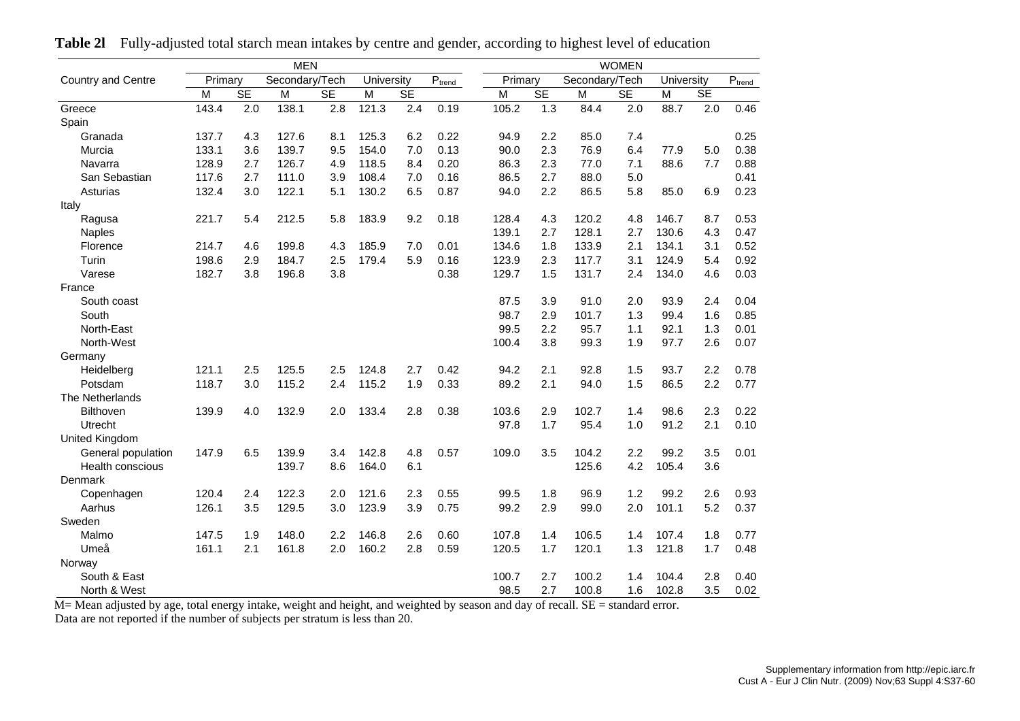|                         |         |           | <b>MEN</b>     |           |            |           |                             |         |           |                | <b>WOMEN</b> |            |           |             |
|-------------------------|---------|-----------|----------------|-----------|------------|-----------|-----------------------------|---------|-----------|----------------|--------------|------------|-----------|-------------|
| Country and Centre      | Primary |           | Secondary/Tech |           | University |           | $\mathsf{P}_{\text{trend}}$ | Primary |           | Secondary/Tech |              | University |           | $P_{trend}$ |
|                         | M       | <b>SE</b> | M              | <b>SE</b> | M          | <b>SE</b> |                             | M       | <b>SE</b> | M              | <b>SE</b>    | M          | <b>SE</b> |             |
| Greece                  | 143.4   | 2.0       | 138.1          | 2.8       | 121.3      | 2.4       | 0.19                        | 105.2   | 1.3       | 84.4           | 2.0          | 88.7       | 2.0       | 0.46        |
| Spain                   |         |           |                |           |            |           |                             |         |           |                |              |            |           |             |
| Granada                 | 137.7   | 4.3       | 127.6          | 8.1       | 125.3      | 6.2       | 0.22                        | 94.9    | 2.2       | 85.0           | 7.4          |            |           | 0.25        |
| Murcia                  | 133.1   | 3.6       | 139.7          | 9.5       | 154.0      | 7.0       | 0.13                        | 90.0    | 2.3       | 76.9           | 6.4          | 77.9       | 5.0       | 0.38        |
| Navarra                 | 128.9   | 2.7       | 126.7          | 4.9       | 118.5      | 8.4       | 0.20                        | 86.3    | 2.3       | 77.0           | 7.1          | 88.6       | 7.7       | 0.88        |
| San Sebastian           | 117.6   | 2.7       | 111.0          | 3.9       | 108.4      | 7.0       | 0.16                        | 86.5    | 2.7       | 88.0           | 5.0          |            |           | 0.41        |
| Asturias                | 132.4   | 3.0       | 122.1          | 5.1       | 130.2      | 6.5       | 0.87                        | 94.0    | 2.2       | 86.5           | 5.8          | 85.0       | 6.9       | 0.23        |
| Italy                   |         |           |                |           |            |           |                             |         |           |                |              |            |           |             |
| Ragusa                  | 221.7   | 5.4       | 212.5          | 5.8       | 183.9      | 9.2       | 0.18                        | 128.4   | 4.3       | 120.2          | 4.8          | 146.7      | 8.7       | 0.53        |
| <b>Naples</b>           |         |           |                |           |            |           |                             | 139.1   | 2.7       | 128.1          | 2.7          | 130.6      | 4.3       | 0.47        |
| Florence                | 214.7   | 4.6       | 199.8          | 4.3       | 185.9      | 7.0       | 0.01                        | 134.6   | 1.8       | 133.9          | 2.1          | 134.1      | 3.1       | 0.52        |
| Turin                   | 198.6   | 2.9       | 184.7          | 2.5       | 179.4      | 5.9       | 0.16                        | 123.9   | 2.3       | 117.7          | 3.1          | 124.9      | 5.4       | 0.92        |
| Varese                  | 182.7   | 3.8       | 196.8          | 3.8       |            |           | 0.38                        | 129.7   | 1.5       | 131.7          | 2.4          | 134.0      | 4.6       | 0.03        |
| France                  |         |           |                |           |            |           |                             |         |           |                |              |            |           |             |
| South coast             |         |           |                |           |            |           |                             | 87.5    | 3.9       | 91.0           | 2.0          | 93.9       | 2.4       | 0.04        |
| South                   |         |           |                |           |            |           |                             | 98.7    | 2.9       | 101.7          | 1.3          | 99.4       | 1.6       | 0.85        |
| North-East              |         |           |                |           |            |           |                             | 99.5    | 2.2       | 95.7           | 1.1          | 92.1       | 1.3       | 0.01        |
| North-West              |         |           |                |           |            |           |                             | 100.4   | 3.8       | 99.3           | 1.9          | 97.7       | 2.6       | 0.07        |
| Germany                 |         |           |                |           |            |           |                             |         |           |                |              |            |           |             |
| Heidelberg              | 121.1   | 2.5       | 125.5          | 2.5       | 124.8      | 2.7       | 0.42                        | 94.2    | 2.1       | 92.8           | 1.5          | 93.7       | 2.2       | 0.78        |
| Potsdam                 | 118.7   | 3.0       | 115.2          | 2.4       | 115.2      | 1.9       | 0.33                        | 89.2    | 2.1       | 94.0           | 1.5          | 86.5       | 2.2       | 0.77        |
| The Netherlands         |         |           |                |           |            |           |                             |         |           |                |              |            |           |             |
| <b>Bilthoven</b>        | 139.9   | 4.0       | 132.9          | 2.0       | 133.4      | 2.8       | 0.38                        | 103.6   | 2.9       | 102.7          | 1.4          | 98.6       | 2.3       | 0.22        |
| Utrecht                 |         |           |                |           |            |           |                             | 97.8    | 1.7       | 95.4           | 1.0          | 91.2       | 2.1       | 0.10        |
| <b>United Kingdom</b>   |         |           |                |           |            |           |                             |         |           |                |              |            |           |             |
| General population      | 147.9   | 6.5       | 139.9          | 3.4       | 142.8      | 4.8       | 0.57                        | 109.0   | 3.5       | 104.2          | 2.2          | 99.2       | 3.5       | 0.01        |
| <b>Health conscious</b> |         |           | 139.7          | 8.6       | 164.0      | 6.1       |                             |         |           | 125.6          | 4.2          | 105.4      | 3.6       |             |
| Denmark                 |         |           |                |           |            |           |                             |         |           |                |              |            |           |             |
| Copenhagen              | 120.4   | 2.4       | 122.3          | 2.0       | 121.6      | 2.3       | 0.55                        | 99.5    | 1.8       | 96.9           | 1.2          | 99.2       | 2.6       | 0.93        |
| Aarhus                  | 126.1   | 3.5       | 129.5          | 3.0       | 123.9      | 3.9       | 0.75                        | 99.2    | 2.9       | 99.0           | 2.0          | 101.1      | 5.2       | 0.37        |
| Sweden                  |         |           |                |           |            |           |                             |         |           |                |              |            |           |             |
| Malmo                   | 147.5   | 1.9       | 148.0          | 2.2       | 146.8      | 2.6       | 0.60                        | 107.8   | 1.4       | 106.5          | 1.4          | 107.4      | 1.8       | 0.77        |
| Umeå                    | 161.1   | 2.1       | 161.8          | 2.0       | 160.2      | 2.8       | 0.59                        | 120.5   | 1.7       | 120.1          | 1.3          | 121.8      | 1.7       | 0.48        |
| Norway                  |         |           |                |           |            |           |                             |         |           |                |              |            |           |             |
| South & East            |         |           |                |           |            |           |                             | 100.7   | 2.7       | 100.2          | 1.4          | 104.4      | 2.8       | 0.40        |
| North & West            |         |           |                |           |            |           |                             | 98.5    | 2.7       | 100.8          | 1.6          | 102.8      | 3.5       | 0.02        |

**Table 2l** Fully-adjusted total starch mean intakes by centre and gender, according to highest level of education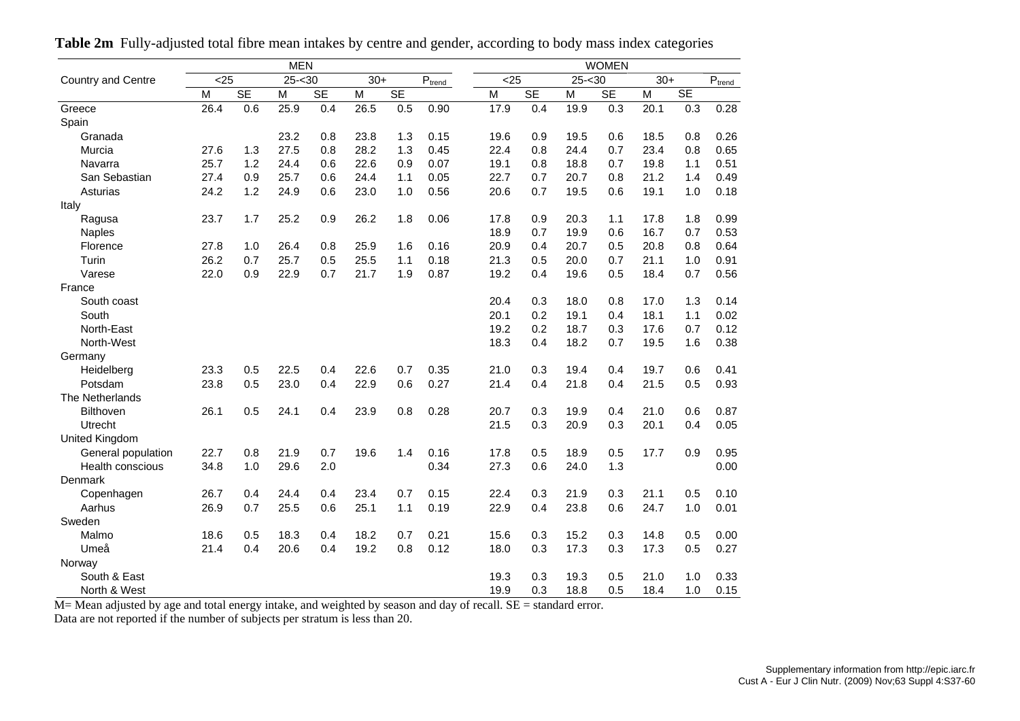|                    | <b>MEN</b> |           |                   |           |       |           |                                         |  | <b>WOMEN</b> |           |           |           |       |           |             |  |  |  |
|--------------------|------------|-----------|-------------------|-----------|-------|-----------|-----------------------------------------|--|--------------|-----------|-----------|-----------|-------|-----------|-------------|--|--|--|
| Country and Centre | $25$       |           | $25 - 30$         |           | $30+$ |           | $\mathsf{P}_{\underline{\text{trend}}}$ |  | < 25         |           | $25 - 30$ |           | $30+$ |           | $P_{trend}$ |  |  |  |
|                    | M          | <b>SE</b> | M                 | <b>SE</b> | M     | <b>SE</b> |                                         |  | M            | <b>SE</b> | M         | <b>SE</b> | M     | <b>SE</b> |             |  |  |  |
| Greece             | 26.4       | 0.6       | $25.\overline{9}$ | 0.4       | 26.5  | 0.5       | 0.90                                    |  | 17.9         | 0.4       | 19.9      | 0.3       | 20.1  | 0.3       | 0.28        |  |  |  |
| Spain              |            |           |                   |           |       |           |                                         |  |              |           |           |           |       |           |             |  |  |  |
| Granada            |            |           | 23.2              | 0.8       | 23.8  | 1.3       | 0.15                                    |  | 19.6         | 0.9       | 19.5      | 0.6       | 18.5  | 0.8       | 0.26        |  |  |  |
| Murcia             | 27.6       | 1.3       | 27.5              | 0.8       | 28.2  | 1.3       | 0.45                                    |  | 22.4         | 0.8       | 24.4      | 0.7       | 23.4  | 0.8       | 0.65        |  |  |  |
| Navarra            | 25.7       | 1.2       | 24.4              | 0.6       | 22.6  | 0.9       | 0.07                                    |  | 19.1         | 0.8       | 18.8      | 0.7       | 19.8  | 1.1       | 0.51        |  |  |  |
| San Sebastian      | 27.4       | 0.9       | 25.7              | 0.6       | 24.4  | 1.1       | 0.05                                    |  | 22.7         | 0.7       | 20.7      | 0.8       | 21.2  | 1.4       | 0.49        |  |  |  |
| Asturias           | 24.2       | 1.2       | 24.9              | 0.6       | 23.0  | 1.0       | 0.56                                    |  | 20.6         | 0.7       | 19.5      | 0.6       | 19.1  | 1.0       | 0.18        |  |  |  |
| Italy              |            |           |                   |           |       |           |                                         |  |              |           |           |           |       |           |             |  |  |  |
| Ragusa             | 23.7       | 1.7       | 25.2              | 0.9       | 26.2  | 1.8       | 0.06                                    |  | 17.8         | 0.9       | 20.3      | 1.1       | 17.8  | 1.8       | 0.99        |  |  |  |
| <b>Naples</b>      |            |           |                   |           |       |           |                                         |  | 18.9         | 0.7       | 19.9      | 0.6       | 16.7  | 0.7       | 0.53        |  |  |  |
| Florence           | 27.8       | 1.0       | 26.4              | 0.8       | 25.9  | 1.6       | 0.16                                    |  | 20.9         | 0.4       | 20.7      | 0.5       | 20.8  | 0.8       | 0.64        |  |  |  |
| Turin              | 26.2       | 0.7       | 25.7              | 0.5       | 25.5  | 1.1       | 0.18                                    |  | 21.3         | 0.5       | 20.0      | 0.7       | 21.1  | 1.0       | 0.91        |  |  |  |
| Varese             | 22.0       | 0.9       | 22.9              | 0.7       | 21.7  | 1.9       | 0.87                                    |  | 19.2         | 0.4       | 19.6      | 0.5       | 18.4  | 0.7       | 0.56        |  |  |  |
| France             |            |           |                   |           |       |           |                                         |  |              |           |           |           |       |           |             |  |  |  |
| South coast        |            |           |                   |           |       |           |                                         |  | 20.4         | 0.3       | 18.0      | 0.8       | 17.0  | 1.3       | 0.14        |  |  |  |
| South              |            |           |                   |           |       |           |                                         |  | 20.1         | 0.2       | 19.1      | 0.4       | 18.1  | 1.1       | 0.02        |  |  |  |
| North-East         |            |           |                   |           |       |           |                                         |  | 19.2         | 0.2       | 18.7      | 0.3       | 17.6  | 0.7       | 0.12        |  |  |  |
| North-West         |            |           |                   |           |       |           |                                         |  | 18.3         | 0.4       | 18.2      | 0.7       | 19.5  | 1.6       | 0.38        |  |  |  |
| Germany            |            |           |                   |           |       |           |                                         |  |              |           |           |           |       |           |             |  |  |  |
| Heidelberg         | 23.3       | 0.5       | 22.5              | 0.4       | 22.6  | 0.7       | 0.35                                    |  | 21.0         | 0.3       | 19.4      | 0.4       | 19.7  | 0.6       | 0.41        |  |  |  |
| Potsdam            | 23.8       | 0.5       | 23.0              | 0.4       | 22.9  | 0.6       | 0.27                                    |  | 21.4         | 0.4       | 21.8      | 0.4       | 21.5  | 0.5       | 0.93        |  |  |  |
| The Netherlands    |            |           |                   |           |       |           |                                         |  |              |           |           |           |       |           |             |  |  |  |
| <b>Bilthoven</b>   | 26.1       | 0.5       | 24.1              | 0.4       | 23.9  | 0.8       | 0.28                                    |  | 20.7         | 0.3       | 19.9      | 0.4       | 21.0  | 0.6       | 0.87        |  |  |  |
| Utrecht            |            |           |                   |           |       |           |                                         |  | 21.5         | 0.3       | 20.9      | 0.3       | 20.1  | 0.4       | 0.05        |  |  |  |
| United Kingdom     |            |           |                   |           |       |           |                                         |  |              |           |           |           |       |           |             |  |  |  |
| General population | 22.7       | 0.8       | 21.9              | 0.7       | 19.6  | 1.4       | 0.16                                    |  | 17.8         | 0.5       | 18.9      | 0.5       | 17.7  | 0.9       | 0.95        |  |  |  |
| Health conscious   | 34.8       | 1.0       | 29.6              | 2.0       |       |           | 0.34                                    |  | 27.3         | 0.6       | 24.0      | 1.3       |       |           | 0.00        |  |  |  |
| Denmark            |            |           |                   |           |       |           |                                         |  |              |           |           |           |       |           |             |  |  |  |
| Copenhagen         | 26.7       | 0.4       | 24.4              | 0.4       | 23.4  | 0.7       | 0.15                                    |  | 22.4         | 0.3       | 21.9      | 0.3       | 21.1  | 0.5       | 0.10        |  |  |  |
| Aarhus             | 26.9       | 0.7       | 25.5              | 0.6       | 25.1  | 1.1       | 0.19                                    |  | 22.9         | 0.4       | 23.8      | 0.6       | 24.7  | 1.0       | 0.01        |  |  |  |
| Sweden             |            |           |                   |           |       |           |                                         |  |              |           |           |           |       |           |             |  |  |  |
| Malmo              | 18.6       | 0.5       | 18.3              | 0.4       | 18.2  | 0.7       | 0.21                                    |  | 15.6         | 0.3       | 15.2      | 0.3       | 14.8  | 0.5       | 0.00        |  |  |  |
| Umeå               | 21.4       | 0.4       | 20.6              | 0.4       | 19.2  | 0.8       | 0.12                                    |  | 18.0         | 0.3       | 17.3      | 0.3       | 17.3  | 0.5       | 0.27        |  |  |  |
| Norway             |            |           |                   |           |       |           |                                         |  |              |           |           |           |       |           |             |  |  |  |
| South & East       |            |           |                   |           |       |           |                                         |  | 19.3         | 0.3       | 19.3      | 0.5       | 21.0  | 1.0       | 0.33        |  |  |  |
| North & West       |            |           |                   |           |       |           |                                         |  | 19.9         | 0.3       | 18.8      | 0.5       | 18.4  | 1.0       | 0.15        |  |  |  |

**Table 2m** Fully-adjusted total fibre mean intakes by centre and gender, according to body mass index categories

M= Mean adjusted by age and total energy intake, and weighted by season and day of recall. SE = standard error.

Data are not reported if the number of subjects per stratum is less than 20.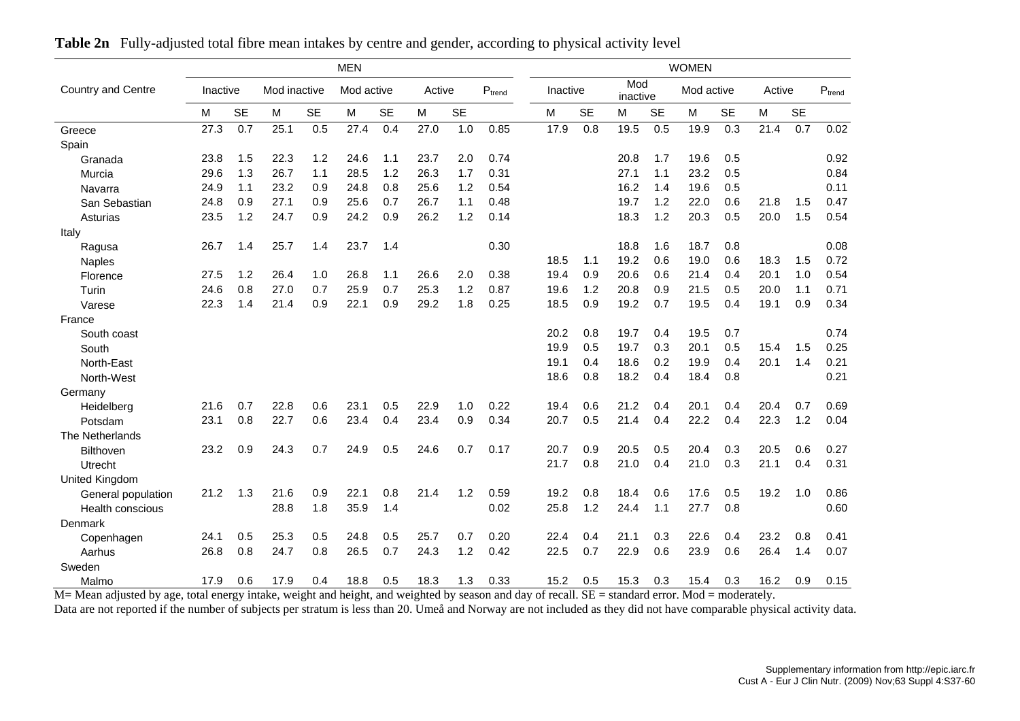|                           | <b>MEN</b> |           |              |           |            |           |        |           |             | <b>WOMEN</b> |          |           |                 |           |            |           |        |           |             |
|---------------------------|------------|-----------|--------------|-----------|------------|-----------|--------|-----------|-------------|--------------|----------|-----------|-----------------|-----------|------------|-----------|--------|-----------|-------------|
| <b>Country and Centre</b> | Inactive   |           | Mod inactive |           | Mod active |           | Active |           | $P_{trend}$ |              | Inactive |           | Mod<br>inactive |           | Mod active |           | Active |           | $P_{trend}$ |
|                           | M          | <b>SE</b> | M            | <b>SE</b> | Μ          | <b>SE</b> | M      | <b>SE</b> |             |              | M        | <b>SE</b> | M               | <b>SE</b> | M          | <b>SE</b> | M      | <b>SE</b> |             |
| Greece                    | 27.3       | 0.7       | 25.1         | 0.5       | 27.4       | 0.4       | 27.0   | 1.0       | 0.85        |              | 17.9     | 0.8       | 19.5            | 0.5       | 19.9       | 0.3       | 21.4   | 0.7       | 0.02        |
| Spain                     |            |           |              |           |            |           |        |           |             |              |          |           |                 |           |            |           |        |           |             |
| Granada                   | 23.8       | 1.5       | 22.3         | 1.2       | 24.6       | 1.1       | 23.7   | 2.0       | 0.74        |              |          |           | 20.8            | 1.7       | 19.6       | 0.5       |        |           | 0.92        |
| Murcia                    | 29.6       | 1.3       | 26.7         | 1.1       | 28.5       | 1.2       | 26.3   | 1.7       | 0.31        |              |          |           | 27.1            | 1.1       | 23.2       | 0.5       |        |           | 0.84        |
| Navarra                   | 24.9       | 1.1       | 23.2         | 0.9       | 24.8       | 0.8       | 25.6   | 1.2       | 0.54        |              |          |           | 16.2            | 1.4       | 19.6       | 0.5       |        |           | 0.11        |
| San Sebastian             | 24.8       | 0.9       | 27.1         | 0.9       | 25.6       | 0.7       | 26.7   | 1.1       | 0.48        |              |          |           | 19.7            | 1.2       | 22.0       | 0.6       | 21.8   | 1.5       | 0.47        |
| Asturias                  | 23.5       | 1.2       | 24.7         | 0.9       | 24.2       | 0.9       | 26.2   | 1.2       | 0.14        |              |          |           | 18.3            | 1.2       | 20.3       | 0.5       | 20.0   | 1.5       | 0.54        |
| Italy                     |            |           |              |           |            |           |        |           |             |              |          |           |                 |           |            |           |        |           |             |
| Ragusa                    | 26.7       | 1.4       | 25.7         | 1.4       | 23.7       | 1.4       |        |           | 0.30        |              |          |           | 18.8            | 1.6       | 18.7       | 0.8       |        |           | 0.08        |
| <b>Naples</b>             |            |           |              |           |            |           |        |           |             |              | 18.5     | 1.1       | 19.2            | 0.6       | 19.0       | 0.6       | 18.3   | 1.5       | 0.72        |
| Florence                  | 27.5       | 1.2       | 26.4         | 1.0       | 26.8       | 1.1       | 26.6   | 2.0       | 0.38        |              | 19.4     | 0.9       | 20.6            | 0.6       | 21.4       | 0.4       | 20.1   | 1.0       | 0.54        |
| Turin                     | 24.6       | 0.8       | 27.0         | 0.7       | 25.9       | 0.7       | 25.3   | 1.2       | 0.87        |              | 19.6     | 1.2       | 20.8            | 0.9       | 21.5       | 0.5       | 20.0   | 1.1       | 0.71        |
| Varese                    | 22.3       | 1.4       | 21.4         | 0.9       | 22.1       | 0.9       | 29.2   | 1.8       | 0.25        |              | 18.5     | 0.9       | 19.2            | 0.7       | 19.5       | 0.4       | 19.1   | 0.9       | 0.34        |
| France                    |            |           |              |           |            |           |        |           |             |              |          |           |                 |           |            |           |        |           |             |
| South coast               |            |           |              |           |            |           |        |           |             |              | 20.2     | 0.8       | 19.7            | 0.4       | 19.5       | 0.7       |        |           | 0.74        |
| South                     |            |           |              |           |            |           |        |           |             |              | 19.9     | 0.5       | 19.7            | 0.3       | 20.1       | 0.5       | 15.4   | 1.5       | 0.25        |
| North-East                |            |           |              |           |            |           |        |           |             |              | 19.1     | 0.4       | 18.6            | 0.2       | 19.9       | 0.4       | 20.1   | 1.4       | 0.21        |
| North-West                |            |           |              |           |            |           |        |           |             |              | 18.6     | 0.8       | 18.2            | 0.4       | 18.4       | 0.8       |        |           | 0.21        |
| Germany                   |            |           |              |           |            |           |        |           |             |              |          |           |                 |           |            |           |        |           |             |
| Heidelberg                | 21.6       | 0.7       | 22.8         | 0.6       | 23.1       | 0.5       | 22.9   | 1.0       | 0.22        |              | 19.4     | 0.6       | 21.2            | 0.4       | 20.1       | 0.4       | 20.4   | 0.7       | 0.69        |
| Potsdam                   | 23.1       | 0.8       | 22.7         | 0.6       | 23.4       | 0.4       | 23.4   | 0.9       | 0.34        |              | 20.7     | 0.5       | 21.4            | 0.4       | 22.2       | 0.4       | 22.3   | 1.2       | 0.04        |
| The Netherlands           |            |           |              |           |            |           |        |           |             |              |          |           |                 |           |            |           |        |           |             |
| <b>Bilthoven</b>          | 23.2       | 0.9       | 24.3         | 0.7       | 24.9       | 0.5       | 24.6   | 0.7       | 0.17        |              | 20.7     | 0.9       | 20.5            | 0.5       | 20.4       | 0.3       | 20.5   | 0.6       | 0.27        |
| Utrecht                   |            |           |              |           |            |           |        |           |             |              | 21.7     | 0.8       | 21.0            | 0.4       | 21.0       | 0.3       | 21.1   | 0.4       | 0.31        |
| United Kingdom            |            |           |              |           |            |           |        |           |             |              |          |           |                 |           |            |           |        |           |             |
| General population        | 21.2       | 1.3       | 21.6         | 0.9       | 22.1       | 0.8       | 21.4   | 1.2       | 0.59        |              | 19.2     | 0.8       | 18.4            | 0.6       | 17.6       | 0.5       | 19.2   | 1.0       | 0.86        |
| <b>Health conscious</b>   |            |           | 28.8         | 1.8       | 35.9       | 1.4       |        |           | 0.02        |              | 25.8     | 1.2       | 24.4            | 1.1       | 27.7       | 0.8       |        |           | 0.60        |
| Denmark                   |            |           |              |           |            |           |        |           |             |              |          |           |                 |           |            |           |        |           |             |
| Copenhagen                | 24.1       | 0.5       | 25.3         | 0.5       | 24.8       | 0.5       | 25.7   | 0.7       | 0.20        |              | 22.4     | 0.4       | 21.1            | 0.3       | 22.6       | 0.4       | 23.2   | 0.8       | 0.41        |
| Aarhus                    | 26.8       | 0.8       | 24.7         | 0.8       | 26.5       | 0.7       | 24.3   | 1.2       | 0.42        |              | 22.5     | 0.7       | 22.9            | 0.6       | 23.9       | 0.6       | 26.4   | 1.4       | 0.07        |
| Sweden                    |            |           |              |           |            |           |        |           |             |              |          |           |                 |           |            |           |        |           |             |
| Malmo                     | 17.9       | 0.6       | 17.9         | 0.4       | 18.8       | 0.5       | 18.3   | 1.3       | 0.33        |              | 15.2     | 0.5       | 15.3            | 0.3       | 15.4       | 0.3       | 16.2   | 0.9       | 0.15        |

**Table 2n** Fully-adjusted total fibre mean intakes by centre and gender, according to physical activity level

M= Mean adjusted by age, total energy intake, weight and height, and weighted by season and day of recall. SE = standard error. Mod = moderately.

Data are not reported if the number of subjects per stratum is less than 20. Umeå and Norway are not included as they did not have comparable physical activity data.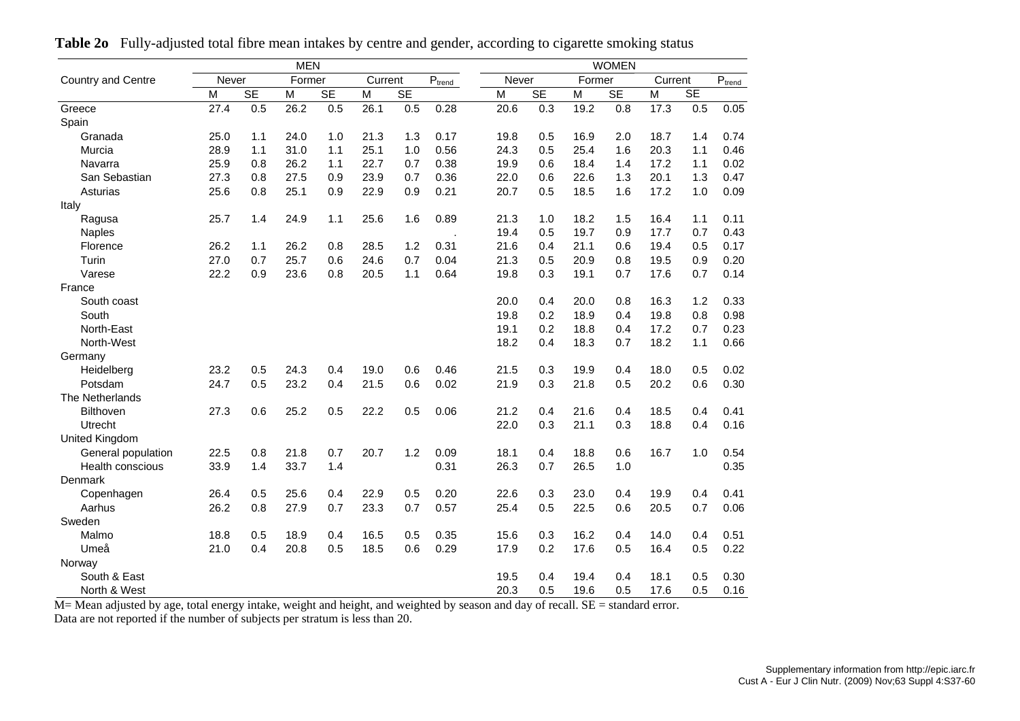| <b>MEN</b>         |       |           |        |           |         |           |                             | <b>WOMEN</b> |           |        |           |         |     |                           |  |  |
|--------------------|-------|-----------|--------|-----------|---------|-----------|-----------------------------|--------------|-----------|--------|-----------|---------|-----|---------------------------|--|--|
| Country and Centre | Never |           | Former |           | Current |           | $\mathsf{P}_{\text{trend}}$ | Never        |           | Former |           | Current |     | $\text{P}_{\text{trend}}$ |  |  |
|                    | M     | <b>SE</b> | M      | <b>SE</b> | M       | <b>SE</b> |                             | M            | <b>SE</b> | M      | <b>SE</b> | M       | SE  |                           |  |  |
| Greece             | 27.4  | 0.5       | 26.2   | 0.5       | 26.1    | 0.5       | 0.28                        | 20.6         | 0.3       | 19.2   | 0.8       | 17.3    | 0.5 | 0.05                      |  |  |
| Spain              |       |           |        |           |         |           |                             |              |           |        |           |         |     |                           |  |  |
| Granada            | 25.0  | 1.1       | 24.0   | 1.0       | 21.3    | 1.3       | 0.17                        | 19.8         | 0.5       | 16.9   | 2.0       | 18.7    | 1.4 | 0.74                      |  |  |
| Murcia             | 28.9  | 1.1       | 31.0   | 1.1       | 25.1    | 1.0       | 0.56                        | 24.3         | 0.5       | 25.4   | 1.6       | 20.3    | 1.1 | 0.46                      |  |  |
| Navarra            | 25.9  | 0.8       | 26.2   | 1.1       | 22.7    | 0.7       | 0.38                        | 19.9         | 0.6       | 18.4   | 1.4       | 17.2    | 1.1 | 0.02                      |  |  |
| San Sebastian      | 27.3  | 0.8       | 27.5   | 0.9       | 23.9    | 0.7       | 0.36                        | 22.0         | 0.6       | 22.6   | 1.3       | 20.1    | 1.3 | 0.47                      |  |  |
| Asturias           | 25.6  | 0.8       | 25.1   | 0.9       | 22.9    | 0.9       | 0.21                        | 20.7         | 0.5       | 18.5   | 1.6       | 17.2    | 1.0 | 0.09                      |  |  |
| Italy              |       |           |        |           |         |           |                             |              |           |        |           |         |     |                           |  |  |
| Ragusa             | 25.7  | 1.4       | 24.9   | 1.1       | 25.6    | 1.6       | 0.89                        | 21.3         | 1.0       | 18.2   | 1.5       | 16.4    | 1.1 | 0.11                      |  |  |
| <b>Naples</b>      |       |           |        |           |         |           |                             | 19.4         | 0.5       | 19.7   | 0.9       | 17.7    | 0.7 | 0.43                      |  |  |
| Florence           | 26.2  | 1.1       | 26.2   | 0.8       | 28.5    | 1.2       | 0.31                        | 21.6         | 0.4       | 21.1   | 0.6       | 19.4    | 0.5 | 0.17                      |  |  |
| Turin              | 27.0  | 0.7       | 25.7   | 0.6       | 24.6    | 0.7       | 0.04                        | 21.3         | 0.5       | 20.9   | 0.8       | 19.5    | 0.9 | 0.20                      |  |  |
| Varese             | 22.2  | 0.9       | 23.6   | 0.8       | 20.5    | 1.1       | 0.64                        | 19.8         | 0.3       | 19.1   | 0.7       | 17.6    | 0.7 | 0.14                      |  |  |
| France             |       |           |        |           |         |           |                             |              |           |        |           |         |     |                           |  |  |
| South coast        |       |           |        |           |         |           |                             | 20.0         | 0.4       | 20.0   | 0.8       | 16.3    | 1.2 | 0.33                      |  |  |
| South              |       |           |        |           |         |           |                             | 19.8         | 0.2       | 18.9   | 0.4       | 19.8    | 0.8 | 0.98                      |  |  |
| North-East         |       |           |        |           |         |           |                             | 19.1         | 0.2       | 18.8   | 0.4       | 17.2    | 0.7 | 0.23                      |  |  |
| North-West         |       |           |        |           |         |           |                             | 18.2         | 0.4       | 18.3   | 0.7       | 18.2    | 1.1 | 0.66                      |  |  |
| Germany            |       |           |        |           |         |           |                             |              |           |        |           |         |     |                           |  |  |
| Heidelberg         | 23.2  | 0.5       | 24.3   | 0.4       | 19.0    | 0.6       | 0.46                        | 21.5         | 0.3       | 19.9   | 0.4       | 18.0    | 0.5 | 0.02                      |  |  |
| Potsdam            | 24.7  | 0.5       | 23.2   | 0.4       | 21.5    | 0.6       | 0.02                        | 21.9         | 0.3       | 21.8   | 0.5       | 20.2    | 0.6 | 0.30                      |  |  |
| The Netherlands    |       |           |        |           |         |           |                             |              |           |        |           |         |     |                           |  |  |
| <b>Bilthoven</b>   | 27.3  | 0.6       | 25.2   | 0.5       | 22.2    | 0.5       | 0.06                        | 21.2         | 0.4       | 21.6   | 0.4       | 18.5    | 0.4 | 0.41                      |  |  |
| Utrecht            |       |           |        |           |         |           |                             | 22.0         | 0.3       | 21.1   | 0.3       | 18.8    | 0.4 | 0.16                      |  |  |
| United Kingdom     |       |           |        |           |         |           |                             |              |           |        |           |         |     |                           |  |  |
| General population | 22.5  | 0.8       | 21.8   | 0.7       | 20.7    | 1.2       | 0.09                        | 18.1         | 0.4       | 18.8   | 0.6       | 16.7    | 1.0 | 0.54                      |  |  |
| Health conscious   | 33.9  | 1.4       | 33.7   | 1.4       |         |           | 0.31                        | 26.3         | 0.7       | 26.5   | 1.0       |         |     | 0.35                      |  |  |
| Denmark            |       |           |        |           |         |           |                             |              |           |        |           |         |     |                           |  |  |
| Copenhagen         | 26.4  | 0.5       | 25.6   | 0.4       | 22.9    | 0.5       | 0.20                        | 22.6         | 0.3       | 23.0   | 0.4       | 19.9    | 0.4 | 0.41                      |  |  |
| Aarhus             | 26.2  | 0.8       | 27.9   | 0.7       | 23.3    | 0.7       | 0.57                        | 25.4         | 0.5       | 22.5   | 0.6       | 20.5    | 0.7 | 0.06                      |  |  |
| Sweden             |       |           |        |           |         |           |                             |              |           |        |           |         |     |                           |  |  |
| Malmo              | 18.8  | 0.5       | 18.9   | 0.4       | 16.5    | 0.5       | 0.35                        | 15.6         | 0.3       | 16.2   | 0.4       | 14.0    | 0.4 | 0.51                      |  |  |
| Umeå               | 21.0  | 0.4       | 20.8   | 0.5       | 18.5    | 0.6       | 0.29                        | 17.9         | 0.2       | 17.6   | 0.5       | 16.4    | 0.5 | 0.22                      |  |  |
| Norway             |       |           |        |           |         |           |                             |              |           |        |           |         |     |                           |  |  |
| South & East       |       |           |        |           |         |           |                             | 19.5         | 0.4       | 19.4   | 0.4       | 18.1    | 0.5 | 0.30                      |  |  |
| North & West       |       |           |        |           |         |           |                             | 20.3         | 0.5       | 19.6   | 0.5       | 17.6    | 0.5 | 0.16                      |  |  |

**Table 2o** Fully-adjusted total fibre mean intakes by centre and gender, according to cigarette smoking status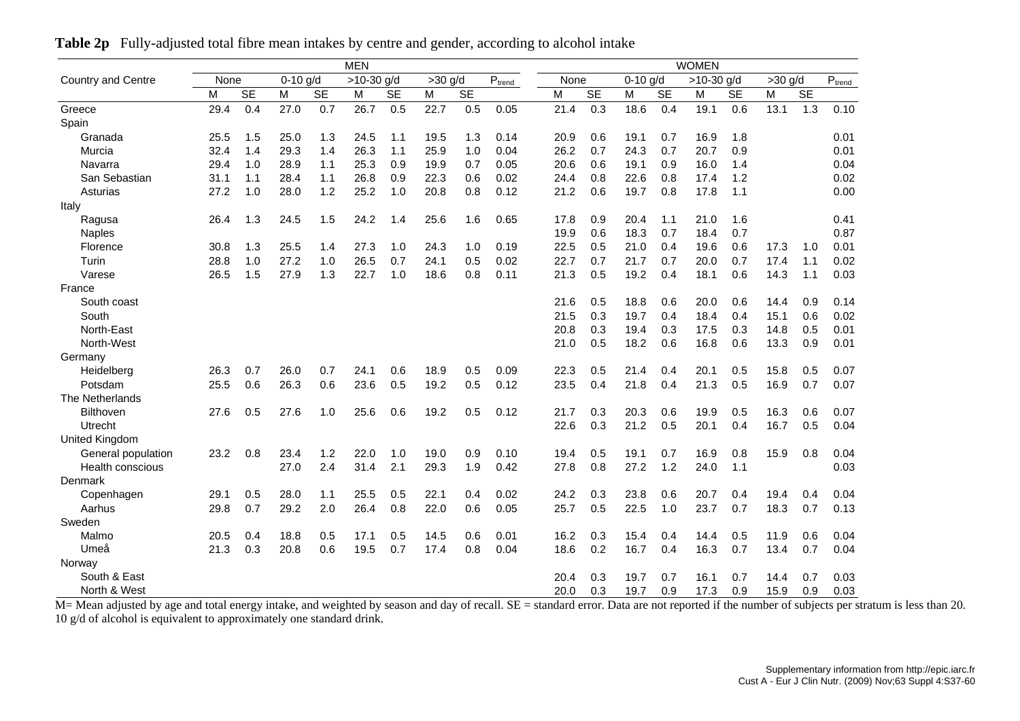|                           |      |           |            |           | <b>MEN</b>   |           |           |           |        | <b>WOMEN</b> |           |            |           |              |           |           |           |                    |
|---------------------------|------|-----------|------------|-----------|--------------|-----------|-----------|-----------|--------|--------------|-----------|------------|-----------|--------------|-----------|-----------|-----------|--------------------|
| <b>Country and Centre</b> | None |           | $0-10$ g/d |           | $>10-30$ g/d |           | $>30$ g/d |           | $P_{t$ | None         |           | $0-10$ g/d |           | $>10-30$ g/d |           | $>30$ g/d |           | $P_{\text{trend}}$ |
|                           | M    | <b>SE</b> | M          | <b>SE</b> | M            | <b>SE</b> | M         | <b>SE</b> |        | M            | <b>SE</b> | M          | <b>SE</b> | M            | <b>SE</b> | M         | <b>SE</b> |                    |
| Greece                    | 29.4 | 0.4       | 27.0       | 0.7       | 26.7         | 0.5       | 22.7      | 0.5       | 0.05   | 21.4         | 0.3       | 18.6       | 0.4       | 19.1         | 0.6       | 13.1      | 1.3       | 0.10               |
| Spain                     |      |           |            |           |              |           |           |           |        |              |           |            |           |              |           |           |           |                    |
| Granada                   | 25.5 | 1.5       | 25.0       | 1.3       | 24.5         | 1.1       | 19.5      | 1.3       | 0.14   | 20.9         | 0.6       | 19.1       | 0.7       | 16.9         | 1.8       |           |           | 0.01               |
| Murcia                    | 32.4 | 1.4       | 29.3       | 1.4       | 26.3         | 1.1       | 25.9      | 1.0       | 0.04   | 26.2         | 0.7       | 24.3       | 0.7       | 20.7         | 0.9       |           |           | 0.01               |
| Navarra                   | 29.4 | 1.0       | 28.9       | 1.1       | 25.3         | 0.9       | 19.9      | 0.7       | 0.05   | 20.6         | 0.6       | 19.1       | 0.9       | 16.0         | 1.4       |           |           | 0.04               |
| San Sebastian             | 31.1 | 1.1       | 28.4       | 1.1       | 26.8         | 0.9       | 22.3      | 0.6       | 0.02   | 24.4         | 0.8       | 22.6       | 0.8       | 17.4         | 1.2       |           |           | 0.02               |
| Asturias                  | 27.2 | 1.0       | 28.0       | 1.2       | 25.2         | 1.0       | 20.8      | 0.8       | 0.12   | 21.2         | 0.6       | 19.7       | 0.8       | 17.8         | 1.1       |           |           | 0.00               |
| Italy                     |      |           |            |           |              |           |           |           |        |              |           |            |           |              |           |           |           |                    |
| Ragusa                    | 26.4 | 1.3       | 24.5       | 1.5       | 24.2         | 1.4       | 25.6      | 1.6       | 0.65   | 17.8         | 0.9       | 20.4       | 1.1       | 21.0         | 1.6       |           |           | 0.41               |
| <b>Naples</b>             |      |           |            |           |              |           |           |           |        | 19.9         | 0.6       | 18.3       | 0.7       | 18.4         | 0.7       |           |           | 0.87               |
| Florence                  | 30.8 | 1.3       | 25.5       | 1.4       | 27.3         | 1.0       | 24.3      | 1.0       | 0.19   | 22.5         | 0.5       | 21.0       | 0.4       | 19.6         | 0.6       | 17.3      | 1.0       | 0.01               |
| Turin                     | 28.8 | 1.0       | 27.2       | 1.0       | 26.5         | 0.7       | 24.1      | 0.5       | 0.02   | 22.7         | 0.7       | 21.7       | 0.7       | 20.0         | 0.7       | 17.4      | 1.1       | 0.02               |
| Varese                    | 26.5 | 1.5       | 27.9       | 1.3       | 22.7         | 1.0       | 18.6      | 0.8       | 0.11   | 21.3         | 0.5       | 19.2       | 0.4       | 18.1         | 0.6       | 14.3      | 1.1       | 0.03               |
| France                    |      |           |            |           |              |           |           |           |        |              |           |            |           |              |           |           |           |                    |
| South coast               |      |           |            |           |              |           |           |           |        | 21.6         | 0.5       | 18.8       | 0.6       | 20.0         | 0.6       | 14.4      | 0.9       | 0.14               |
| South                     |      |           |            |           |              |           |           |           |        | 21.5         | 0.3       | 19.7       | 0.4       | 18.4         | 0.4       | 15.1      | 0.6       | 0.02               |
| North-East                |      |           |            |           |              |           |           |           |        | 20.8         | 0.3       | 19.4       | 0.3       | 17.5         | 0.3       | 14.8      | 0.5       | 0.01               |
| North-West                |      |           |            |           |              |           |           |           |        | 21.0         | 0.5       | 18.2       | 0.6       | 16.8         | 0.6       | 13.3      | 0.9       | 0.01               |
| Germany                   |      |           |            |           |              |           |           |           |        |              |           |            |           |              |           |           |           |                    |
| Heidelberg                | 26.3 | 0.7       | 26.0       | 0.7       | 24.1         | 0.6       | 18.9      | 0.5       | 0.09   | 22.3         | 0.5       | 21.4       | 0.4       | 20.1         | 0.5       | 15.8      | 0.5       | 0.07               |
| Potsdam                   | 25.5 | 0.6       | 26.3       | 0.6       | 23.6         | 0.5       | 19.2      | 0.5       | 0.12   | 23.5         | 0.4       | 21.8       | 0.4       | 21.3         | 0.5       | 16.9      | 0.7       | 0.07               |
| The Netherlands           |      |           |            |           |              |           |           |           |        |              |           |            |           |              |           |           |           |                    |
| <b>Bilthoven</b>          | 27.6 | 0.5       | 27.6       | 1.0       | 25.6         | 0.6       | 19.2      | 0.5       | 0.12   | 21.7         | 0.3       | 20.3       | 0.6       | 19.9         | 0.5       | 16.3      | 0.6       | 0.07               |
| Utrecht                   |      |           |            |           |              |           |           |           |        | 22.6         | 0.3       | 21.2       | 0.5       | 20.1         | 0.4       | 16.7      | 0.5       | 0.04               |
| <b>United Kingdom</b>     |      |           |            |           |              |           |           |           |        |              |           |            |           |              |           |           |           |                    |
| General population        | 23.2 | 0.8       | 23.4       | 1.2       | 22.0         | 1.0       | 19.0      | 0.9       | 0.10   | 19.4         | 0.5       | 19.1       | 0.7       | 16.9         | 0.8       | 15.9      | 0.8       | 0.04               |
| <b>Health conscious</b>   |      |           | 27.0       | 2.4       | 31.4         | 2.1       | 29.3      | 1.9       | 0.42   | 27.8         | 0.8       | 27.2       | 1.2       | 24.0         | 1.1       |           |           | 0.03               |
| Denmark                   |      |           |            |           |              |           |           |           |        |              |           |            |           |              |           |           |           |                    |
| Copenhagen                | 29.1 | 0.5       | 28.0       | 1.1       | 25.5         | 0.5       | 22.1      | 0.4       | 0.02   | 24.2         | 0.3       | 23.8       | 0.6       | 20.7         | 0.4       | 19.4      | 0.4       | 0.04               |
| Aarhus                    | 29.8 | 0.7       | 29.2       | 2.0       | 26.4         | 0.8       | 22.0      | 0.6       | 0.05   | 25.7         | 0.5       | 22.5       | 1.0       | 23.7         | 0.7       | 18.3      | 0.7       | 0.13               |
| Sweden                    |      |           |            |           |              |           |           |           |        |              |           |            |           |              |           |           |           |                    |
| Malmo                     | 20.5 | 0.4       | 18.8       | 0.5       | 17.1         | 0.5       | 14.5      | 0.6       | 0.01   | 16.2         | 0.3       | 15.4       | 0.4       | 14.4         | 0.5       | 11.9      | 0.6       | 0.04               |
| Umeå                      | 21.3 | 0.3       | 20.8       | 0.6       | 19.5         | 0.7       | 17.4      | 0.8       | 0.04   | 18.6         | 0.2       | 16.7       | 0.4       | 16.3         | 0.7       | 13.4      | 0.7       | 0.04               |
| Norway                    |      |           |            |           |              |           |           |           |        |              |           |            |           |              |           |           |           |                    |
| South & East              |      |           |            |           |              |           |           |           |        | 20.4         | 0.3       | 19.7       | 0.7       | 16.1         | 0.7       | 14.4      | 0.7       | 0.03               |
| North & West              |      |           |            |           |              |           |           |           |        | 20.0         | 0.3       | 19.7       | 0.9       | 17.3         | 0.9       | 15.9      | 0.9       | 0.03               |

**Table 2p** Fully-adjusted total fibre mean intakes by centre and gender, according to alcohol intake

North & West<br>M= Mean adjusted by age and total energy intake, and weighted by season and day of recall. SE = standard error. Data are not reported if the number of subjects per stratum is less than 20. 10 g/d of alcohol is equivalent to approximately one standard drink.